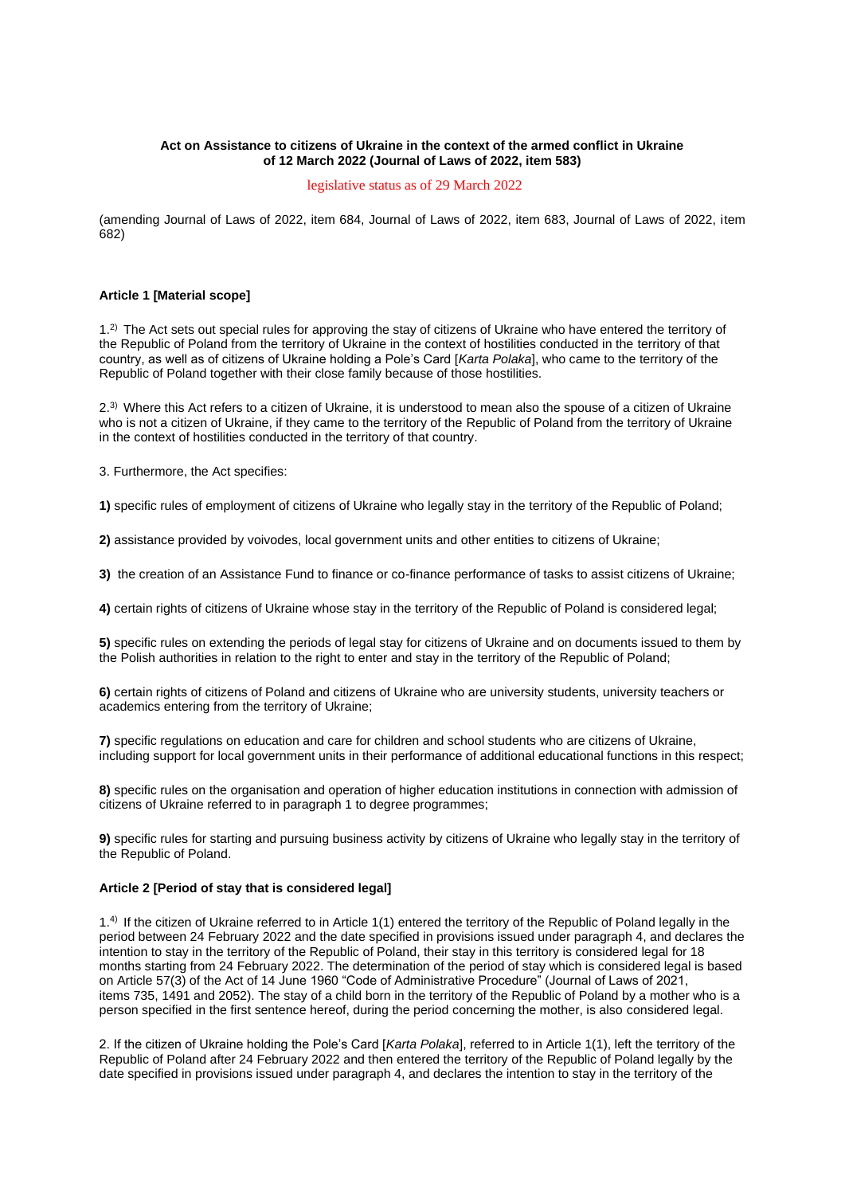## **Act on Assistance to citizens of Ukraine in the context of the armed conflict in Ukraine of 12 March 2022 (Journal of Laws of 2022, item 583)**

## legislative status as of 29 March 2022

(amending Journal of Laws of 2022, item 684, Journal of Laws of 2022, item 683, Journal of Laws of 2022, item 682)

### **Article 1 [Material scope]**

1.2) The Act sets out special rules for approving the stay of citizens of Ukraine who have entered the territory of the Republic of Poland from the territory of Ukraine in the context of hostilities conducted in the territory of that country, as well as of citizens of Ukraine holding a Pole's Card [*Karta Polaka*], who came to the territory of the Republic of Poland together with their close family because of those hostilities.

2.3) Where this Act refers to a citizen of Ukraine, it is understood to mean also the spouse of a citizen of Ukraine who is not a citizen of Ukraine, if they came to the territory of the Republic of Poland from the territory of Ukraine in the context of hostilities conducted in the territory of that country.

3. Furthermore, the Act specifies:

**1)** specific rules of employment of citizens of Ukraine who legally stay in the territory of the Republic of Poland;

**2)** assistance provided by voivodes, local government units and other entities to citizens of Ukraine;

**3)** the creation of an Assistance Fund to finance or co-finance performance of tasks to assist citizens of Ukraine;

**4)** certain rights of citizens of Ukraine whose stay in the territory of the Republic of Poland is considered legal;

**5)** specific rules on extending the periods of legal stay for citizens of Ukraine and on documents issued to them by the Polish authorities in relation to the right to enter and stay in the territory of the Republic of Poland;

**6)** certain rights of citizens of Poland and citizens of Ukraine who are university students, university teachers or academics entering from the territory of Ukraine;

**7)** specific regulations on education and care for children and school students who are citizens of Ukraine, including support for local government units in their performance of additional educational functions in this respect;

**8)** specific rules on the organisation and operation of higher education institutions in connection with admission of citizens of Ukraine referred to in paragraph 1 to degree programmes;

**9)** specific rules for starting and pursuing business activity by citizens of Ukraine who legally stay in the territory of the Republic of Poland.

## **Article 2 [Period of stay that is considered legal]**

1.4) If the citizen of Ukraine referred to in Article 1(1) entered the territory of the Republic of Poland legally in the period between 24 February 2022 and the date specified in provisions issued under paragraph 4, and declares the intention to stay in the territory of the Republic of Poland, their stay in this territory is considered legal for 18 months starting from 24 February 2022. The determination of the period of stay which is considered legal is based on Article 57(3) of the Act of 14 June 1960 "Code of Administrative Procedure" (Journal of Laws of 2021, items 735, 1491 and 2052). The stay of a child born in the territory of the Republic of Poland by a mother who is a person specified in the first sentence hereof, during the period concerning the mother, is also considered legal.

2. If the citizen of Ukraine holding the Pole's Card [*Karta Polaka*], referred to in Article 1(1), left the territory of the Republic of Poland after 24 February 2022 and then entered the territory of the Republic of Poland legally by the date specified in provisions issued under paragraph 4, and declares the intention to stay in the territory of the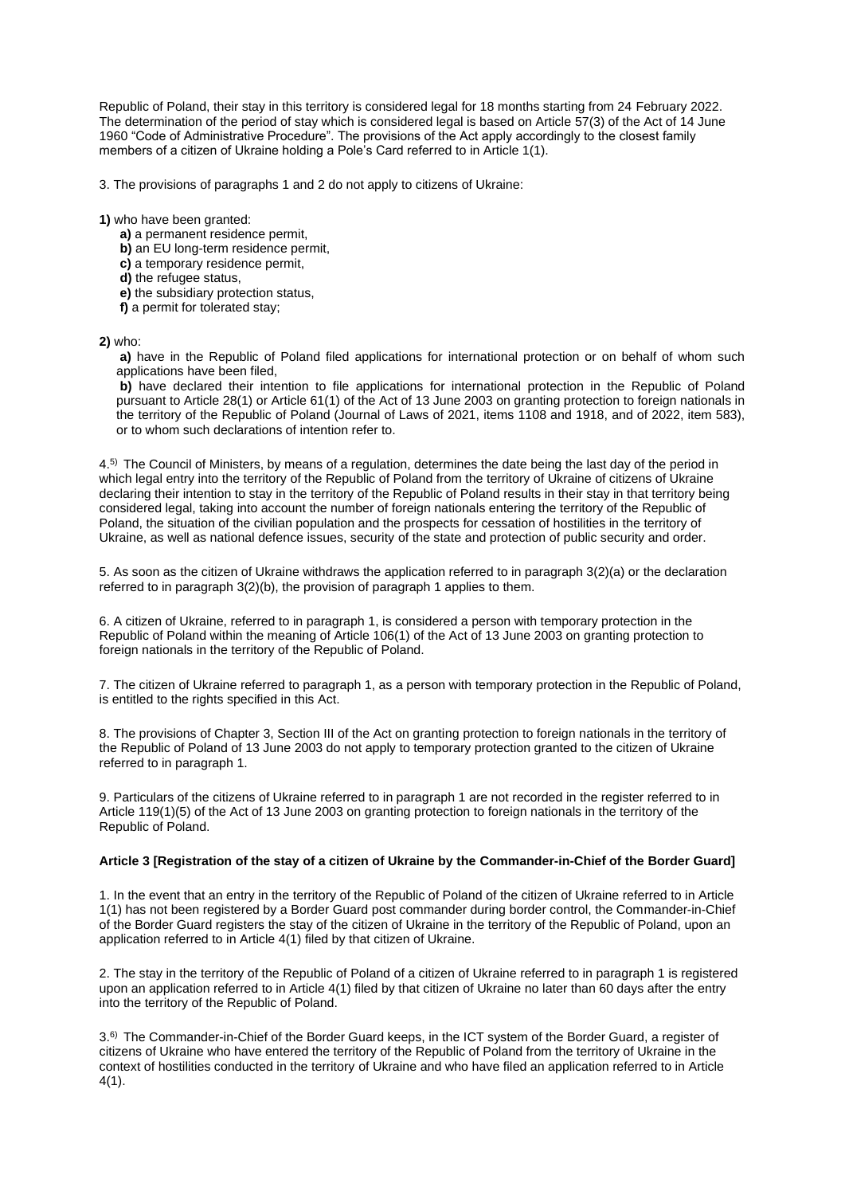Republic of Poland, their stay in this territory is considered legal for 18 months starting from 24 February 2022. The determination of the period of stay which is considered legal is based on Article 57(3) of the Act of 14 June 1960 "Code of Administrative Procedure". The provisions of the Act apply accordingly to the closest family members of a citizen of Ukraine holding a Pole's Card referred to in Article 1(1).

3. The provisions of paragraphs 1 and 2 do not apply to citizens of Ukraine:

**1)** who have been granted:

- **a)** a permanent residence permit,
- **b)** an EU long-term residence permit,
- **c)** a temporary residence permit,
- **d)** the refugee status,
- **e)** the subsidiary protection status,
- **f)** a permit for tolerated stay;

**2)** who:

**a)** have in the Republic of Poland filed applications for international protection or on behalf of whom such applications have been filed,

**b)** have declared their intention to file applications for international protection in the Republic of Poland pursuant to Article 28(1) or Article 61(1) of the Act of 13 June 2003 on granting protection to foreign nationals in the territory of the Republic of Poland (Journal of Laws of 2021, items 1108 and 1918, and of 2022, item 583), or to whom such declarations of intention refer to.

4.5) The Council of Ministers, by means of a regulation, determines the date being the last day of the period in which legal entry into the territory of the Republic of Poland from the territory of Ukraine of citizens of Ukraine declaring their intention to stay in the territory of the Republic of Poland results in their stay in that territory being considered legal, taking into account the number of foreign nationals entering the territory of the Republic of Poland, the situation of the civilian population and the prospects for cessation of hostilities in the territory of Ukraine, as well as national defence issues, security of the state and protection of public security and order.

5. As soon as the citizen of Ukraine withdraws the application referred to in paragraph 3(2)(a) or the declaration referred to in paragraph 3(2)(b), the provision of paragraph 1 applies to them.

6. A citizen of Ukraine, referred to in paragraph 1, is considered a person with temporary protection in the Republic of Poland within the meaning of Article 106(1) of the Act of 13 June 2003 on granting protection to foreign nationals in the territory of the Republic of Poland.

7. The citizen of Ukraine referred to paragraph 1, as a person with temporary protection in the Republic of Poland, is entitled to the rights specified in this Act.

8. The provisions of Chapter 3, Section III of the Act on granting protection to foreign nationals in the territory of the Republic of Poland of 13 June 2003 do not apply to temporary protection granted to the citizen of Ukraine referred to in paragraph 1.

9. Particulars of the citizens of Ukraine referred to in paragraph 1 are not recorded in the register referred to in Article 119(1)(5) of the Act of 13 June 2003 on granting protection to foreign nationals in the territory of the Republic of Poland.

## **Article 3 [Registration of the stay of a citizen of Ukraine by the Commander-in-Chief of the Border Guard]**

1. In the event that an entry in the territory of the Republic of Poland of the citizen of Ukraine referred to in Article 1(1) has not been registered by a Border Guard post commander during border control, the Commander-in-Chief of the Border Guard registers the stay of the citizen of Ukraine in the territory of the Republic of Poland, upon an application referred to in Article 4(1) filed by that citizen of Ukraine.

2. The stay in the territory of the Republic of Poland of a citizen of Ukraine referred to in paragraph 1 is registered upon an application referred to in Article 4(1) filed by that citizen of Ukraine no later than 60 days after the entry into the territory of the Republic of Poland.

3.6) The Commander-in-Chief of the Border Guard keeps, in the ICT system of the Border Guard, a register of citizens of Ukraine who have entered the territory of the Republic of Poland from the territory of Ukraine in the context of hostilities conducted in the territory of Ukraine and who have filed an application referred to in Article 4(1).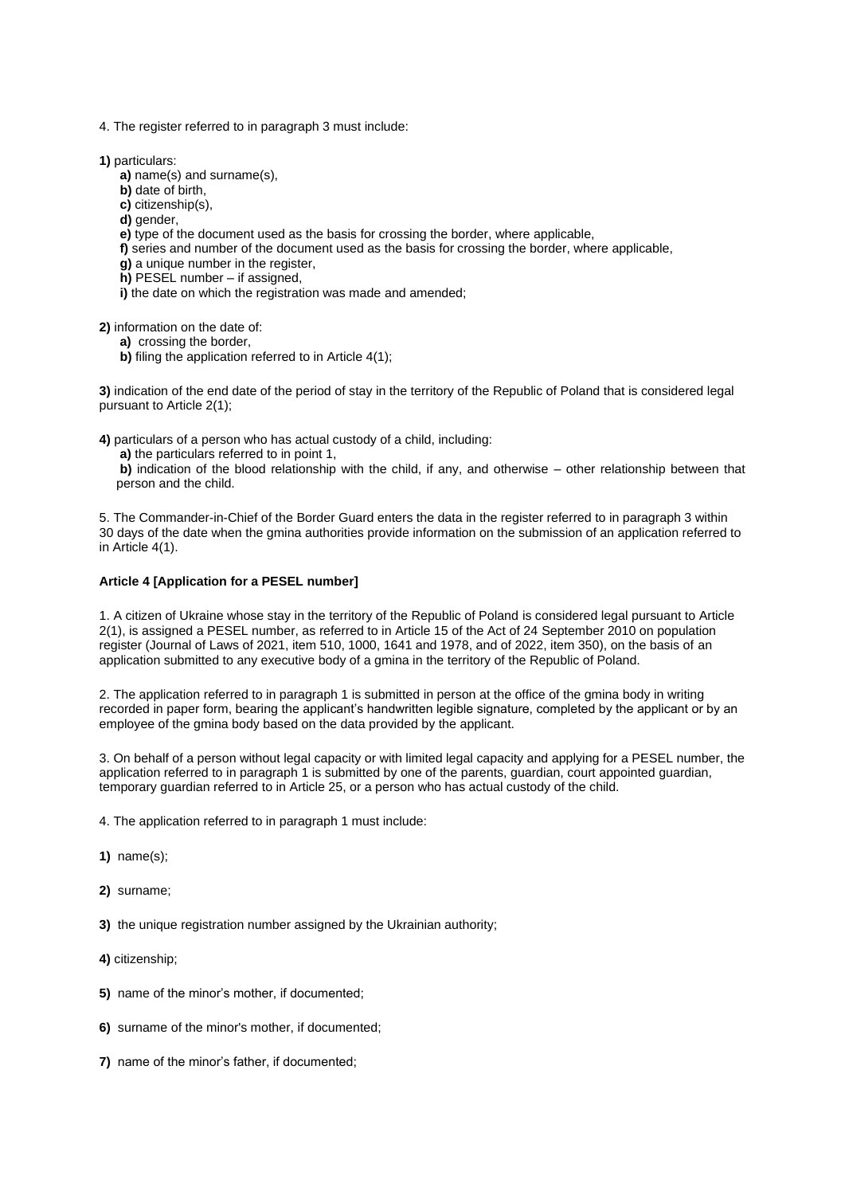- 4. The register referred to in paragraph 3 must include:
- **1)** particulars:
	- **a)** name(s) and surname(s),
	- **b)** date of birth,
	- **c)** citizenship(s),
	- **d)** gender,
	- **e)** type of the document used as the basis for crossing the border, where applicable,
	- **f)** series and number of the document used as the basis for crossing the border, where applicable,
	- **g)** a unique number in the register,
	- **h)** PESEL number if assigned,
	- **i)** the date on which the registration was made and amended;

**2)** information on the date of:

- **a)** crossing the border,
- **b)** filing the application referred to in Article 4(1);

**3)** indication of the end date of the period of stay in the territory of the Republic of Poland that is considered legal pursuant to Article 2(1);

**4)** particulars of a person who has actual custody of a child, including:

**a)** the particulars referred to in point 1,

**b)** indication of the blood relationship with the child, if any, and otherwise – other relationship between that person and the child.

5. The Commander-in-Chief of the Border Guard enters the data in the register referred to in paragraph 3 within 30 days of the date when the gmina authorities provide information on the submission of an application referred to in Article 4(1).

## **Article 4 [Application for a PESEL number]**

1. A citizen of Ukraine whose stay in the territory of the Republic of Poland is considered legal pursuant to Article 2(1), is assigned a PESEL number, as referred to in Article 15 of the Act of 24 September 2010 on population register (Journal of Laws of 2021, item 510, 1000, 1641 and 1978, and of 2022, item 350), on the basis of an application submitted to any executive body of a gmina in the territory of the Republic of Poland.

2. The application referred to in paragraph 1 is submitted in person at the office of the gmina body in writing recorded in paper form, bearing the applicant's handwritten legible signature, completed by the applicant or by an employee of the gmina body based on the data provided by the applicant.

3. On behalf of a person without legal capacity or with limited legal capacity and applying for a PESEL number, the application referred to in paragraph 1 is submitted by one of the parents, guardian, court appointed guardian, temporary guardian referred to in Article 25, or a person who has actual custody of the child.

4. The application referred to in paragraph 1 must include:

- **1)** name(s);
- **2)** surname;

**3)** the unique registration number assigned by the Ukrainian authority;

- **4)** citizenship;
- **5)** name of the minor's mother, if documented;
- **6)** surname of the minor's mother, if documented;
- **7)** name of the minor's father, if documented;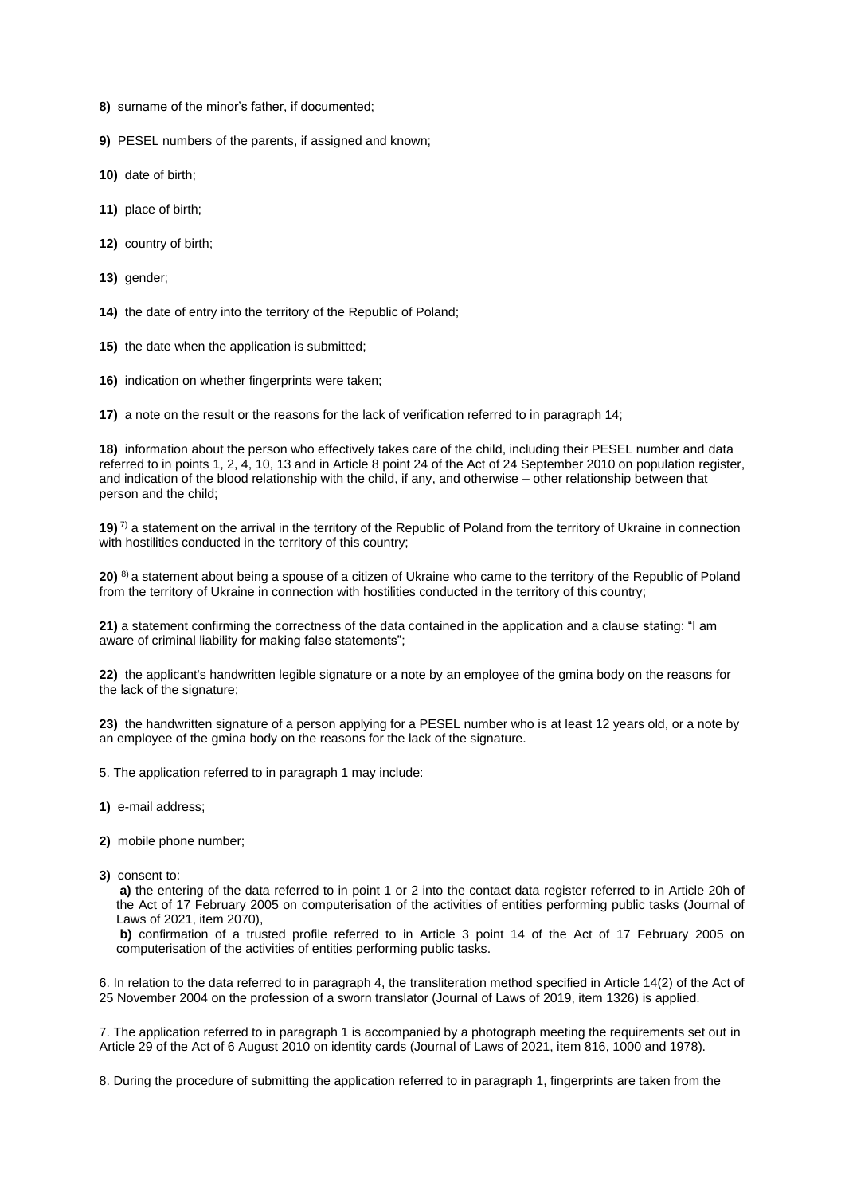- **8)** surname of the minor's father, if documented;
- **9)** PESEL numbers of the parents, if assigned and known;
- **10)** date of birth;
- **11)** place of birth;
- **12)** country of birth;
- **13)** gender;
- **14)** the date of entry into the territory of the Republic of Poland;
- **15)** the date when the application is submitted;
- **16)** indication on whether fingerprints were taken;
- **17)** a note on the result or the reasons for the lack of verification referred to in paragraph 14;

**18)** information about the person who effectively takes care of the child, including their PESEL number and data referred to in points 1, 2, 4, 10, 13 and in Article 8 point 24 of the Act of 24 September 2010 on population register, and indication of the blood relationship with the child, if any, and otherwise – other relationship between that person and the child;

**19)**<sup>7</sup> a statement on the arrival in the territory of the Republic of Poland from the territory of Ukraine in connection with hostilities conducted in the territory of this country;

**20)** 8) a statement about being a spouse of a citizen of Ukraine who came to the territory of the Republic of Poland from the territory of Ukraine in connection with hostilities conducted in the territory of this country;

**21)** a statement confirming the correctness of the data contained in the application and a clause stating: "I am aware of criminal liability for making false statements";

**22)** the applicant's handwritten legible signature or a note by an employee of the gmina body on the reasons for the lack of the signature;

**23)** the handwritten signature of a person applying for a PESEL number who is at least 12 years old, or a note by an employee of the gmina body on the reasons for the lack of the signature.

- 5. The application referred to in paragraph 1 may include:
- **1)** e-mail address;
- **2)** mobile phone number;
- **3)** consent to:

**a)** the entering of the data referred to in point 1 or 2 into the contact data register referred to in Article 20h of the Act of 17 February 2005 on computerisation of the activities of entities performing public tasks (Journal of Laws of 2021, item 2070),

**b)** confirmation of a trusted profile referred to in Article 3 point 14 of the Act of 17 February 2005 on computerisation of the activities of entities performing public tasks.

6. In relation to the data referred to in paragraph 4, the transliteration method specified in Article 14(2) of the Act of 25 November 2004 on the profession of a sworn translator (Journal of Laws of 2019, item 1326) is applied.

7. The application referred to in paragraph 1 is accompanied by a photograph meeting the requirements set out in Article 29 of the Act of 6 August 2010 on identity cards (Journal of Laws of 2021, item 816, 1000 and 1978).

8. During the procedure of submitting the application referred to in paragraph 1, fingerprints are taken from the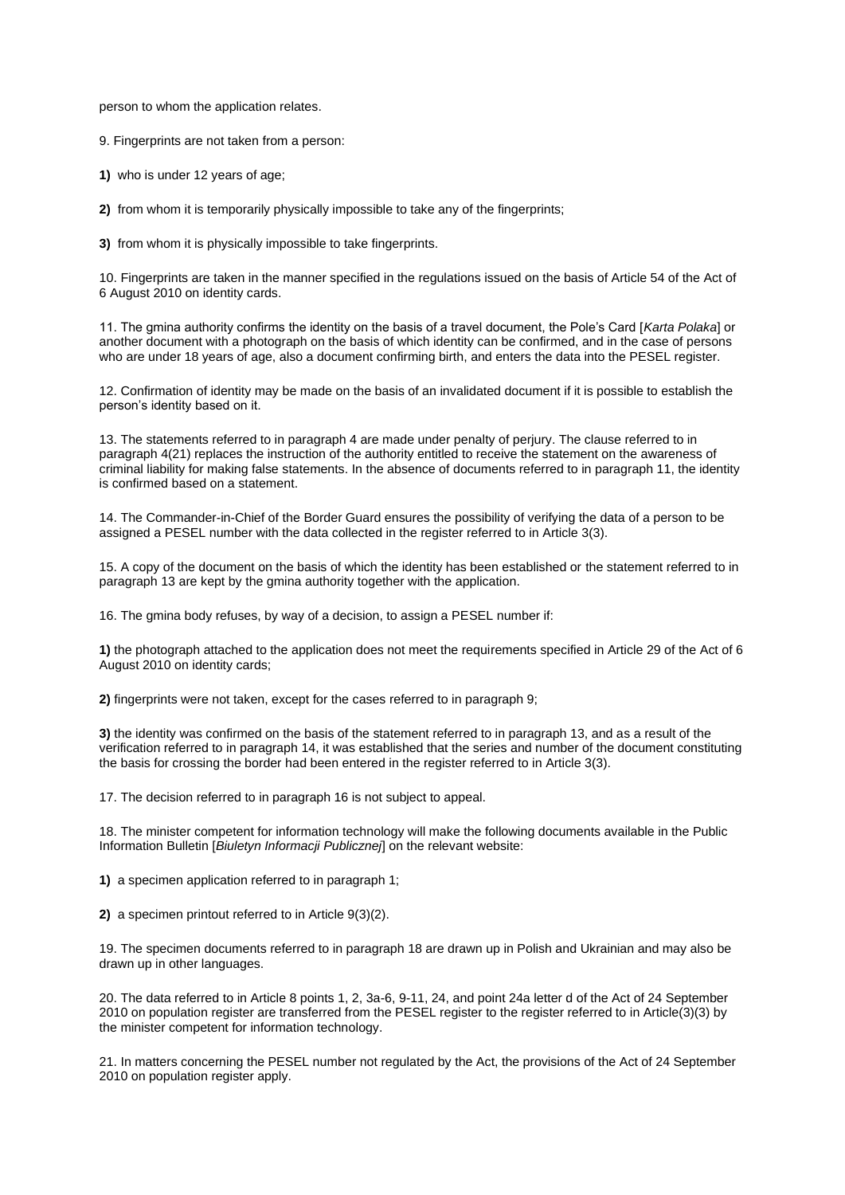person to whom the application relates.

9. Fingerprints are not taken from a person:

**1)** who is under 12 years of age;

**2)** from whom it is temporarily physically impossible to take any of the fingerprints;

**3)** from whom it is physically impossible to take fingerprints.

10. Fingerprints are taken in the manner specified in the regulations issued on the basis of Article 54 of the Act of 6 August 2010 on identity cards.

11. The gmina authority confirms the identity on the basis of a travel document, the Pole's Card [*Karta Polaka*] or another document with a photograph on the basis of which identity can be confirmed, and in the case of persons who are under 18 years of age, also a document confirming birth, and enters the data into the PESEL register.

12. Confirmation of identity may be made on the basis of an invalidated document if it is possible to establish the person's identity based on it.

13. The statements referred to in paragraph 4 are made under penalty of perjury. The clause referred to in paragraph 4(21) replaces the instruction of the authority entitled to receive the statement on the awareness of criminal liability for making false statements. In the absence of documents referred to in paragraph 11, the identity is confirmed based on a statement.

14. The Commander-in-Chief of the Border Guard ensures the possibility of verifying the data of a person to be assigned a PESEL number with the data collected in the register referred to in Article 3(3).

15. A copy of the document on the basis of which the identity has been established or the statement referred to in paragraph 13 are kept by the gmina authority together with the application.

16. The gmina body refuses, by way of a decision, to assign a PESEL number if:

**1)** the photograph attached to the application does not meet the requirements specified in Article 29 of the Act of 6 August 2010 on identity cards;

**2)** fingerprints were not taken, except for the cases referred to in paragraph 9;

**3)** the identity was confirmed on the basis of the statement referred to in paragraph 13, and as a result of the verification referred to in paragraph 14, it was established that the series and number of the document constituting the basis for crossing the border had been entered in the register referred to in Article 3(3).

17. The decision referred to in paragraph 16 is not subject to appeal.

18. The minister competent for information technology will make the following documents available in the Public Information Bulletin [*Biuletyn Informacji Publicznej*] on the relevant website:

**1)** a specimen application referred to in paragraph 1;

**2)** a specimen printout referred to in Article 9(3)(2).

19. The specimen documents referred to in paragraph 18 are drawn up in Polish and Ukrainian and may also be drawn up in other languages.

20. The data referred to in Article 8 points 1, 2, 3a-6, 9-11, 24, and point 24a letter d of the Act of 24 September 2010 on population register are transferred from the PESEL register to the register referred to in Article(3)(3) by the minister competent for information technology.

21. In matters concerning the PESEL number not regulated by the Act, the provisions of the Act of 24 September 2010 on population register apply.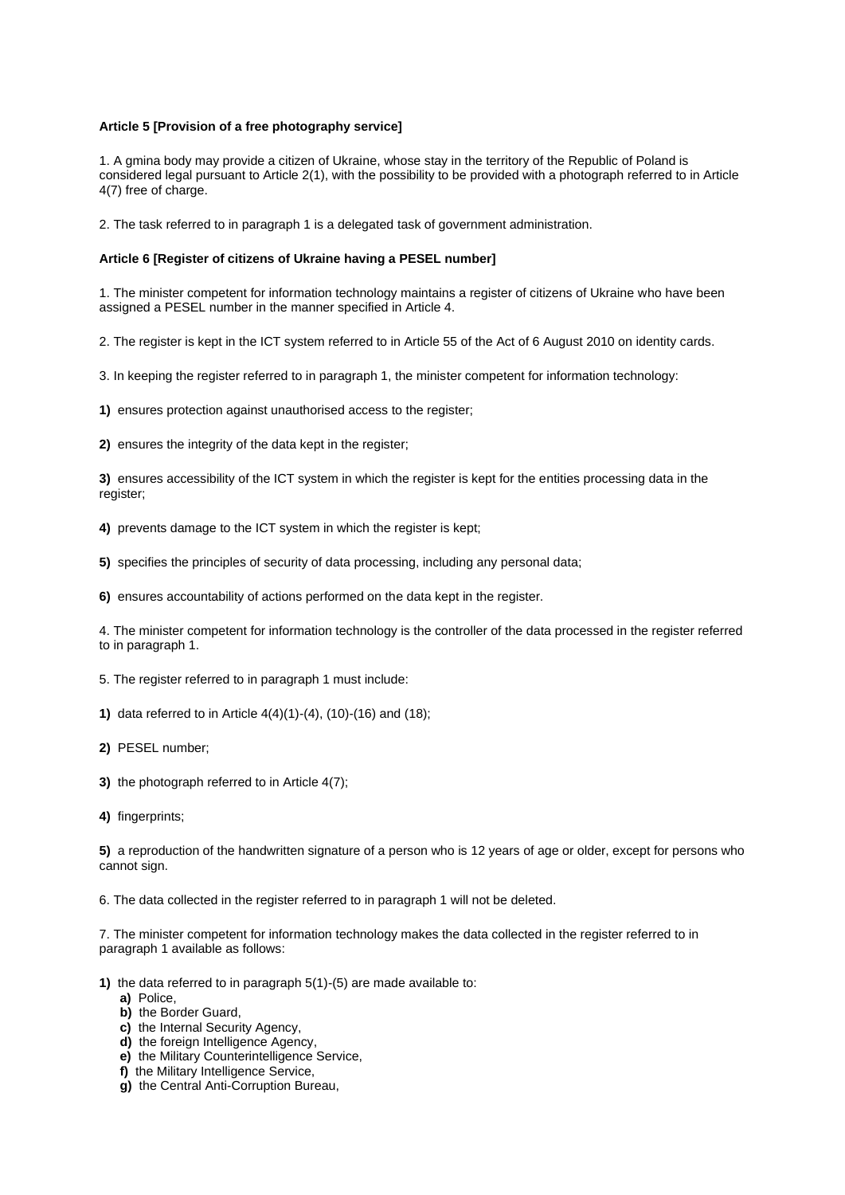## **Article 5 [Provision of a free photography service]**

1. A gmina body may provide a citizen of Ukraine, whose stay in the territory of the Republic of Poland is considered legal pursuant to Article 2(1), with the possibility to be provided with a photograph referred to in Article 4(7) free of charge.

2. The task referred to in paragraph 1 is a delegated task of government administration.

### **Article 6 [Register of citizens of Ukraine having a PESEL number]**

1. The minister competent for information technology maintains a register of citizens of Ukraine who have been assigned a PESEL number in the manner specified in Article 4.

2. The register is kept in the ICT system referred to in Article 55 of the Act of 6 August 2010 on identity cards.

3. In keeping the register referred to in paragraph 1, the minister competent for information technology:

**1)** ensures protection against unauthorised access to the register;

**2)** ensures the integrity of the data kept in the register;

**3)** ensures accessibility of the ICT system in which the register is kept for the entities processing data in the register;

**4)** prevents damage to the ICT system in which the register is kept;

**5)** specifies the principles of security of data processing, including any personal data;

**6)** ensures accountability of actions performed on the data kept in the register.

4. The minister competent for information technology is the controller of the data processed in the register referred to in paragraph 1.

5. The register referred to in paragraph 1 must include:

**1)** data referred to in Article 4(4)(1)-(4), (10)-(16) and (18);

- **2)** PESEL number;
- **3)** the photograph referred to in Article 4(7);
- **4)** fingerprints;

**5)** a reproduction of the handwritten signature of a person who is 12 years of age or older, except for persons who cannot sign.

6. The data collected in the register referred to in paragraph 1 will not be deleted.

7. The minister competent for information technology makes the data collected in the register referred to in paragraph 1 available as follows:

**1)** the data referred to in paragraph 5(1)-(5) are made available to:

- **a)** Police,
- **b)** the Border Guard,
- **c)** the Internal Security Agency,
- **d)** the foreign Intelligence Agency,
- **e)** the Military Counterintelligence Service,
- **f)** the Military Intelligence Service,
- **g)** the Central Anti-Corruption Bureau,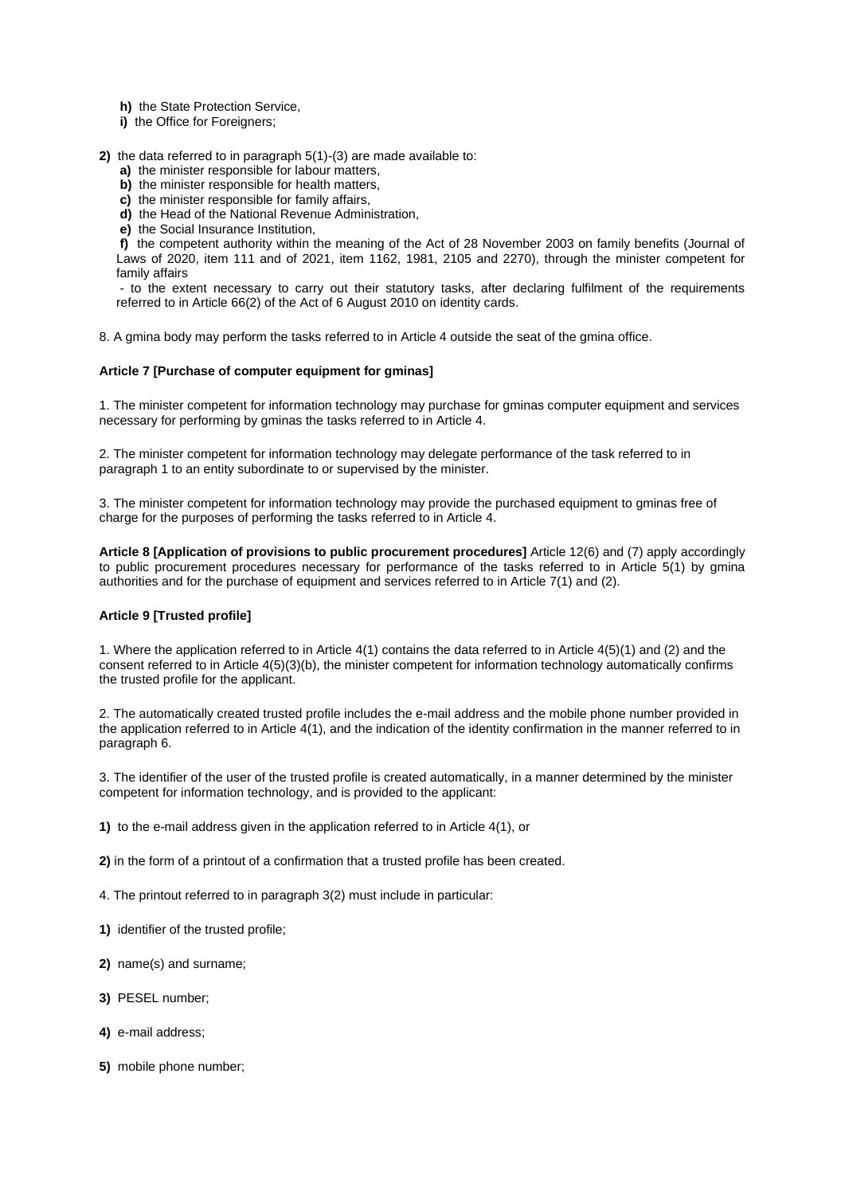- **h)** the State Protection Service,
- **i)** the Office for Foreigners;
- **2)** the data referred to in paragraph 5(1)-(3) are made available to:
	- **a)** the minister responsible for labour matters,
	- **b)** the minister responsible for health matters,
	- **c)** the minister responsible for family affairs,
	- **d)** the Head of the National Revenue Administration,
	- **e)** the Social Insurance Institution,

**f)** the competent authority within the meaning of the Act of 28 November 2003 on family benefits (Journal of Laws of 2020, item 111 and of 2021, item 1162, 1981, 2105 and 2270), through the minister competent for family affairs

- to the extent necessary to carry out their statutory tasks, after declaring fulfilment of the requirements referred to in Article 66(2) of the Act of 6 August 2010 on identity cards.

8. A gmina body may perform the tasks referred to in Article 4 outside the seat of the gmina office.

#### **Article 7 [Purchase of computer equipment for gminas]**

1. The minister competent for information technology may purchase for gminas computer equipment and services necessary for performing by gminas the tasks referred to in Article 4.

2. The minister competent for information technology may delegate performance of the task referred to in paragraph 1 to an entity subordinate to or supervised by the minister.

3. The minister competent for information technology may provide the purchased equipment to gminas free of charge for the purposes of performing the tasks referred to in Article 4.

**Article 8 [Application of provisions to public procurement procedures]** Article 12(6) and (7) apply accordingly to public procurement procedures necessary for performance of the tasks referred to in Article 5(1) by gmina authorities and for the purchase of equipment and services referred to in Article 7(1) and (2).

## **Article 9 [Trusted profile]**

1. Where the application referred to in Article 4(1) contains the data referred to in Article 4(5)(1) and (2) and the consent referred to in Article 4(5)(3)(b), the minister competent for information technology automatically confirms the trusted profile for the applicant.

2. The automatically created trusted profile includes the e-mail address and the mobile phone number provided in the application referred to in Article 4(1), and the indication of the identity confirmation in the manner referred to in paragraph 6.

3. The identifier of the user of the trusted profile is created automatically, in a manner determined by the minister competent for information technology, and is provided to the applicant:

**1)** to the e-mail address given in the application referred to in Article 4(1), or

**2)** in the form of a printout of a confirmation that a trusted profile has been created.

- 4. The printout referred to in paragraph 3(2) must include in particular:
- **1)** identifier of the trusted profile;
- **2)** name(s) and surname;
- **3)** PESEL number;
- **4)** e-mail address;
- **5)** mobile phone number;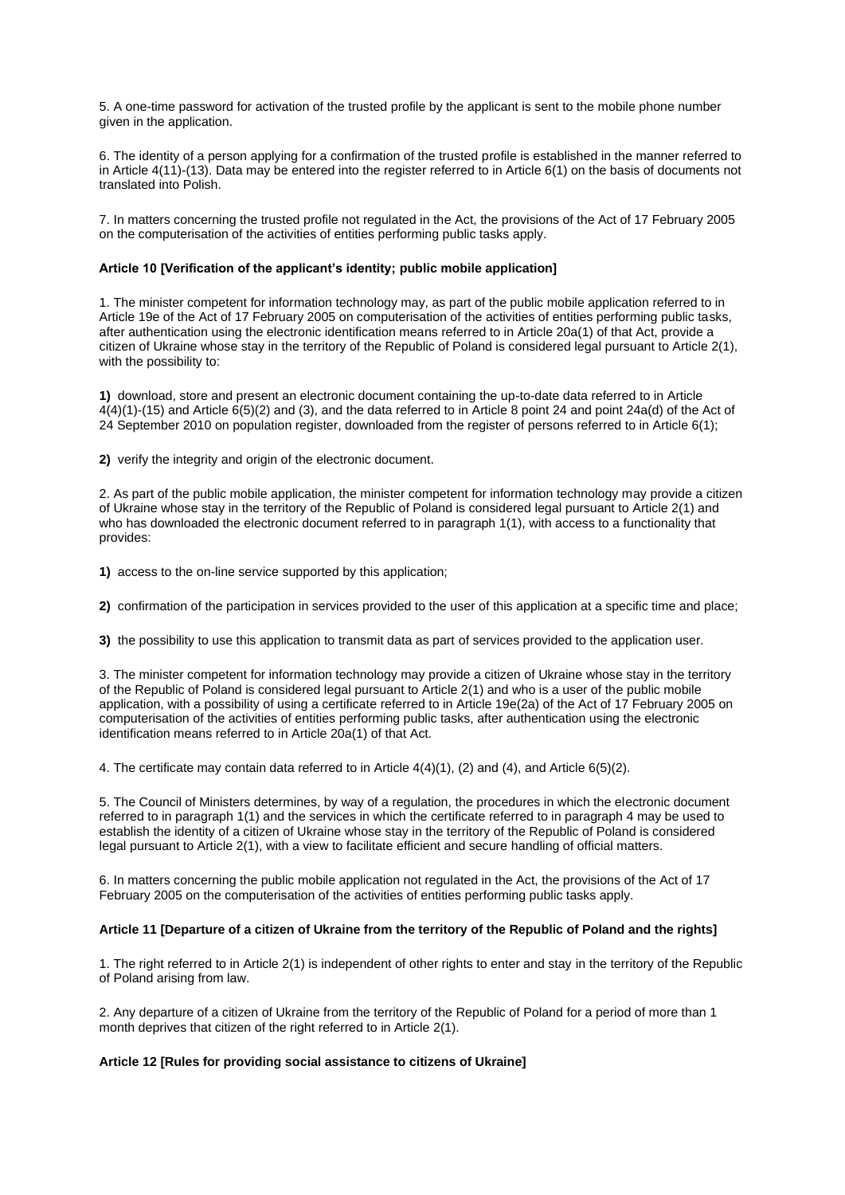5. A one-time password for activation of the trusted profile by the applicant is sent to the mobile phone number given in the application.

6. The identity of a person applying for a confirmation of the trusted profile is established in the manner referred to in Article 4(11)-(13). Data may be entered into the register referred to in Article 6(1) on the basis of documents not translated into Polish.

7. In matters concerning the trusted profile not regulated in the Act, the provisions of the Act of 17 February 2005 on the computerisation of the activities of entities performing public tasks apply.

## **Article 10 [Verification of the applicant's identity; public mobile application]**

1. The minister competent for information technology may, as part of the public mobile application referred to in Article 19e of the Act of 17 February 2005 on computerisation of the activities of entities performing public tasks, after authentication using the electronic identification means referred to in Article 20a(1) of that Act, provide a citizen of Ukraine whose stay in the territory of the Republic of Poland is considered legal pursuant to Article 2(1), with the possibility to:

**1)** download, store and present an electronic document containing the up-to-date data referred to in Article 4(4)(1)-(15) and Article 6(5)(2) and (3), and the data referred to in Article 8 point 24 and point 24a(d) of the Act of 24 September 2010 on population register, downloaded from the register of persons referred to in Article 6(1);

**2)** verify the integrity and origin of the electronic document.

2. As part of the public mobile application, the minister competent for information technology may provide a citizen of Ukraine whose stay in the territory of the Republic of Poland is considered legal pursuant to Article 2(1) and who has downloaded the electronic document referred to in paragraph 1(1), with access to a functionality that provides:

**1)** access to the on-line service supported by this application;

**2)** confirmation of the participation in services provided to the user of this application at a specific time and place;

**3)** the possibility to use this application to transmit data as part of services provided to the application user.

3. The minister competent for information technology may provide a citizen of Ukraine whose stay in the territory of the Republic of Poland is considered legal pursuant to Article 2(1) and who is a user of the public mobile application, with a possibility of using a certificate referred to in Article 19e(2a) of the Act of 17 February 2005 on computerisation of the activities of entities performing public tasks, after authentication using the electronic identification means referred to in Article 20a(1) of that Act.

4. The certificate may contain data referred to in Article 4(4)(1), (2) and (4), and Article 6(5)(2).

5. The Council of Ministers determines, by way of a regulation, the procedures in which the electronic document referred to in paragraph 1(1) and the services in which the certificate referred to in paragraph 4 may be used to establish the identity of a citizen of Ukraine whose stay in the territory of the Republic of Poland is considered legal pursuant to Article 2(1), with a view to facilitate efficient and secure handling of official matters.

6. In matters concerning the public mobile application not regulated in the Act, the provisions of the Act of 17 February 2005 on the computerisation of the activities of entities performing public tasks apply.

# **Article 11 [Departure of a citizen of Ukraine from the territory of the Republic of Poland and the rights]**

1. The right referred to in Article 2(1) is independent of other rights to enter and stay in the territory of the Republic of Poland arising from law.

2. Any departure of a citizen of Ukraine from the territory of the Republic of Poland for a period of more than 1 month deprives that citizen of the right referred to in Article 2(1).

# **Article 12 [Rules for providing social assistance to citizens of Ukraine]**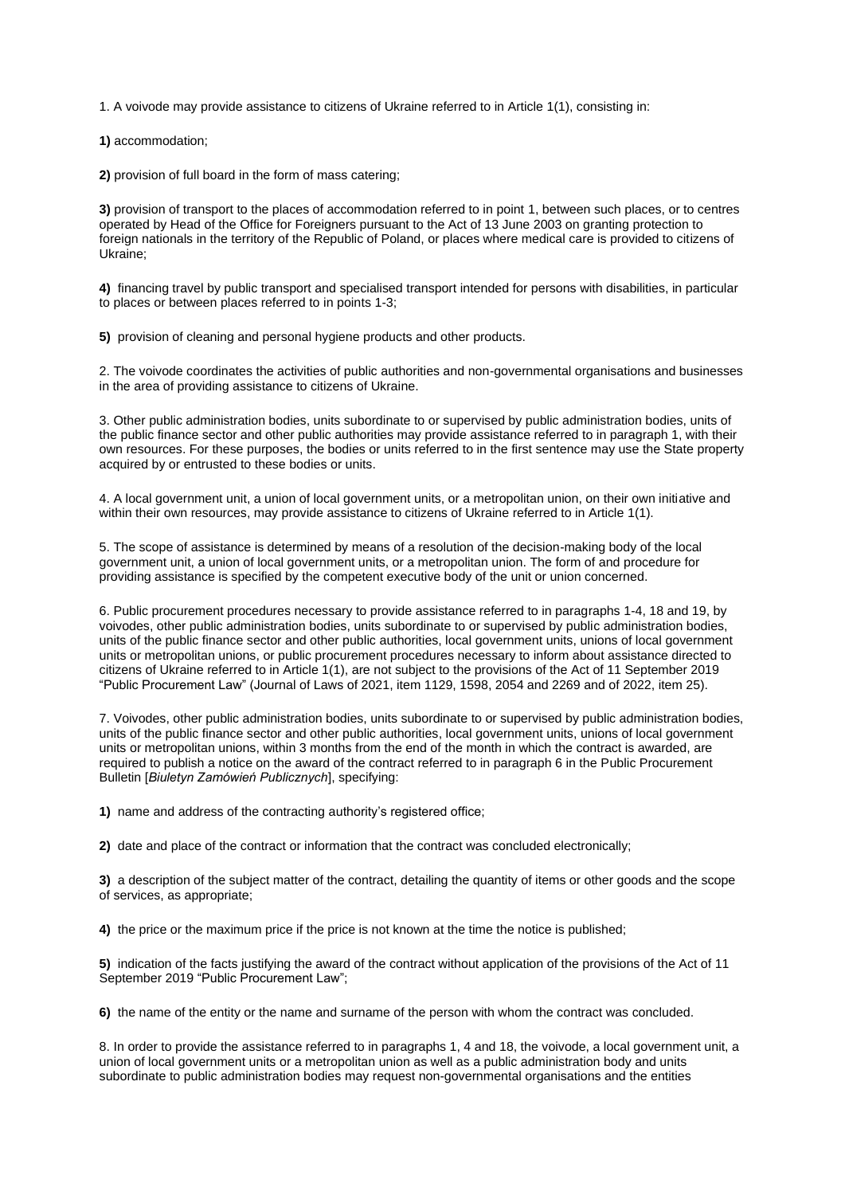1. A voivode may provide assistance to citizens of Ukraine referred to in Article 1(1), consisting in:

**1)** accommodation;

**2)** provision of full board in the form of mass catering;

**3)** provision of transport to the places of accommodation referred to in point 1, between such places, or to centres operated by Head of the Office for Foreigners pursuant to the Act of 13 June 2003 on granting protection to foreign nationals in the territory of the Republic of Poland, or places where medical care is provided to citizens of Ukraine;

**4)** financing travel by public transport and specialised transport intended for persons with disabilities, in particular to places or between places referred to in points 1-3;

**5)** provision of cleaning and personal hygiene products and other products.

2. The voivode coordinates the activities of public authorities and non-governmental organisations and businesses in the area of providing assistance to citizens of Ukraine.

3. Other public administration bodies, units subordinate to or supervised by public administration bodies, units of the public finance sector and other public authorities may provide assistance referred to in paragraph 1, with their own resources. For these purposes, the bodies or units referred to in the first sentence may use the State property acquired by or entrusted to these bodies or units.

4. A local government unit, a union of local government units, or a metropolitan union, on their own initiative and within their own resources, may provide assistance to citizens of Ukraine referred to in Article 1(1).

5. The scope of assistance is determined by means of a resolution of the decision-making body of the local government unit, a union of local government units, or a metropolitan union. The form of and procedure for providing assistance is specified by the competent executive body of the unit or union concerned.

6. Public procurement procedures necessary to provide assistance referred to in paragraphs 1-4, 18 and 19, by voivodes, other public administration bodies, units subordinate to or supervised by public administration bodies, units of the public finance sector and other public authorities, local government units, unions of local government units or metropolitan unions, or public procurement procedures necessary to inform about assistance directed to citizens of Ukraine referred to in Article 1(1), are not subject to the provisions of the Act of 11 September 2019 "Public Procurement Law" (Journal of Laws of 2021, item 1129, 1598, 2054 and 2269 and of 2022, item 25).

7. Voivodes, other public administration bodies, units subordinate to or supervised by public administration bodies, units of the public finance sector and other public authorities, local government units, unions of local government units or metropolitan unions, within 3 months from the end of the month in which the contract is awarded, are required to publish a notice on the award of the contract referred to in paragraph 6 in the Public Procurement Bulletin [*Biuletyn Zamówień Publicznych*], specifying:

**1)** name and address of the contracting authority's registered office;

**2)** date and place of the contract or information that the contract was concluded electronically;

**3)** a description of the subject matter of the contract, detailing the quantity of items or other goods and the scope of services, as appropriate;

**4)** the price or the maximum price if the price is not known at the time the notice is published;

**5)** indication of the facts justifying the award of the contract without application of the provisions of the Act of 11 September 2019 "Public Procurement Law";

**6)** the name of the entity or the name and surname of the person with whom the contract was concluded.

8. In order to provide the assistance referred to in paragraphs 1, 4 and 18, the voivode, a local government unit, a union of local government units or a metropolitan union as well as a public administration body and units subordinate to public administration bodies may request non-governmental organisations and the entities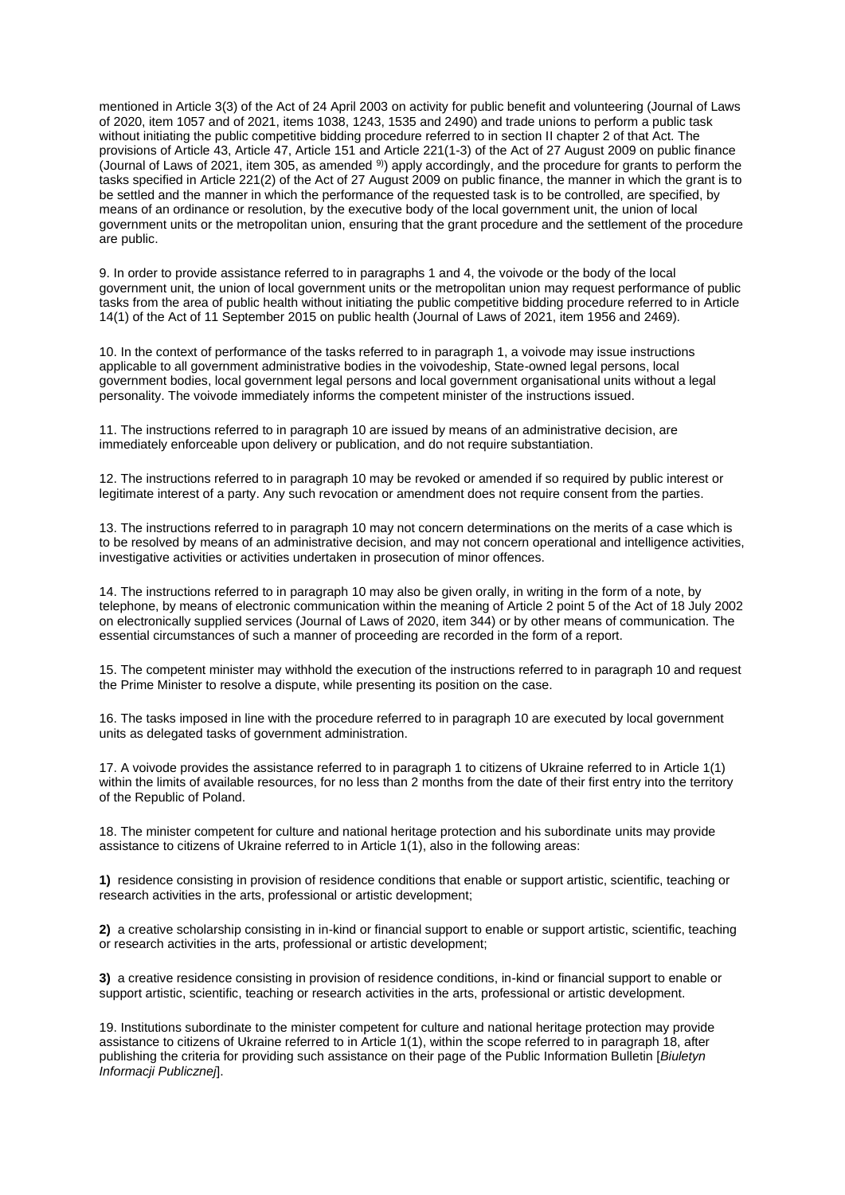mentioned in Article 3(3) of the Act of 24 April 2003 on activity for public benefit and volunteering (Journal of Laws of 2020, item 1057 and of 2021, items 1038, 1243, 1535 and 2490) and trade unions to perform a public task without initiating the public competitive bidding procedure referred to in section II chapter 2 of that Act. The provisions of Article 43, Article 47, Article 151 and Article 221(1-3) of the Act of 27 August 2009 on public finance (Journal of Laws of 2021, item 305, as amended 9)) apply accordingly, and the procedure for grants to perform the tasks specified in Article 221(2) of the Act of 27 August 2009 on public finance, the manner in which the grant is to be settled and the manner in which the performance of the requested task is to be controlled, are specified, by means of an ordinance or resolution, by the executive body of the local government unit, the union of local government units or the metropolitan union, ensuring that the grant procedure and the settlement of the procedure are public.

9. In order to provide assistance referred to in paragraphs 1 and 4, the voivode or the body of the local government unit, the union of local government units or the metropolitan union may request performance of public tasks from the area of public health without initiating the public competitive bidding procedure referred to in Article 14(1) of the Act of 11 September 2015 on public health (Journal of Laws of 2021, item 1956 and 2469).

10. In the context of performance of the tasks referred to in paragraph 1, a voivode may issue instructions applicable to all government administrative bodies in the voivodeship, State-owned legal persons, local government bodies, local government legal persons and local government organisational units without a legal personality. The voivode immediately informs the competent minister of the instructions issued.

11. The instructions referred to in paragraph 10 are issued by means of an administrative decision, are immediately enforceable upon delivery or publication, and do not require substantiation.

12. The instructions referred to in paragraph 10 may be revoked or amended if so required by public interest or legitimate interest of a party. Any such revocation or amendment does not require consent from the parties.

13. The instructions referred to in paragraph 10 may not concern determinations on the merits of a case which is to be resolved by means of an administrative decision, and may not concern operational and intelligence activities, investigative activities or activities undertaken in prosecution of minor offences.

14. The instructions referred to in paragraph 10 may also be given orally, in writing in the form of a note, by telephone, by means of electronic communication within the meaning of Article 2 point 5 of the Act of 18 July 2002 on electronically supplied services (Journal of Laws of 2020, item 344) or by other means of communication. The essential circumstances of such a manner of proceeding are recorded in the form of a report.

15. The competent minister may withhold the execution of the instructions referred to in paragraph 10 and request the Prime Minister to resolve a dispute, while presenting its position on the case.

16. The tasks imposed in line with the procedure referred to in paragraph 10 are executed by local government units as delegated tasks of government administration.

17. A voivode provides the assistance referred to in paragraph 1 to citizens of Ukraine referred to in Article 1(1) within the limits of available resources, for no less than 2 months from the date of their first entry into the territory of the Republic of Poland.

18. The minister competent for culture and national heritage protection and his subordinate units may provide assistance to citizens of Ukraine referred to in Article 1(1), also in the following areas:

**1)** residence consisting in provision of residence conditions that enable or support artistic, scientific, teaching or research activities in the arts, professional or artistic development;

**2)** a creative scholarship consisting in in-kind or financial support to enable or support artistic, scientific, teaching or research activities in the arts, professional or artistic development;

**3)** a creative residence consisting in provision of residence conditions, in-kind or financial support to enable or support artistic, scientific, teaching or research activities in the arts, professional or artistic development.

19. Institutions subordinate to the minister competent for culture and national heritage protection may provide assistance to citizens of Ukraine referred to in Article 1(1), within the scope referred to in paragraph 18, after publishing the criteria for providing such assistance on their page of the Public Information Bulletin [*Biuletyn Informacji Publicznej*].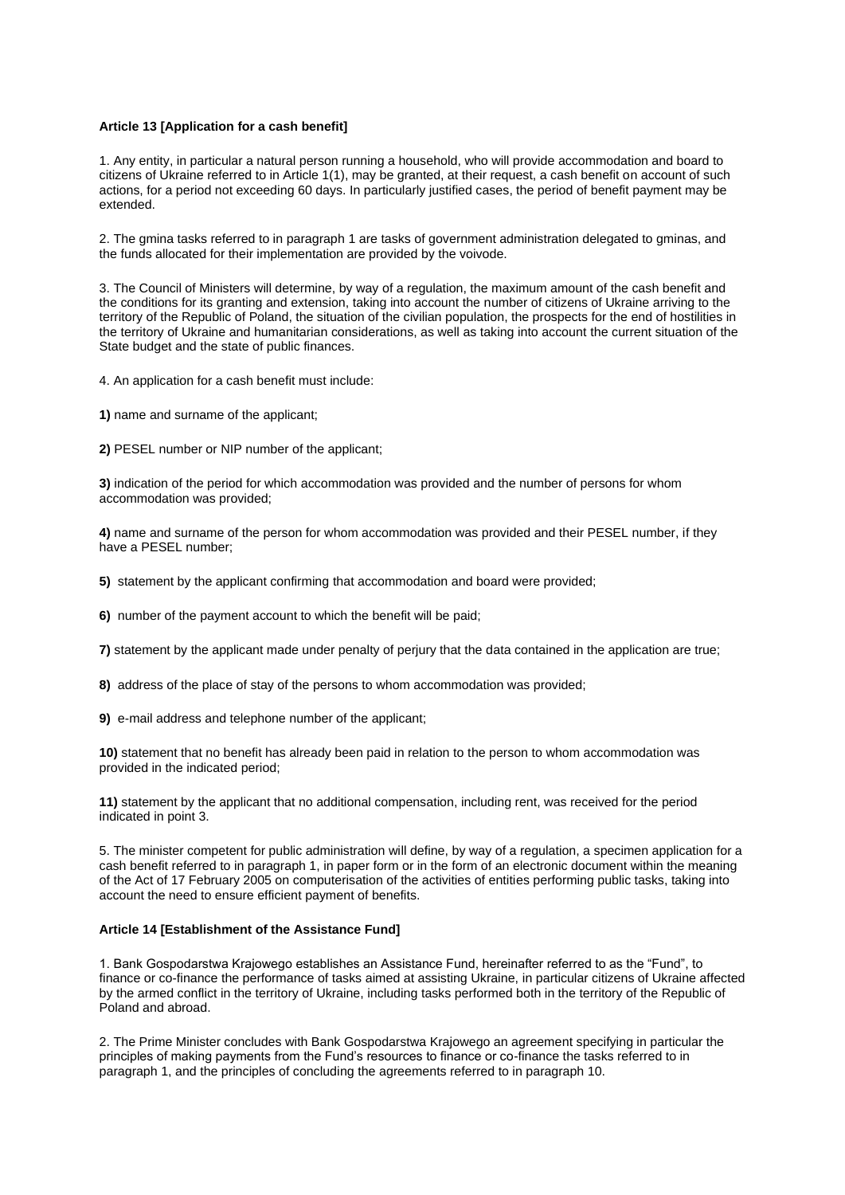## **Article 13 [Application for a cash benefit]**

1. Any entity, in particular a natural person running a household, who will provide accommodation and board to citizens of Ukraine referred to in Article 1(1), may be granted, at their request, a cash benefit on account of such actions, for a period not exceeding 60 days. In particularly justified cases, the period of benefit payment may be extended.

2. The gmina tasks referred to in paragraph 1 are tasks of government administration delegated to gminas, and the funds allocated for their implementation are provided by the voivode.

3. The Council of Ministers will determine, by way of a regulation, the maximum amount of the cash benefit and the conditions for its granting and extension, taking into account the number of citizens of Ukraine arriving to the territory of the Republic of Poland, the situation of the civilian population, the prospects for the end of hostilities in the territory of Ukraine and humanitarian considerations, as well as taking into account the current situation of the State budget and the state of public finances.

4. An application for a cash benefit must include:

**1)** name and surname of the applicant;

**2)** PESEL number or NIP number of the applicant;

**3)** indication of the period for which accommodation was provided and the number of persons for whom accommodation was provided;

**4)** name and surname of the person for whom accommodation was provided and their PESEL number, if they have a PESEL number;

**5)** statement by the applicant confirming that accommodation and board were provided;

**6)** number of the payment account to which the benefit will be paid;

**7)** statement by the applicant made under penalty of perjury that the data contained in the application are true;

**8)** address of the place of stay of the persons to whom accommodation was provided;

**9)** e-mail address and telephone number of the applicant;

**10)** statement that no benefit has already been paid in relation to the person to whom accommodation was provided in the indicated period;

**11)** statement by the applicant that no additional compensation, including rent, was received for the period indicated in point 3.

5. The minister competent for public administration will define, by way of a regulation, a specimen application for a cash benefit referred to in paragraph 1, in paper form or in the form of an electronic document within the meaning of the Act of 17 February 2005 on computerisation of the activities of entities performing public tasks, taking into account the need to ensure efficient payment of benefits.

## **Article 14 [Establishment of the Assistance Fund]**

1. Bank Gospodarstwa Krajowego establishes an Assistance Fund, hereinafter referred to as the "Fund", to finance or co-finance the performance of tasks aimed at assisting Ukraine, in particular citizens of Ukraine affected by the armed conflict in the territory of Ukraine, including tasks performed both in the territory of the Republic of Poland and abroad.

2. The Prime Minister concludes with Bank Gospodarstwa Krajowego an agreement specifying in particular the principles of making payments from the Fund's resources to finance or co-finance the tasks referred to in paragraph 1, and the principles of concluding the agreements referred to in paragraph 10.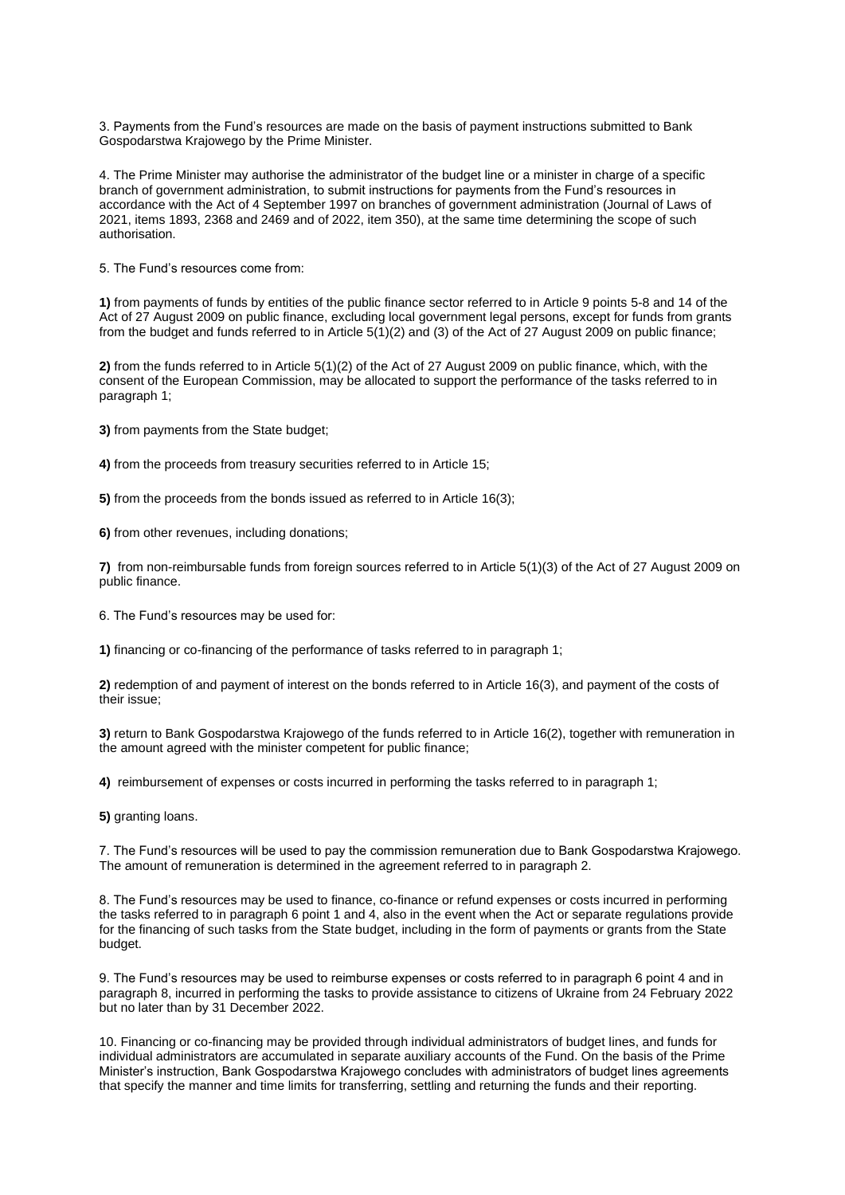3. Payments from the Fund's resources are made on the basis of payment instructions submitted to Bank Gospodarstwa Krajowego by the Prime Minister.

4. The Prime Minister may authorise the administrator of the budget line or a minister in charge of a specific branch of government administration, to submit instructions for payments from the Fund's resources in accordance with the Act of 4 September 1997 on branches of government administration (Journal of Laws of 2021, items 1893, 2368 and 2469 and of 2022, item 350), at the same time determining the scope of such authorisation.

5. The Fund's resources come from:

**1)** from payments of funds by entities of the public finance sector referred to in Article 9 points 5-8 and 14 of the Act of 27 August 2009 on public finance, excluding local government legal persons, except for funds from grants from the budget and funds referred to in Article 5(1)(2) and (3) of the Act of 27 August 2009 on public finance;

**2)** from the funds referred to in Article 5(1)(2) of the Act of 27 August 2009 on public finance, which, with the consent of the European Commission, may be allocated to support the performance of the tasks referred to in paragraph 1;

**3)** from payments from the State budget;

**4)** from the proceeds from treasury securities referred to in Article 15;

**5)** from the proceeds from the bonds issued as referred to in Article 16(3);

**6)** from other revenues, including donations;

**7)** from non-reimbursable funds from foreign sources referred to in Article 5(1)(3) of the Act of 27 August 2009 on public finance.

6. The Fund's resources may be used for:

**1)** financing or co-financing of the performance of tasks referred to in paragraph 1;

**2)** redemption of and payment of interest on the bonds referred to in Article 16(3), and payment of the costs of their issue;

**3)** return to Bank Gospodarstwa Krajowego of the funds referred to in Article 16(2), together with remuneration in the amount agreed with the minister competent for public finance;

**4)** reimbursement of expenses or costs incurred in performing the tasks referred to in paragraph 1;

**5)** granting loans.

7. The Fund's resources will be used to pay the commission remuneration due to Bank Gospodarstwa Krajowego. The amount of remuneration is determined in the agreement referred to in paragraph 2.

8. The Fund's resources may be used to finance, co-finance or refund expenses or costs incurred in performing the tasks referred to in paragraph 6 point 1 and 4, also in the event when the Act or separate regulations provide for the financing of such tasks from the State budget, including in the form of payments or grants from the State budget.

9. The Fund's resources may be used to reimburse expenses or costs referred to in paragraph 6 point 4 and in paragraph 8, incurred in performing the tasks to provide assistance to citizens of Ukraine from 24 February 2022 but no later than by 31 December 2022.

10. Financing or co-financing may be provided through individual administrators of budget lines, and funds for individual administrators are accumulated in separate auxiliary accounts of the Fund. On the basis of the Prime Minister's instruction, Bank Gospodarstwa Krajowego concludes with administrators of budget lines agreements that specify the manner and time limits for transferring, settling and returning the funds and their reporting.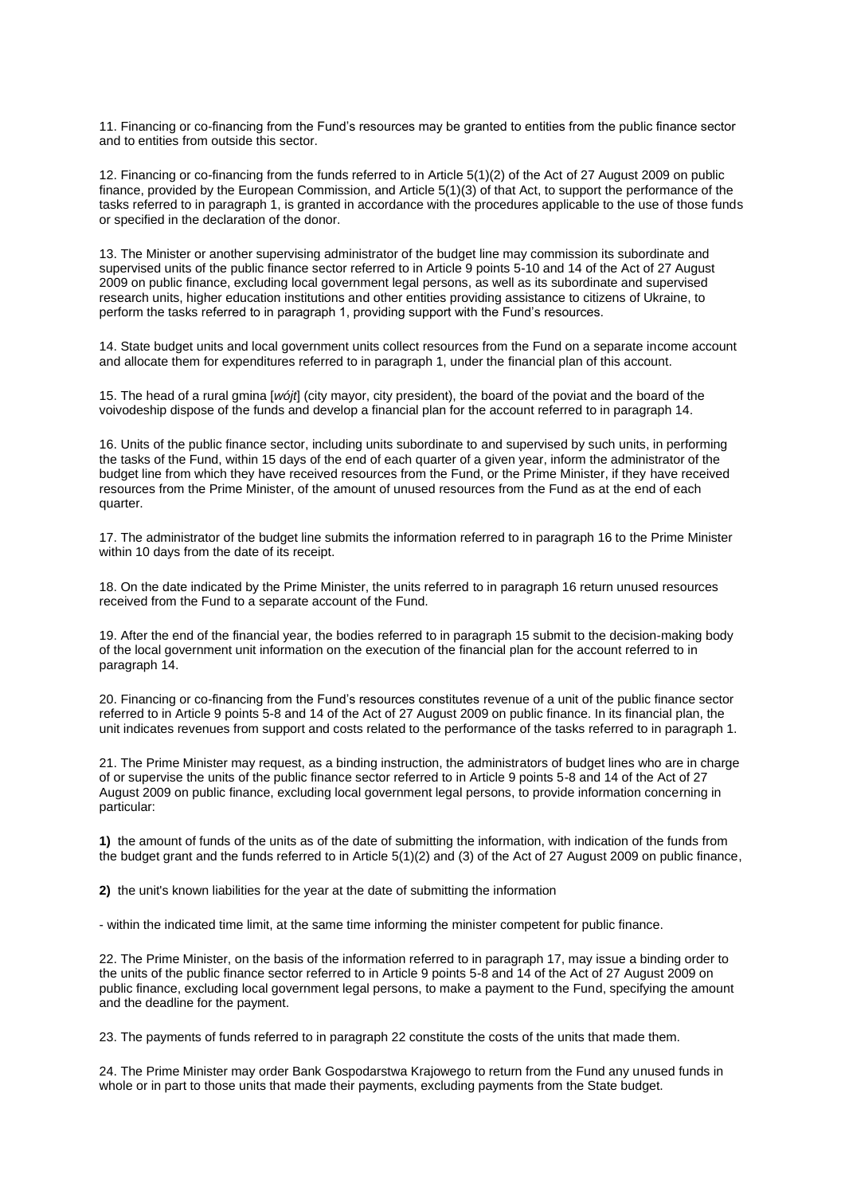11. Financing or co-financing from the Fund's resources may be granted to entities from the public finance sector and to entities from outside this sector.

12. Financing or co-financing from the funds referred to in Article 5(1)(2) of the Act of 27 August 2009 on public finance, provided by the European Commission, and Article 5(1)(3) of that Act, to support the performance of the tasks referred to in paragraph 1, is granted in accordance with the procedures applicable to the use of those funds or specified in the declaration of the donor.

13. The Minister or another supervising administrator of the budget line may commission its subordinate and supervised units of the public finance sector referred to in Article 9 points 5-10 and 14 of the Act of 27 August 2009 on public finance, excluding local government legal persons, as well as its subordinate and supervised research units, higher education institutions and other entities providing assistance to citizens of Ukraine, to perform the tasks referred to in paragraph 1, providing support with the Fund's resources.

14. State budget units and local government units collect resources from the Fund on a separate income account and allocate them for expenditures referred to in paragraph 1, under the financial plan of this account.

15. The head of a rural gmina [*wójt*] (city mayor, city president), the board of the poviat and the board of the voivodeship dispose of the funds and develop a financial plan for the account referred to in paragraph 14.

16. Units of the public finance sector, including units subordinate to and supervised by such units, in performing the tasks of the Fund, within 15 days of the end of each quarter of a given year, inform the administrator of the budget line from which they have received resources from the Fund, or the Prime Minister, if they have received resources from the Prime Minister, of the amount of unused resources from the Fund as at the end of each quarter.

17. The administrator of the budget line submits the information referred to in paragraph 16 to the Prime Minister within 10 days from the date of its receipt.

18. On the date indicated by the Prime Minister, the units referred to in paragraph 16 return unused resources received from the Fund to a separate account of the Fund.

19. After the end of the financial year, the bodies referred to in paragraph 15 submit to the decision-making body of the local government unit information on the execution of the financial plan for the account referred to in paragraph 14.

20. Financing or co-financing from the Fund's resources constitutes revenue of a unit of the public finance sector referred to in Article 9 points 5-8 and 14 of the Act of 27 August 2009 on public finance. In its financial plan, the unit indicates revenues from support and costs related to the performance of the tasks referred to in paragraph 1.

21. The Prime Minister may request, as a binding instruction, the administrators of budget lines who are in charge of or supervise the units of the public finance sector referred to in Article 9 points 5-8 and 14 of the Act of 27 August 2009 on public finance, excluding local government legal persons, to provide information concerning in particular:

**1)** the amount of funds of the units as of the date of submitting the information, with indication of the funds from the budget grant and the funds referred to in Article 5(1)(2) and (3) of the Act of 27 August 2009 on public finance,

**2)** the unit's known liabilities for the year at the date of submitting the information

- within the indicated time limit, at the same time informing the minister competent for public finance.

22. The Prime Minister, on the basis of the information referred to in paragraph 17, may issue a binding order to the units of the public finance sector referred to in Article 9 points 5-8 and 14 of the Act of 27 August 2009 on public finance, excluding local government legal persons, to make a payment to the Fund, specifying the amount and the deadline for the payment.

23. The payments of funds referred to in paragraph 22 constitute the costs of the units that made them.

24. The Prime Minister may order Bank Gospodarstwa Krajowego to return from the Fund any unused funds in whole or in part to those units that made their payments, excluding payments from the State budget.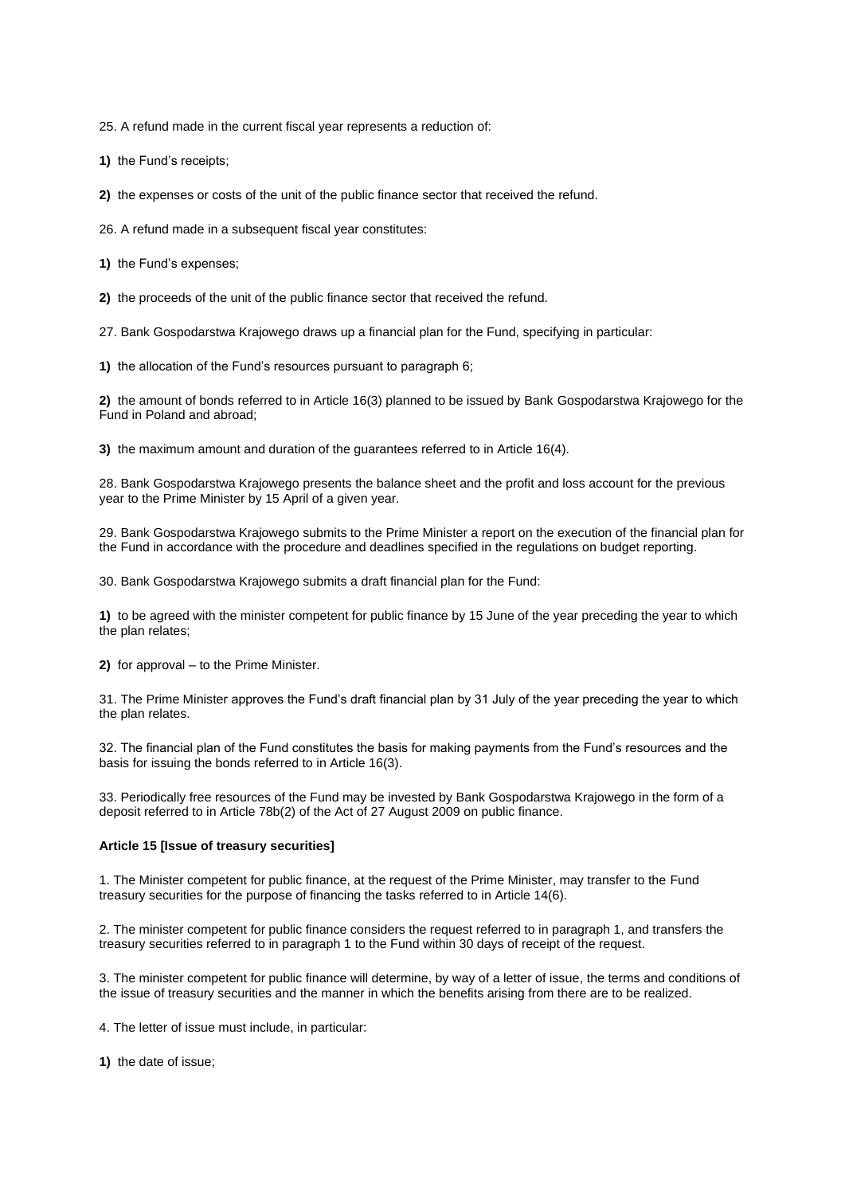25. A refund made in the current fiscal year represents a reduction of:

**1)** the Fund's receipts;

**2)** the expenses or costs of the unit of the public finance sector that received the refund.

26. A refund made in a subsequent fiscal year constitutes:

**1)** the Fund's expenses;

**2)** the proceeds of the unit of the public finance sector that received the refund.

27. Bank Gospodarstwa Krajowego draws up a financial plan for the Fund, specifying in particular:

**1)** the allocation of the Fund's resources pursuant to paragraph 6;

**2)** the amount of bonds referred to in Article 16(3) planned to be issued by Bank Gospodarstwa Krajowego for the Fund in Poland and abroad;

**3)** the maximum amount and duration of the guarantees referred to in Article 16(4).

28. Bank Gospodarstwa Krajowego presents the balance sheet and the profit and loss account for the previous year to the Prime Minister by 15 April of a given year.

29. Bank Gospodarstwa Krajowego submits to the Prime Minister a report on the execution of the financial plan for the Fund in accordance with the procedure and deadlines specified in the regulations on budget reporting.

30. Bank Gospodarstwa Krajowego submits a draft financial plan for the Fund:

**1)** to be agreed with the minister competent for public finance by 15 June of the year preceding the year to which the plan relates;

**2)** for approval – to the Prime Minister.

31. The Prime Minister approves the Fund's draft financial plan by 31 July of the year preceding the year to which the plan relates.

32. The financial plan of the Fund constitutes the basis for making payments from the Fund's resources and the basis for issuing the bonds referred to in Article 16(3).

33. Periodically free resources of the Fund may be invested by Bank Gospodarstwa Krajowego in the form of a deposit referred to in Article 78b(2) of the Act of 27 August 2009 on public finance.

## **Article 15 [Issue of treasury securities]**

1. The Minister competent for public finance, at the request of the Prime Minister, may transfer to the Fund treasury securities for the purpose of financing the tasks referred to in Article 14(6).

2. The minister competent for public finance considers the request referred to in paragraph 1, and transfers the treasury securities referred to in paragraph 1 to the Fund within 30 days of receipt of the request.

3. The minister competent for public finance will determine, by way of a letter of issue, the terms and conditions of the issue of treasury securities and the manner in which the benefits arising from there are to be realized.

4. The letter of issue must include, in particular:

**1)** the date of issue;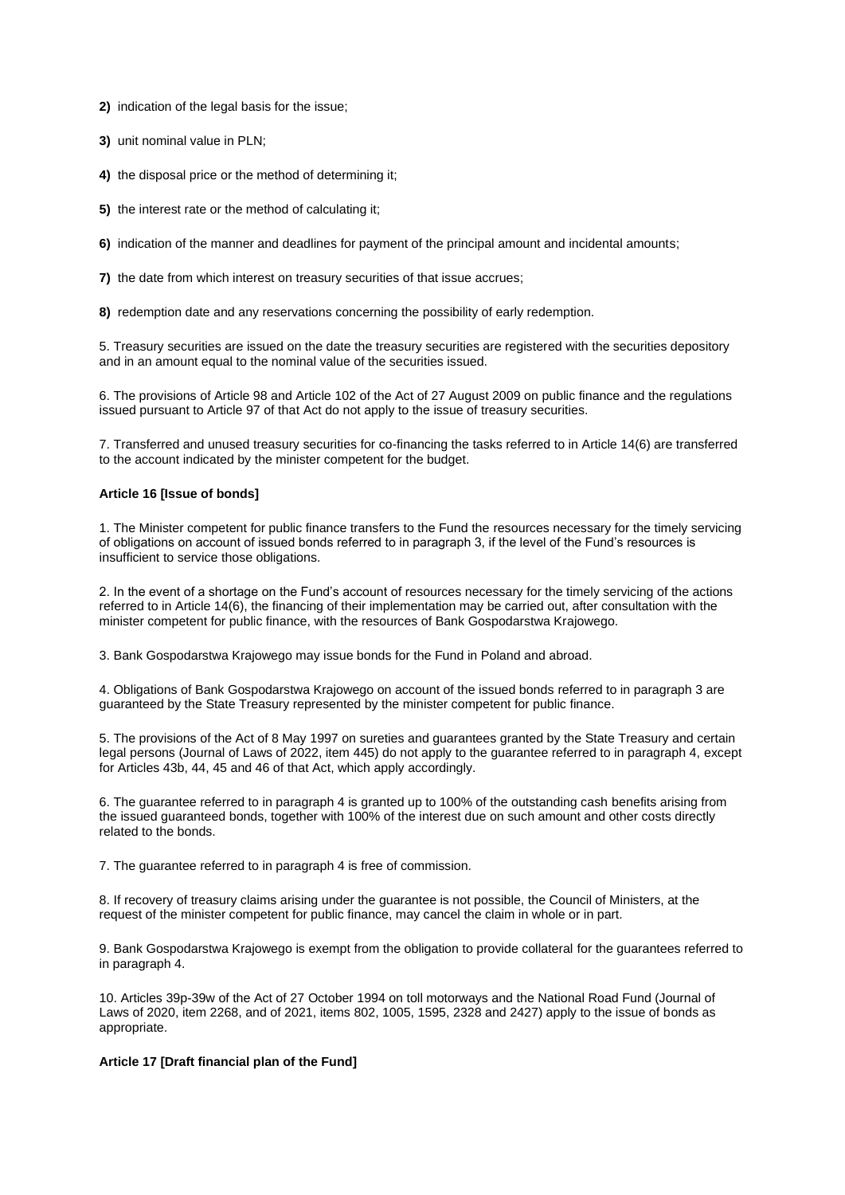**2)** indication of the legal basis for the issue;

**3)** unit nominal value in PLN;

**4)** the disposal price or the method of determining it;

**5)** the interest rate or the method of calculating it;

**6)** indication of the manner and deadlines for payment of the principal amount and incidental amounts;

**7)** the date from which interest on treasury securities of that issue accrues;

**8)** redemption date and any reservations concerning the possibility of early redemption.

5. Treasury securities are issued on the date the treasury securities are registered with the securities depository and in an amount equal to the nominal value of the securities issued.

6. The provisions of Article 98 and Article 102 of the Act of 27 August 2009 on public finance and the regulations issued pursuant to Article 97 of that Act do not apply to the issue of treasury securities.

7. Transferred and unused treasury securities for co-financing the tasks referred to in Article 14(6) are transferred to the account indicated by the minister competent for the budget.

#### **Article 16 [Issue of bonds]**

1. The Minister competent for public finance transfers to the Fund the resources necessary for the timely servicing of obligations on account of issued bonds referred to in paragraph 3, if the level of the Fund's resources is insufficient to service those obligations.

2. In the event of a shortage on the Fund's account of resources necessary for the timely servicing of the actions referred to in Article 14(6), the financing of their implementation may be carried out, after consultation with the minister competent for public finance, with the resources of Bank Gospodarstwa Krajowego.

3. Bank Gospodarstwa Krajowego may issue bonds for the Fund in Poland and abroad.

4. Obligations of Bank Gospodarstwa Krajowego on account of the issued bonds referred to in paragraph 3 are guaranteed by the State Treasury represented by the minister competent for public finance.

5. The provisions of the Act of 8 May 1997 on sureties and guarantees granted by the State Treasury and certain legal persons (Journal of Laws of 2022, item 445) do not apply to the guarantee referred to in paragraph 4, except for Articles 43b, 44, 45 and 46 of that Act, which apply accordingly.

6. The guarantee referred to in paragraph 4 is granted up to 100% of the outstanding cash benefits arising from the issued guaranteed bonds, together with 100% of the interest due on such amount and other costs directly related to the bonds.

7. The guarantee referred to in paragraph 4 is free of commission.

8. If recovery of treasury claims arising under the guarantee is not possible, the Council of Ministers, at the request of the minister competent for public finance, may cancel the claim in whole or in part.

9. Bank Gospodarstwa Krajowego is exempt from the obligation to provide collateral for the guarantees referred to in paragraph 4.

10. Articles 39p-39w of the Act of 27 October 1994 on toll motorways and the National Road Fund (Journal of Laws of 2020, item 2268, and of 2021, items 802, 1005, 1595, 2328 and 2427) apply to the issue of bonds as appropriate.

# **Article 17 [Draft financial plan of the Fund]**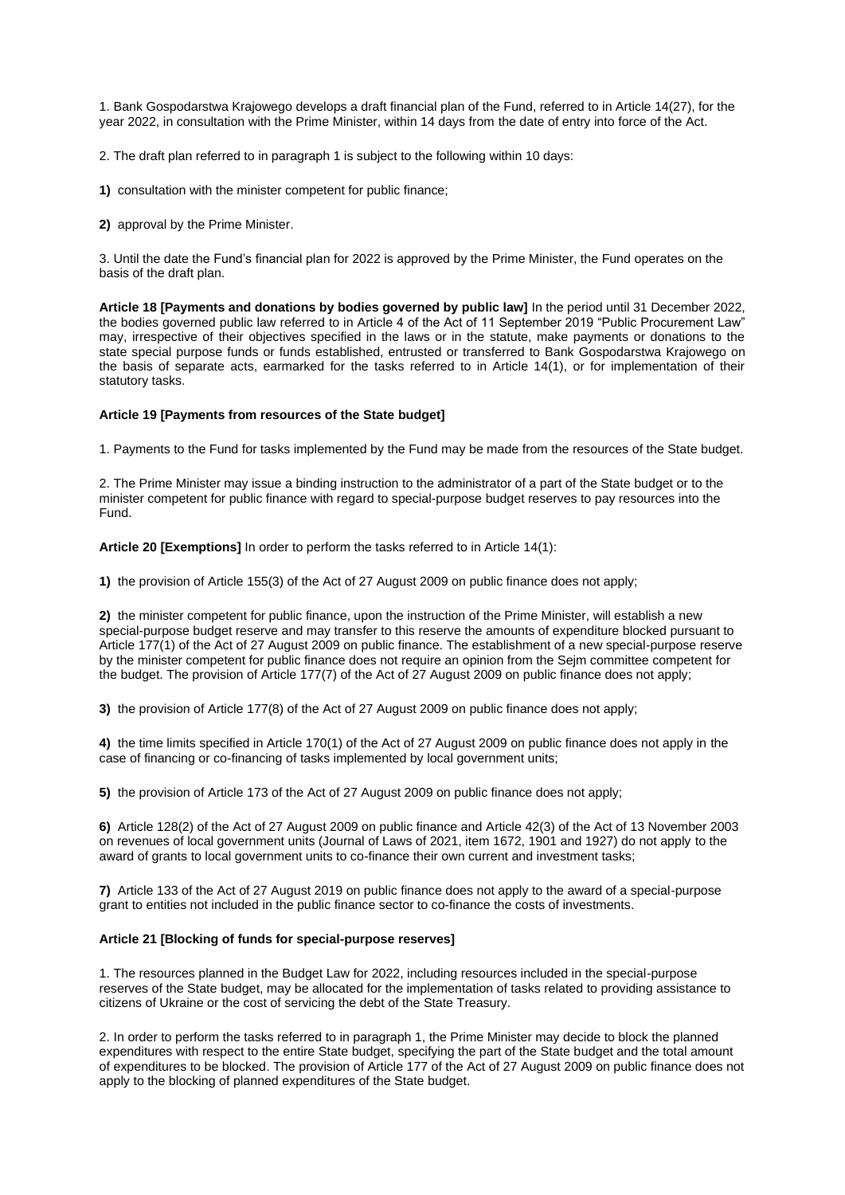1. Bank Gospodarstwa Krajowego develops a draft financial plan of the Fund, referred to in Article 14(27), for the year 2022, in consultation with the Prime Minister, within 14 days from the date of entry into force of the Act.

2. The draft plan referred to in paragraph 1 is subject to the following within 10 days:

- **1)** consultation with the minister competent for public finance;
- **2)** approval by the Prime Minister.

3. Until the date the Fund's financial plan for 2022 is approved by the Prime Minister, the Fund operates on the basis of the draft plan.

**Article 18 [Payments and donations by bodies governed by public law]** In the period until 31 December 2022, the bodies governed public law referred to in Article 4 of the Act of 11 September 2019 "Public Procurement Law" may, irrespective of their objectives specified in the laws or in the statute, make payments or donations to the state special purpose funds or funds established, entrusted or transferred to Bank Gospodarstwa Krajowego on the basis of separate acts, earmarked for the tasks referred to in Article 14(1), or for implementation of their statutory tasks.

## **Article 19 [Payments from resources of the State budget]**

1. Payments to the Fund for tasks implemented by the Fund may be made from the resources of the State budget.

2. The Prime Minister may issue a binding instruction to the administrator of a part of the State budget or to the minister competent for public finance with regard to special-purpose budget reserves to pay resources into the Fund.

**Article 20 [Exemptions]** In order to perform the tasks referred to in Article 14(1):

**1)** the provision of Article 155(3) of the Act of 27 August 2009 on public finance does not apply;

**2)** the minister competent for public finance, upon the instruction of the Prime Minister, will establish a new special-purpose budget reserve and may transfer to this reserve the amounts of expenditure blocked pursuant to Article 177(1) of the Act of 27 August 2009 on public finance. The establishment of a new special-purpose reserve by the minister competent for public finance does not require an opinion from the Sejm committee competent for the budget. The provision of Article 177(7) of the Act of 27 August 2009 on public finance does not apply;

**3)** the provision of Article 177(8) of the Act of 27 August 2009 on public finance does not apply;

**4)** the time limits specified in Article 170(1) of the Act of 27 August 2009 on public finance does not apply in the case of financing or co-financing of tasks implemented by local government units;

**5)** the provision of Article 173 of the Act of 27 August 2009 on public finance does not apply;

**6)** Article 128(2) of the Act of 27 August 2009 on public finance and Article 42(3) of the Act of 13 November 2003 on revenues of local government units (Journal of Laws of 2021, item 1672, 1901 and 1927) do not apply to the award of grants to local government units to co-finance their own current and investment tasks;

**7)** Article 133 of the Act of 27 August 2019 on public finance does not apply to the award of a special-purpose grant to entities not included in the public finance sector to co-finance the costs of investments.

#### **Article 21 [Blocking of funds for special-purpose reserves]**

1. The resources planned in the Budget Law for 2022, including resources included in the special-purpose reserves of the State budget, may be allocated for the implementation of tasks related to providing assistance to citizens of Ukraine or the cost of servicing the debt of the State Treasury.

2. In order to perform the tasks referred to in paragraph 1, the Prime Minister may decide to block the planned expenditures with respect to the entire State budget, specifying the part of the State budget and the total amount of expenditures to be blocked. The provision of Article 177 of the Act of 27 August 2009 on public finance does not apply to the blocking of planned expenditures of the State budget.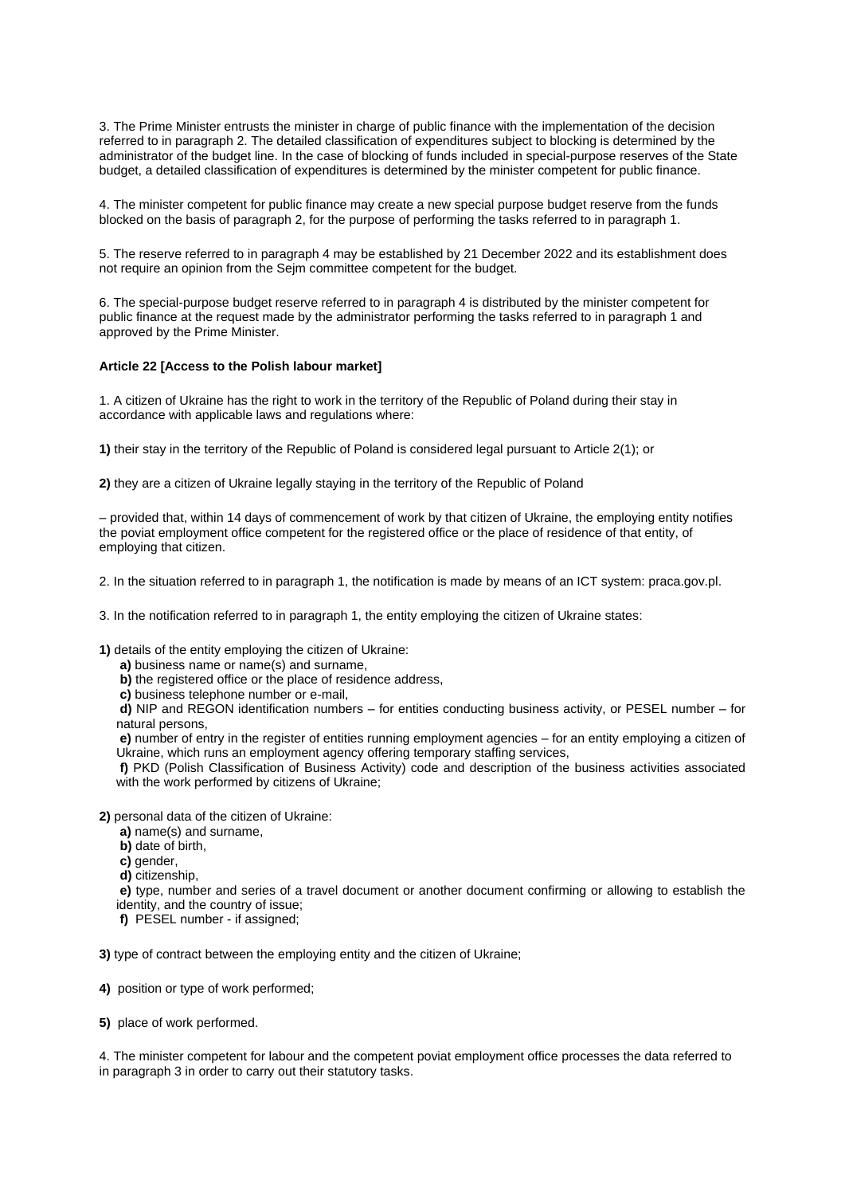3. The Prime Minister entrusts the minister in charge of public finance with the implementation of the decision referred to in paragraph 2. The detailed classification of expenditures subject to blocking is determined by the administrator of the budget line. In the case of blocking of funds included in special-purpose reserves of the State budget, a detailed classification of expenditures is determined by the minister competent for public finance.

4. The minister competent for public finance may create a new special purpose budget reserve from the funds blocked on the basis of paragraph 2, for the purpose of performing the tasks referred to in paragraph 1.

5. The reserve referred to in paragraph 4 may be established by 21 December 2022 and its establishment does not require an opinion from the Sejm committee competent for the budget.

6. The special-purpose budget reserve referred to in paragraph 4 is distributed by the minister competent for public finance at the request made by the administrator performing the tasks referred to in paragraph 1 and approved by the Prime Minister.

#### **Article 22 [Access to the Polish labour market]**

1. A citizen of Ukraine has the right to work in the territory of the Republic of Poland during their stay in accordance with applicable laws and regulations where:

**1)** their stay in the territory of the Republic of Poland is considered legal pursuant to Article 2(1); or

**2)** they are a citizen of Ukraine legally staying in the territory of the Republic of Poland

– provided that, within 14 days of commencement of work by that citizen of Ukraine, the employing entity notifies the poviat employment office competent for the registered office or the place of residence of that entity, of employing that citizen.

2. In the situation referred to in paragraph 1, the notification is made by means of an ICT system: praca.gov.pl.

3. In the notification referred to in paragraph 1, the entity employing the citizen of Ukraine states:

**1)** details of the entity employing the citizen of Ukraine:

- **a)** business name or name(s) and surname,
- **b)** the registered office or the place of residence address,
- **c)** business telephone number or e-mail,

**d)** NIP and REGON identification numbers – for entities conducting business activity, or PESEL number – for natural persons,

**e)** number of entry in the register of entities running employment agencies – for an entity employing a citizen of Ukraine, which runs an employment agency offering temporary staffing services,

**f)** PKD (Polish Classification of Business Activity) code and description of the business activities associated with the work performed by citizens of Ukraine;

**2)** personal data of the citizen of Ukraine:

- **a)** name(s) and surname,
- **b)** date of birth,
- **c)** gender,

**d)** citizenship,

**e)** type, number and series of a travel document or another document confirming or allowing to establish the identity, and the country of issue;

**f)** PESEL number - if assigned;

**3)** type of contract between the employing entity and the citizen of Ukraine;

- **4)** position or type of work performed;
- **5)** place of work performed.

4. The minister competent for labour and the competent poviat employment office processes the data referred to in paragraph 3 in order to carry out their statutory tasks.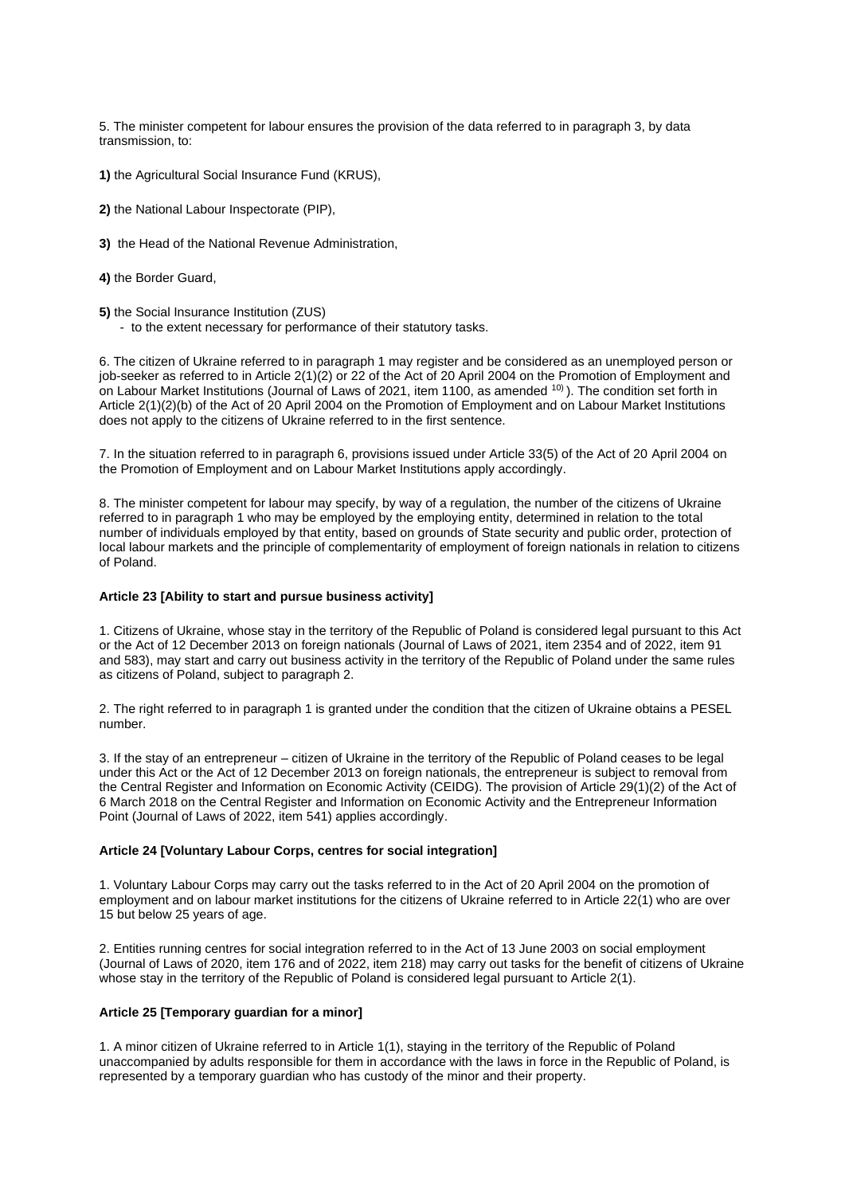5. The minister competent for labour ensures the provision of the data referred to in paragraph 3, by data transmission, to:

- **1)** the Agricultural Social Insurance Fund (KRUS),
- **2)** the National Labour Inspectorate (PIP),
- **3)** the Head of the National Revenue Administration,
- **4)** the Border Guard,
- **5)** the Social Insurance Institution (ZUS)
	- to the extent necessary for performance of their statutory tasks.

6. The citizen of Ukraine referred to in paragraph 1 may register and be considered as an unemployed person or job-seeker as referred to in Article 2(1)(2) or 22 of the Act of 20 April 2004 on the Promotion of Employment and on Labour Market Institutions (Journal of Laws of 2021, item 1100, as amended <sup>10)</sup>). The condition set forth in Article 2(1)(2)(b) of the Act of 20 April 2004 on the Promotion of Employment and on Labour Market Institutions does not apply to the citizens of Ukraine referred to in the first sentence.

7. In the situation referred to in paragraph 6, provisions issued under Article 33(5) of the Act of 20 April 2004 on the Promotion of Employment and on Labour Market Institutions apply accordingly.

8. The minister competent for labour may specify, by way of a regulation, the number of the citizens of Ukraine referred to in paragraph 1 who may be employed by the employing entity, determined in relation to the total number of individuals employed by that entity, based on grounds of State security and public order, protection of local labour markets and the principle of complementarity of employment of foreign nationals in relation to citizens of Poland.

## **Article 23 [Ability to start and pursue business activity]**

1. Citizens of Ukraine, whose stay in the territory of the Republic of Poland is considered legal pursuant to this Act or the Act of 12 December 2013 on foreign nationals (Journal of Laws of 2021, item 2354 and of 2022, item 91 and 583), may start and carry out business activity in the territory of the Republic of Poland under the same rules as citizens of Poland, subject to paragraph 2.

2. The right referred to in paragraph 1 is granted under the condition that the citizen of Ukraine obtains a PESEL number.

3. If the stay of an entrepreneur – citizen of Ukraine in the territory of the Republic of Poland ceases to be legal under this Act or the Act of 12 December 2013 on foreign nationals, the entrepreneur is subject to removal from the Central Register and Information on Economic Activity (CEIDG). The provision of Article 29(1)(2) of the Act of 6 March 2018 on the Central Register and Information on Economic Activity and the Entrepreneur Information Point (Journal of Laws of 2022, item 541) applies accordingly.

#### **Article 24 [Voluntary Labour Corps, centres for social integration]**

1. Voluntary Labour Corps may carry out the tasks referred to in the Act of 20 April 2004 on the promotion of employment and on labour market institutions for the citizens of Ukraine referred to in Article 22(1) who are over 15 but below 25 years of age.

2. Entities running centres for social integration referred to in the Act of 13 June 2003 on social employment (Journal of Laws of 2020, item 176 and of 2022, item 218) may carry out tasks for the benefit of citizens of Ukraine whose stay in the territory of the Republic of Poland is considered legal pursuant to Article 2(1).

## **Article 25 [Temporary guardian for a minor]**

1. A minor citizen of Ukraine referred to in Article 1(1), staying in the territory of the Republic of Poland unaccompanied by adults responsible for them in accordance with the laws in force in the Republic of Poland, is represented by a temporary guardian who has custody of the minor and their property.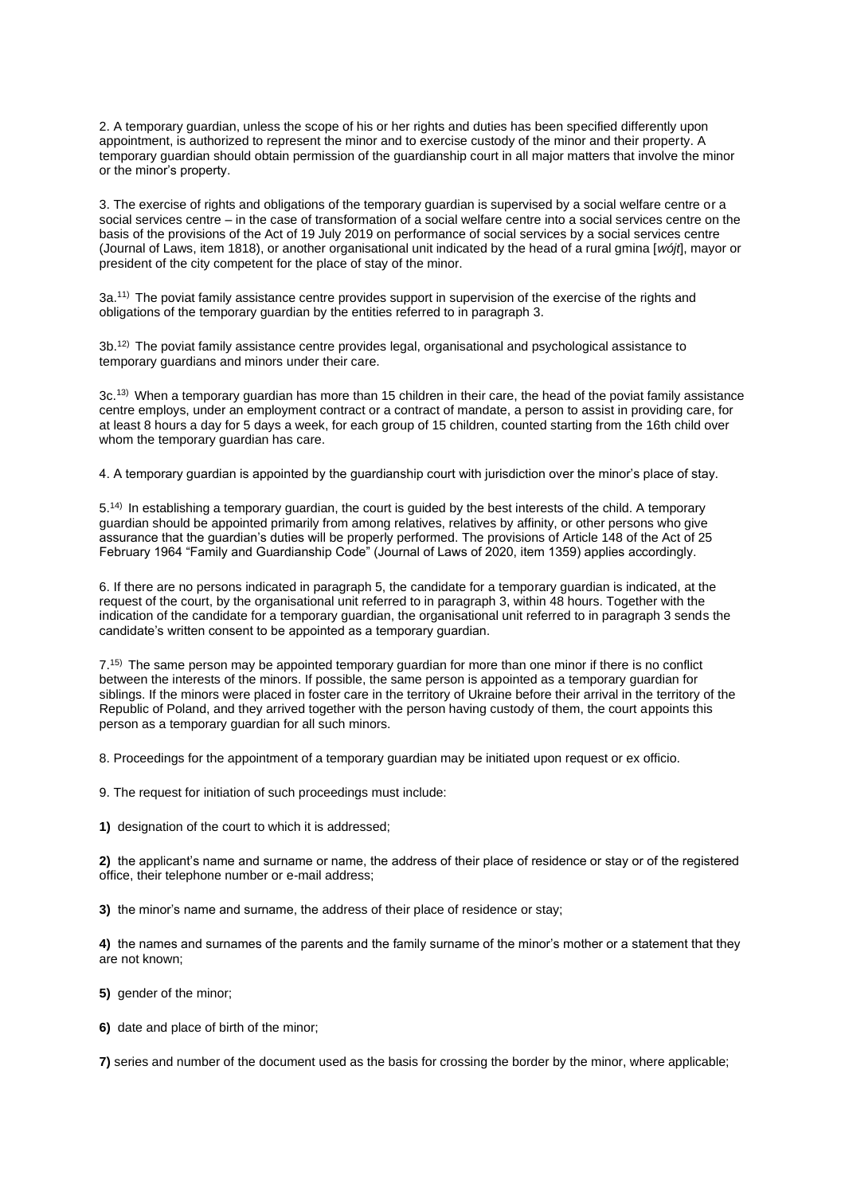2. A temporary guardian, unless the scope of his or her rights and duties has been specified differently upon appointment, is authorized to represent the minor and to exercise custody of the minor and their property. A temporary guardian should obtain permission of the guardianship court in all major matters that involve the minor or the minor's property.

3. The exercise of rights and obligations of the temporary guardian is supervised by a social welfare centre or a social services centre – in the case of transformation of a social welfare centre into a social services centre on the basis of the provisions of the Act of 19 July 2019 on performance of social services by a social services centre (Journal of Laws, item 1818), or another organisational unit indicated by the head of a rural gmina [*wójt*], mayor or president of the city competent for the place of stay of the minor.

3a.11) The poviat family assistance centre provides support in supervision of the exercise of the rights and obligations of the temporary guardian by the entities referred to in paragraph 3.

3b.12) The poviat family assistance centre provides legal, organisational and psychological assistance to temporary guardians and minors under their care.

3c.13) When a temporary guardian has more than 15 children in their care, the head of the poviat family assistance centre employs, under an employment contract or a contract of mandate, a person to assist in providing care, for at least 8 hours a day for 5 days a week, for each group of 15 children, counted starting from the 16th child over whom the temporary guardian has care.

4. A temporary guardian is appointed by the guardianship court with jurisdiction over the minor's place of stay.

5.14) In establishing a temporary guardian, the court is guided by the best interests of the child. A temporary guardian should be appointed primarily from among relatives, relatives by affinity, or other persons who give assurance that the guardian's duties will be properly performed. The provisions of Article 148 of the Act of 25 February 1964 "Family and Guardianship Code" (Journal of Laws of 2020, item 1359) applies accordingly.

6. If there are no persons indicated in paragraph 5, the candidate for a temporary guardian is indicated, at the request of the court, by the organisational unit referred to in paragraph 3, within 48 hours. Together with the indication of the candidate for a temporary guardian, the organisational unit referred to in paragraph 3 sends the candidate's written consent to be appointed as a temporary guardian.

7.15) The same person may be appointed temporary guardian for more than one minor if there is no conflict between the interests of the minors. If possible, the same person is appointed as a temporary guardian for siblings. If the minors were placed in foster care in the territory of Ukraine before their arrival in the territory of the Republic of Poland, and they arrived together with the person having custody of them, the court appoints this person as a temporary guardian for all such minors.

8. Proceedings for the appointment of a temporary guardian may be initiated upon request or ex officio.

9. The request for initiation of such proceedings must include:

**1)** designation of the court to which it is addressed;

**2)** the applicant's name and surname or name, the address of their place of residence or stay or of the registered office, their telephone number or e-mail address;

**3)** the minor's name and surname, the address of their place of residence or stay;

**4)** the names and surnames of the parents and the family surname of the minor's mother or a statement that they are not known;

**5)** gender of the minor;

**6)** date and place of birth of the minor;

**7)** series and number of the document used as the basis for crossing the border by the minor, where applicable;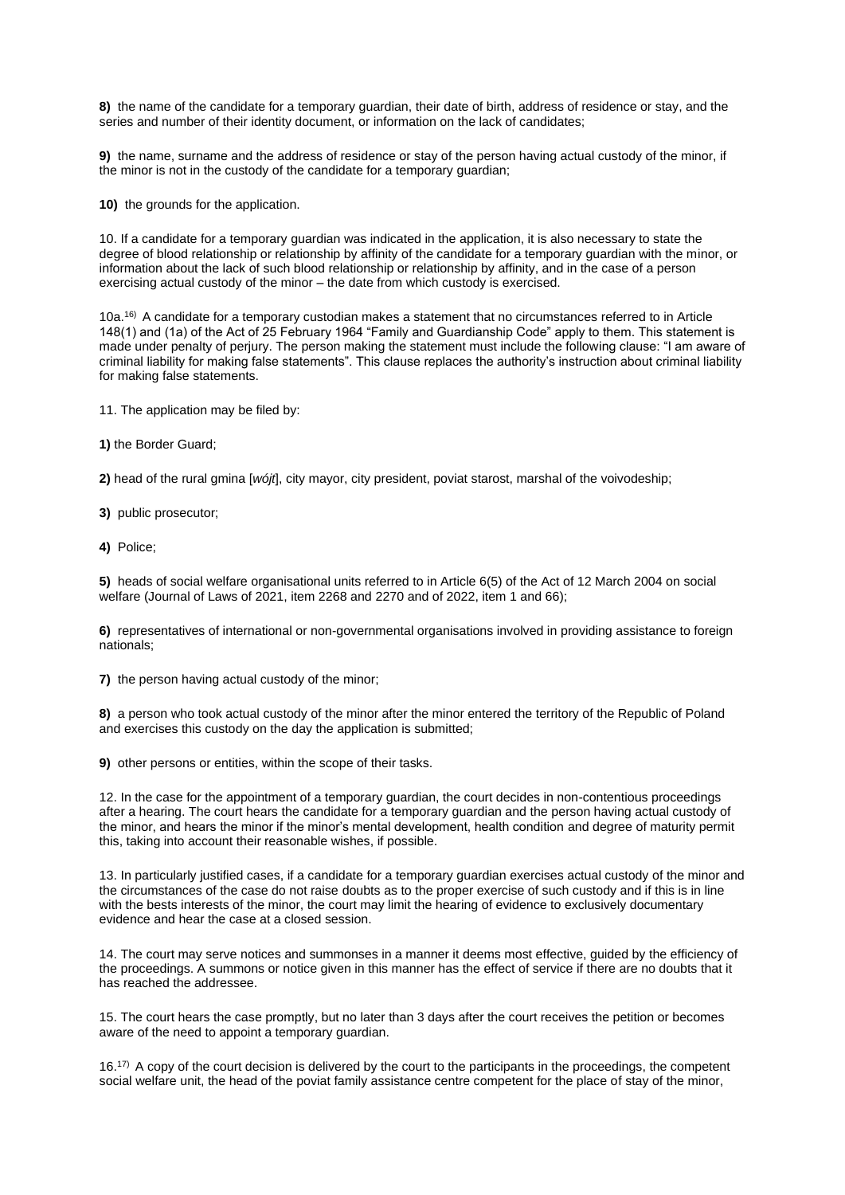**8)** the name of the candidate for a temporary guardian, their date of birth, address of residence or stay, and the series and number of their identity document, or information on the lack of candidates;

**9)** the name, surname and the address of residence or stay of the person having actual custody of the minor, if the minor is not in the custody of the candidate for a temporary guardian;

**10)** the grounds for the application.

10. If a candidate for a temporary guardian was indicated in the application, it is also necessary to state the degree of blood relationship or relationship by affinity of the candidate for a temporary guardian with the minor, or information about the lack of such blood relationship or relationship by affinity, and in the case of a person exercising actual custody of the minor – the date from which custody is exercised.

10a.16) A candidate for a temporary custodian makes a statement that no circumstances referred to in Article 148(1) and (1a) of the Act of 25 February 1964 "Family and Guardianship Code" apply to them. This statement is made under penalty of perjury. The person making the statement must include the following clause: "I am aware of criminal liability for making false statements". This clause replaces the authority's instruction about criminal liability for making false statements.

11. The application may be filed by:

**1)** the Border Guard;

**2)** head of the rural gmina [*wójt*], city mayor, city president, poviat starost, marshal of the voivodeship;

**3)** public prosecutor;

**4)** Police;

**5)** heads of social welfare organisational units referred to in Article 6(5) of the Act of 12 March 2004 on social welfare (Journal of Laws of 2021, item 2268 and 2270 and of 2022, item 1 and 66);

**6)** representatives of international or non-governmental organisations involved in providing assistance to foreign nationals;

**7)** the person having actual custody of the minor;

**8)** a person who took actual custody of the minor after the minor entered the territory of the Republic of Poland and exercises this custody on the day the application is submitted;

**9)** other persons or entities, within the scope of their tasks.

12. In the case for the appointment of a temporary guardian, the court decides in non-contentious proceedings after a hearing. The court hears the candidate for a temporary guardian and the person having actual custody of the minor, and hears the minor if the minor's mental development, health condition and degree of maturity permit this, taking into account their reasonable wishes, if possible.

13. In particularly justified cases, if a candidate for a temporary guardian exercises actual custody of the minor and the circumstances of the case do not raise doubts as to the proper exercise of such custody and if this is in line with the bests interests of the minor, the court may limit the hearing of evidence to exclusively documentary evidence and hear the case at a closed session.

14. The court may serve notices and summonses in a manner it deems most effective, guided by the efficiency of the proceedings. A summons or notice given in this manner has the effect of service if there are no doubts that it has reached the addressee.

15. The court hears the case promptly, but no later than 3 days after the court receives the petition or becomes aware of the need to appoint a temporary guardian.

 $16.17$ ) A copy of the court decision is delivered by the court to the participants in the proceedings, the competent social welfare unit, the head of the poviat family assistance centre competent for the place of stay of the minor,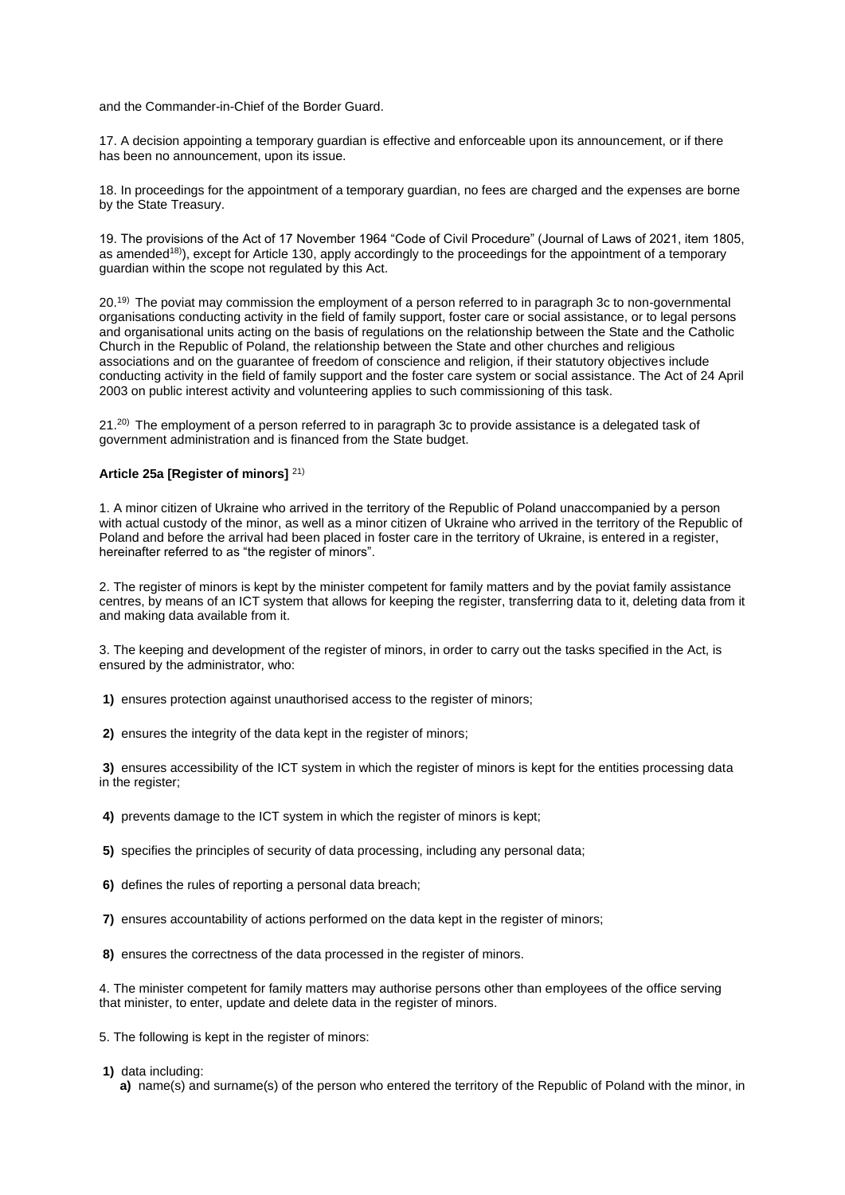and the Commander-in-Chief of the Border Guard.

17. A decision appointing a temporary guardian is effective and enforceable upon its announcement, or if there has been no announcement, upon its issue.

18. In proceedings for the appointment of a temporary guardian, no fees are charged and the expenses are borne by the State Treasury.

19. The provisions of the Act of 17 November 1964 "Code of Civil Procedure" (Journal of Laws of 2021, item 1805, as amended<sup>18)</sup>), except for Article 130, apply accordingly to the proceedings for the appointment of a temporary guardian within the scope not regulated by this Act.

20.19) The poviat may commission the employment of a person referred to in paragraph 3c to non-governmental organisations conducting activity in the field of family support, foster care or social assistance, or to legal persons and organisational units acting on the basis of regulations on the relationship between the State and the Catholic Church in the Republic of Poland, the relationship between the State and other churches and religious associations and on the guarantee of freedom of conscience and religion, if their statutory objectives include conducting activity in the field of family support and the foster care system or social assistance. The Act of 24 April 2003 on public interest activity and volunteering applies to such commissioning of this task.

21.<sup>20)</sup> The employment of a person referred to in paragraph 3c to provide assistance is a delegated task of government administration and is financed from the State budget.

## **Article 25a [Register of minors]** 21)

1. A minor citizen of Ukraine who arrived in the territory of the Republic of Poland unaccompanied by a person with actual custody of the minor, as well as a minor citizen of Ukraine who arrived in the territory of the Republic of Poland and before the arrival had been placed in foster care in the territory of Ukraine, is entered in a register, hereinafter referred to as "the register of minors".

2. The register of minors is kept by the minister competent for family matters and by the poviat family assistance centres, by means of an ICT system that allows for keeping the register, transferring data to it, deleting data from it and making data available from it.

3. The keeping and development of the register of minors, in order to carry out the tasks specified in the Act, is ensured by the administrator, who:

- **1)** ensures protection against unauthorised access to the register of minors;
- **2)** ensures the integrity of the data kept in the register of minors;

**3)** ensures accessibility of the ICT system in which the register of minors is kept for the entities processing data in the register;

**4)** prevents damage to the ICT system in which the register of minors is kept;

**5)** specifies the principles of security of data processing, including any personal data;

- **6)** defines the rules of reporting a personal data breach;
- **7)** ensures accountability of actions performed on the data kept in the register of minors;
- **8)** ensures the correctness of the data processed in the register of minors.

4. The minister competent for family matters may authorise persons other than employees of the office serving that minister, to enter, update and delete data in the register of minors.

5. The following is kept in the register of minors:

**1)** data including:

**a)** name(s) and surname(s) of the person who entered the territory of the Republic of Poland with the minor, in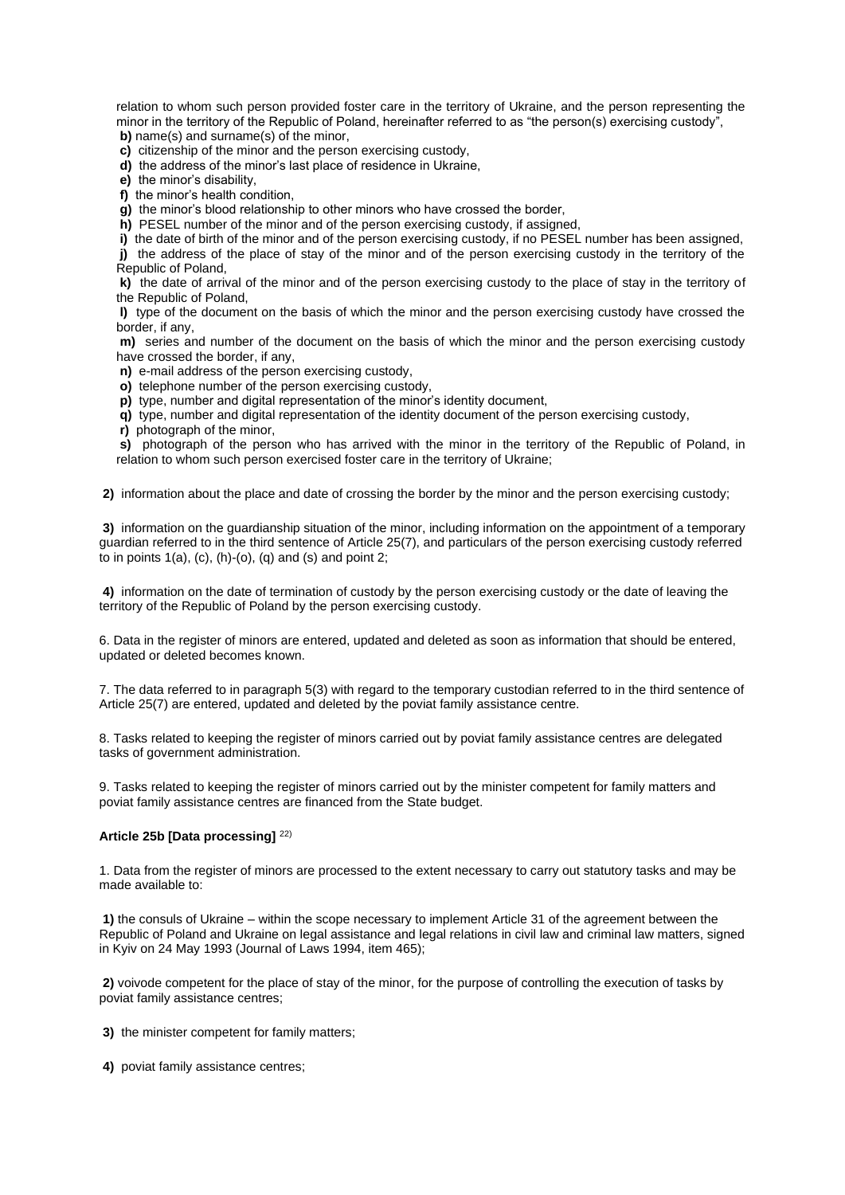relation to whom such person provided foster care in the territory of Ukraine, and the person representing the minor in the territory of the Republic of Poland, hereinafter referred to as "the person(s) exercising custody", **b)** name(s) and surname(s) of the minor,

**c)** citizenship of the minor and the person exercising custody,

**d)** the address of the minor's last place of residence in Ukraine,

**e)** the minor's disability,

**f)** the minor's health condition,

**g)** the minor's blood relationship to other minors who have crossed the border,

**h)** PESEL number of the minor and of the person exercising custody, if assigned,

**i)** the date of birth of the minor and of the person exercising custody, if no PESEL number has been assigned,

**j)** the address of the place of stay of the minor and of the person exercising custody in the territory of the Republic of Poland,

**k)** the date of arrival of the minor and of the person exercising custody to the place of stay in the territory of the Republic of Poland,

**l)** type of the document on the basis of which the minor and the person exercising custody have crossed the border, if any,

**m)** series and number of the document on the basis of which the minor and the person exercising custody have crossed the border, if any,

**n)** e-mail address of the person exercising custody,

**o)** telephone number of the person exercising custody,

**p)** type, number and digital representation of the minor's identity document,

**q)** type, number and digital representation of the identity document of the person exercising custody,

**r)** photograph of the minor,

**s)** photograph of the person who has arrived with the minor in the territory of the Republic of Poland, in relation to whom such person exercised foster care in the territory of Ukraine;

**2)** information about the place and date of crossing the border by the minor and the person exercising custody;

**3)** information on the guardianship situation of the minor, including information on the appointment of a temporary guardian referred to in the third sentence of Article 25(7), and particulars of the person exercising custody referred to in points  $1(a)$ ,  $(c)$ ,  $(h)-(o)$ ,  $(q)$  and  $(s)$  and point  $2$ ;

**4)** information on the date of termination of custody by the person exercising custody or the date of leaving the territory of the Republic of Poland by the person exercising custody.

6. Data in the register of minors are entered, updated and deleted as soon as information that should be entered, updated or deleted becomes known.

7. The data referred to in paragraph 5(3) with regard to the temporary custodian referred to in the third sentence of Article 25(7) are entered, updated and deleted by the poviat family assistance centre.

8. Tasks related to keeping the register of minors carried out by poviat family assistance centres are delegated tasks of government administration.

9. Tasks related to keeping the register of minors carried out by the minister competent for family matters and poviat family assistance centres are financed from the State budget.

## **Article 25b [Data processing]** 22)

1. Data from the register of minors are processed to the extent necessary to carry out statutory tasks and may be made available to:

**1)** the consuls of Ukraine – within the scope necessary to implement Article 31 of the agreement between the Republic of Poland and Ukraine on legal assistance and legal relations in civil law and criminal law matters, signed in Kyiv on 24 May 1993 (Journal of Laws 1994, item 465);

**2)** voivode competent for the place of stay of the minor, for the purpose of controlling the execution of tasks by poviat family assistance centres;

**3)** the minister competent for family matters;

**4)** poviat family assistance centres;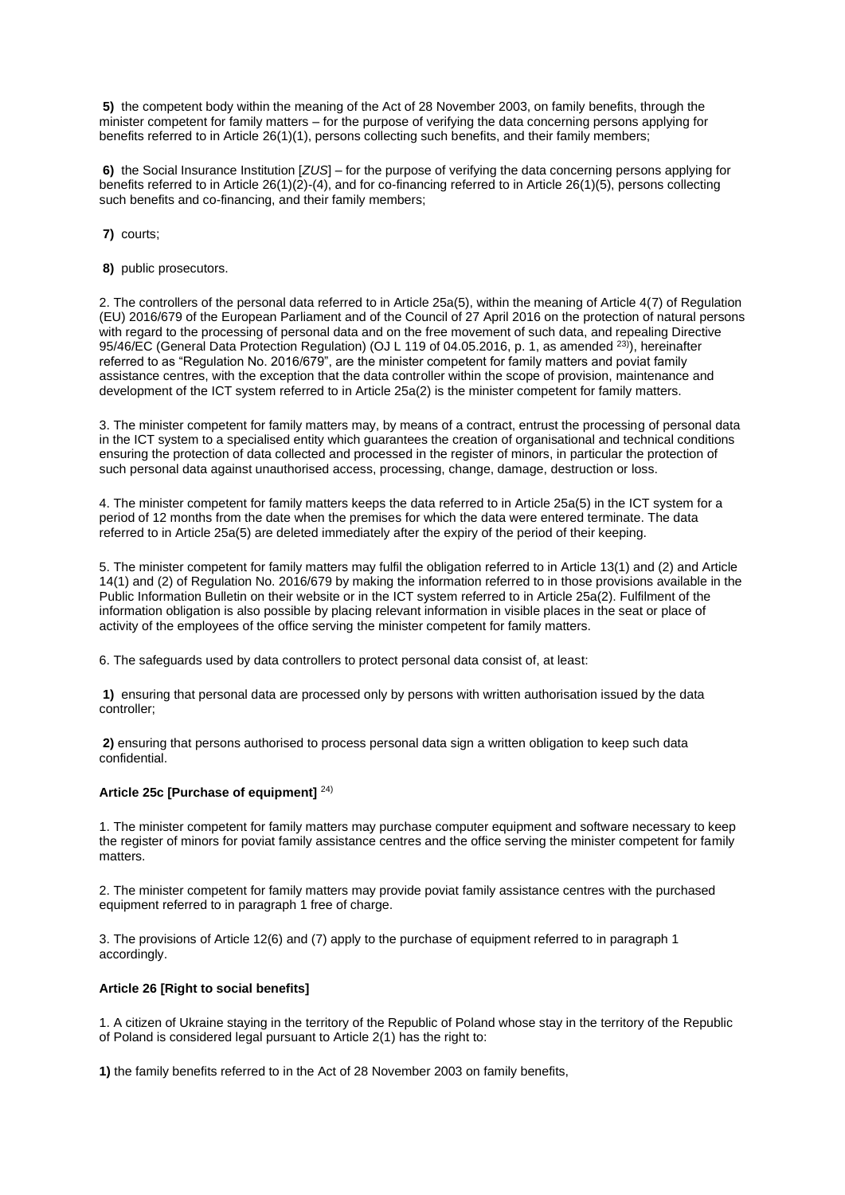**5)** the competent body within the meaning of the Act of 28 November 2003, on family benefits, through the minister competent for family matters – for the purpose of verifying the data concerning persons applying for benefits referred to in Article 26(1)(1), persons collecting such benefits, and their family members;

**6)** the Social Insurance Institution [*ZUS*] – for the purpose of verifying the data concerning persons applying for benefits referred to in Article 26(1)(2)-(4), and for co-financing referred to in Article 26(1)(5), persons collecting such benefits and co-financing, and their family members;

**7)** courts;

**8)** public prosecutors.

2. The controllers of the personal data referred to in Article 25a(5), within the meaning of Article 4(7) of Regulation (EU) 2016/679 of the European Parliament and of the Council of 27 April 2016 on the protection of natural persons with regard to the processing of personal data and on the free movement of such data, and repealing Directive 95/46/EC (General Data Protection Regulation) (OJ L 119 of 04.05.2016, p. 1, as amended <sup>23)</sup>), hereinafter referred to as "Regulation No. 2016/679", are the minister competent for family matters and poviat family assistance centres, with the exception that the data controller within the scope of provision, maintenance and development of the ICT system referred to in Article 25a(2) is the minister competent for family matters.

3. The minister competent for family matters may, by means of a contract, entrust the processing of personal data in the ICT system to a specialised entity which guarantees the creation of organisational and technical conditions ensuring the protection of data collected and processed in the register of minors, in particular the protection of such personal data against unauthorised access, processing, change, damage, destruction or loss.

4. The minister competent for family matters keeps the data referred to in Article 25a(5) in the ICT system for a period of 12 months from the date when the premises for which the data were entered terminate. The data referred to in Article 25a(5) are deleted immediately after the expiry of the period of their keeping.

5. The minister competent for family matters may fulfil the obligation referred to in Article 13(1) and (2) and Article 14(1) and (2) of Regulation No. 2016/679 by making the information referred to in those provisions available in the Public Information Bulletin on their website or in the ICT system referred to in Article 25a(2). Fulfilment of the information obligation is also possible by placing relevant information in visible places in the seat or place of activity of the employees of the office serving the minister competent for family matters.

6. The safeguards used by data controllers to protect personal data consist of, at least:

**1)** ensuring that personal data are processed only by persons with written authorisation issued by the data controller;

**2)** ensuring that persons authorised to process personal data sign a written obligation to keep such data confidential.

# **Article 25c [Purchase of equipment]** 24)

1. The minister competent for family matters may purchase computer equipment and software necessary to keep the register of minors for poviat family assistance centres and the office serving the minister competent for family matters.

2. The minister competent for family matters may provide poviat family assistance centres with the purchased equipment referred to in paragraph 1 free of charge.

3. The provisions of Article 12(6) and (7) apply to the purchase of equipment referred to in paragraph 1 accordingly.

## **Article 26 [Right to social benefits]**

1. A citizen of Ukraine staying in the territory of the Republic of Poland whose stay in the territory of the Republic of Poland is considered legal pursuant to Article 2(1) has the right to:

**1)** the family benefits referred to in the Act of 28 November 2003 on family benefits,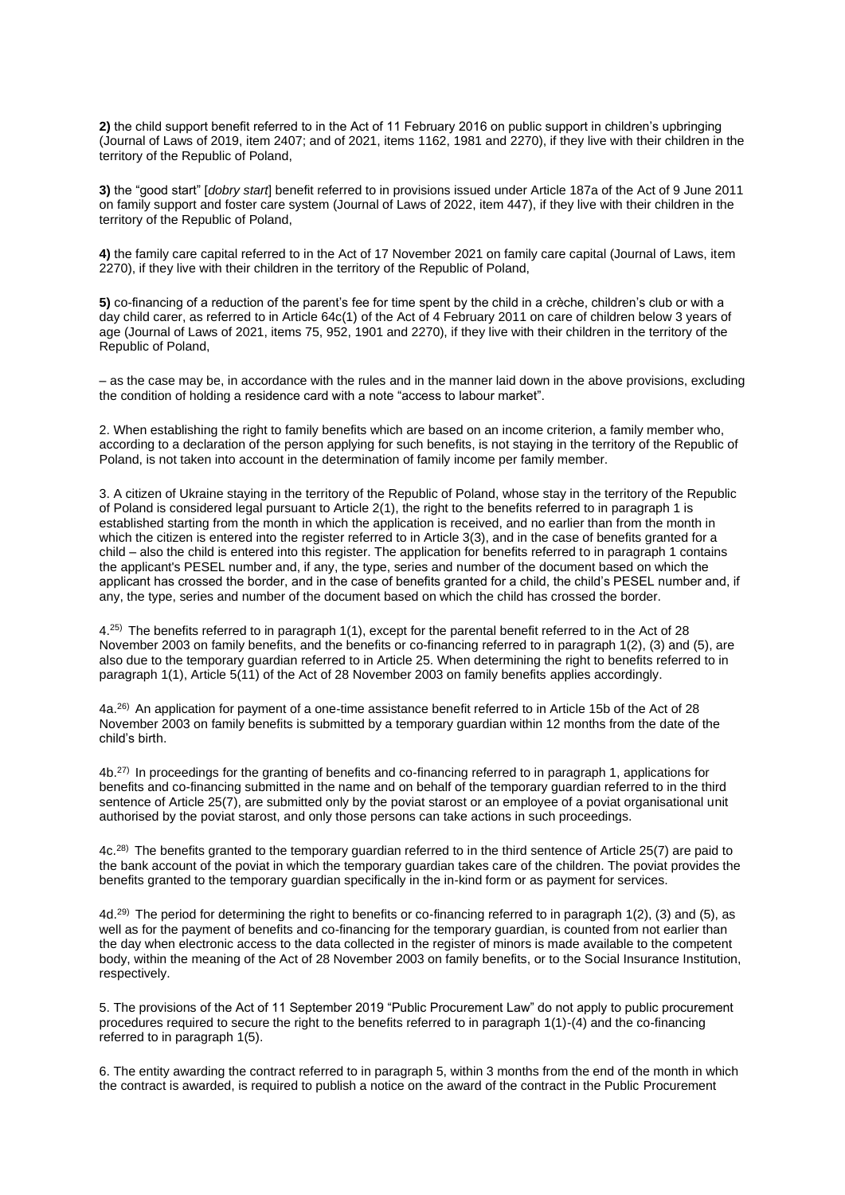**2)** the child support benefit referred to in the Act of 11 February 2016 on public support in children's upbringing (Journal of Laws of 2019, item 2407; and of 2021, items 1162, 1981 and 2270), if they live with their children in the territory of the Republic of Poland,

**3)** the "good start" [*dobry start*] benefit referred to in provisions issued under Article 187a of the Act of 9 June 2011 on family support and foster care system (Journal of Laws of 2022, item 447), if they live with their children in the territory of the Republic of Poland,

**4)** the family care capital referred to in the Act of 17 November 2021 on family care capital (Journal of Laws, item 2270), if they live with their children in the territory of the Republic of Poland,

**5)** co-financing of a reduction of the parent's fee for time spent by the child in a crèche, children's club or with a day child carer, as referred to in Article 64c(1) of the Act of 4 February 2011 on care of children below 3 years of age (Journal of Laws of 2021, items 75, 952, 1901 and 2270), if they live with their children in the territory of the Republic of Poland,

– as the case may be, in accordance with the rules and in the manner laid down in the above provisions, excluding the condition of holding a residence card with a note "access to labour market".

2. When establishing the right to family benefits which are based on an income criterion, a family member who, according to a declaration of the person applying for such benefits, is not staying in the territory of the Republic of Poland, is not taken into account in the determination of family income per family member.

3. A citizen of Ukraine staying in the territory of the Republic of Poland, whose stay in the territory of the Republic of Poland is considered legal pursuant to Article 2(1), the right to the benefits referred to in paragraph 1 is established starting from the month in which the application is received, and no earlier than from the month in which the citizen is entered into the register referred to in Article 3(3), and in the case of benefits granted for a child – also the child is entered into this register. The application for benefits referred to in paragraph 1 contains the applicant's PESEL number and, if any, the type, series and number of the document based on which the applicant has crossed the border, and in the case of benefits granted for a child, the child's PESEL number and, if any, the type, series and number of the document based on which the child has crossed the border.

4.25) The benefits referred to in paragraph 1(1), except for the parental benefit referred to in the Act of 28 November 2003 on family benefits, and the benefits or co-financing referred to in paragraph 1(2), (3) and (5), are also due to the temporary guardian referred to in Article 25. When determining the right to benefits referred to in paragraph 1(1), Article 5(11) of the Act of 28 November 2003 on family benefits applies accordingly.

4a.26) An application for payment of a one-time assistance benefit referred to in Article 15b of the Act of 28 November 2003 on family benefits is submitted by a temporary guardian within 12 months from the date of the child's birth.

4b.27) In proceedings for the granting of benefits and co-financing referred to in paragraph 1, applications for benefits and co-financing submitted in the name and on behalf of the temporary guardian referred to in the third sentence of Article 25(7), are submitted only by the poviat starost or an employee of a poviat organisational unit authorised by the poviat starost, and only those persons can take actions in such proceedings.

4c.28) The benefits granted to the temporary guardian referred to in the third sentence of Article 25(7) are paid to the bank account of the poviat in which the temporary guardian takes care of the children. The poviat provides the benefits granted to the temporary guardian specifically in the in-kind form or as payment for services.

4d.29) The period for determining the right to benefits or co-financing referred to in paragraph 1(2), (3) and (5), as well as for the payment of benefits and co-financing for the temporary guardian, is counted from not earlier than the day when electronic access to the data collected in the register of minors is made available to the competent body, within the meaning of the Act of 28 November 2003 on family benefits, or to the Social Insurance Institution, respectively.

5. The provisions of the Act of 11 September 2019 "Public Procurement Law" do not apply to public procurement procedures required to secure the right to the benefits referred to in paragraph 1(1)-(4) and the co-financing referred to in paragraph 1(5).

6. The entity awarding the contract referred to in paragraph 5, within 3 months from the end of the month in which the contract is awarded, is required to publish a notice on the award of the contract in the Public Procurement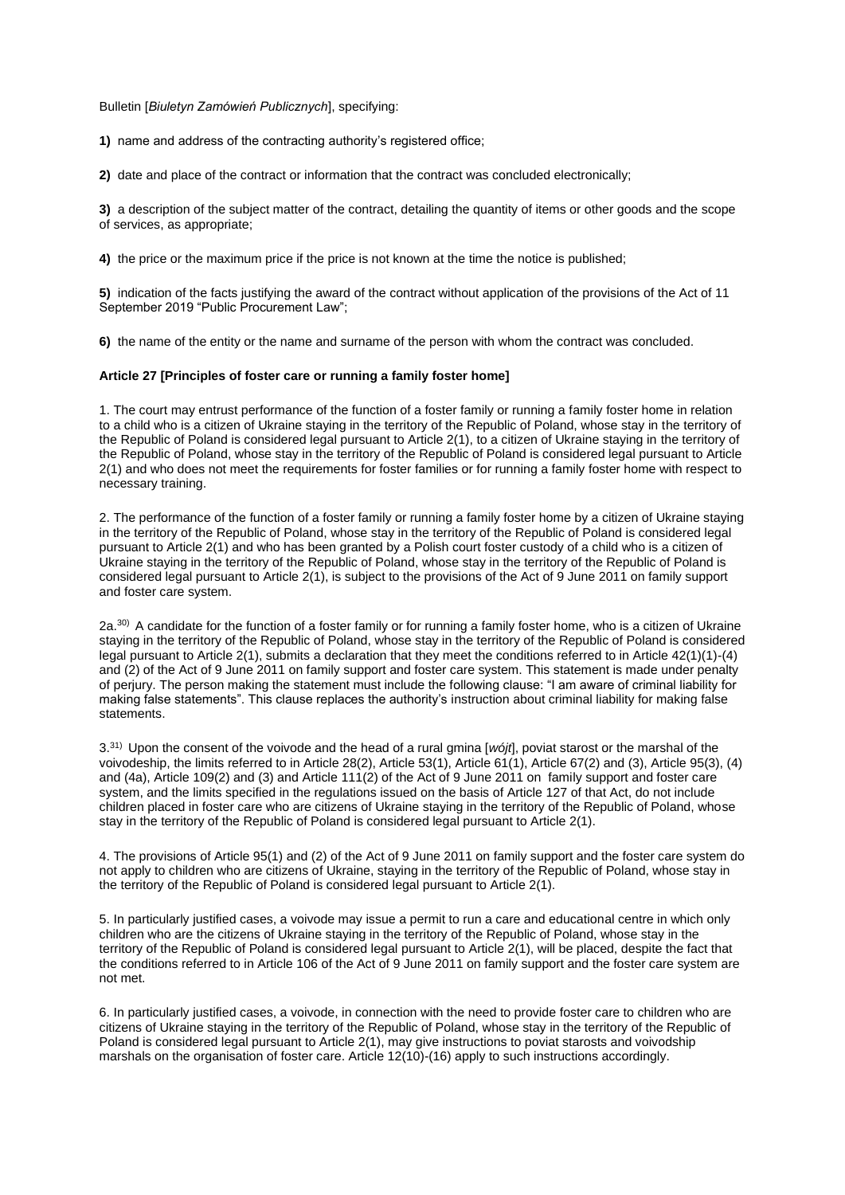Bulletin [*Biuletyn Zamówień Publicznych*], specifying:

**1)** name and address of the contracting authority's registered office;

**2)** date and place of the contract or information that the contract was concluded electronically;

**3)** a description of the subject matter of the contract, detailing the quantity of items or other goods and the scope of services, as appropriate;

**4)** the price or the maximum price if the price is not known at the time the notice is published;

**5)** indication of the facts justifying the award of the contract without application of the provisions of the Act of 11 September 2019 "Public Procurement Law";

**6)** the name of the entity or the name and surname of the person with whom the contract was concluded.

#### **Article 27 [Principles of foster care or running a family foster home]**

1. The court may entrust performance of the function of a foster family or running a family foster home in relation to a child who is a citizen of Ukraine staying in the territory of the Republic of Poland, whose stay in the territory of the Republic of Poland is considered legal pursuant to Article 2(1), to a citizen of Ukraine staying in the territory of the Republic of Poland, whose stay in the territory of the Republic of Poland is considered legal pursuant to Article 2(1) and who does not meet the requirements for foster families or for running a family foster home with respect to necessary training.

2. The performance of the function of a foster family or running a family foster home by a citizen of Ukraine staying in the territory of the Republic of Poland, whose stay in the territory of the Republic of Poland is considered legal pursuant to Article 2(1) and who has been granted by a Polish court foster custody of a child who is a citizen of Ukraine staying in the territory of the Republic of Poland, whose stay in the territory of the Republic of Poland is considered legal pursuant to Article 2(1), is subject to the provisions of the Act of 9 June 2011 on family support and foster care system.

 $2a^{30}$  A candidate for the function of a foster family or for running a family foster home, who is a citizen of Ukraine staying in the territory of the Republic of Poland, whose stay in the territory of the Republic of Poland is considered legal pursuant to Article 2(1), submits a declaration that they meet the conditions referred to in Article 42(1)(1)-(4) and (2) of the Act of 9 June 2011 on family support and foster care system. This statement is made under penalty of perjury. The person making the statement must include the following clause: "I am aware of criminal liability for making false statements". This clause replaces the authority's instruction about criminal liability for making false statements.

3.31) Upon the consent of the voivode and the head of a rural gmina [*wójt*], poviat starost or the marshal of the voivodeship, the limits referred to in Article 28(2), Article 53(1), Article 61(1), Article 67(2) and (3), Article 95(3), (4) and (4a), Article 109(2) and (3) and Article 111(2) of the Act of 9 June 2011 on family support and foster care system, and the limits specified in the regulations issued on the basis of Article 127 of that Act, do not include children placed in foster care who are citizens of Ukraine staying in the territory of the Republic of Poland, whose stay in the territory of the Republic of Poland is considered legal pursuant to Article 2(1).

4. The provisions of Article 95(1) and (2) of the Act of 9 June 2011 on family support and the foster care system do not apply to children who are citizens of Ukraine, staying in the territory of the Republic of Poland, whose stay in the territory of the Republic of Poland is considered legal pursuant to Article 2(1).

5. In particularly justified cases, a voivode may issue a permit to run a care and educational centre in which only children who are the citizens of Ukraine staying in the territory of the Republic of Poland, whose stay in the territory of the Republic of Poland is considered legal pursuant to Article 2(1), will be placed, despite the fact that the conditions referred to in Article 106 of the Act of 9 June 2011 on family support and the foster care system are not met.

6. In particularly justified cases, a voivode, in connection with the need to provide foster care to children who are citizens of Ukraine staying in the territory of the Republic of Poland, whose stay in the territory of the Republic of Poland is considered legal pursuant to Article 2(1), may give instructions to poviat starosts and voivodship marshals on the organisation of foster care. Article 12(10)-(16) apply to such instructions accordingly.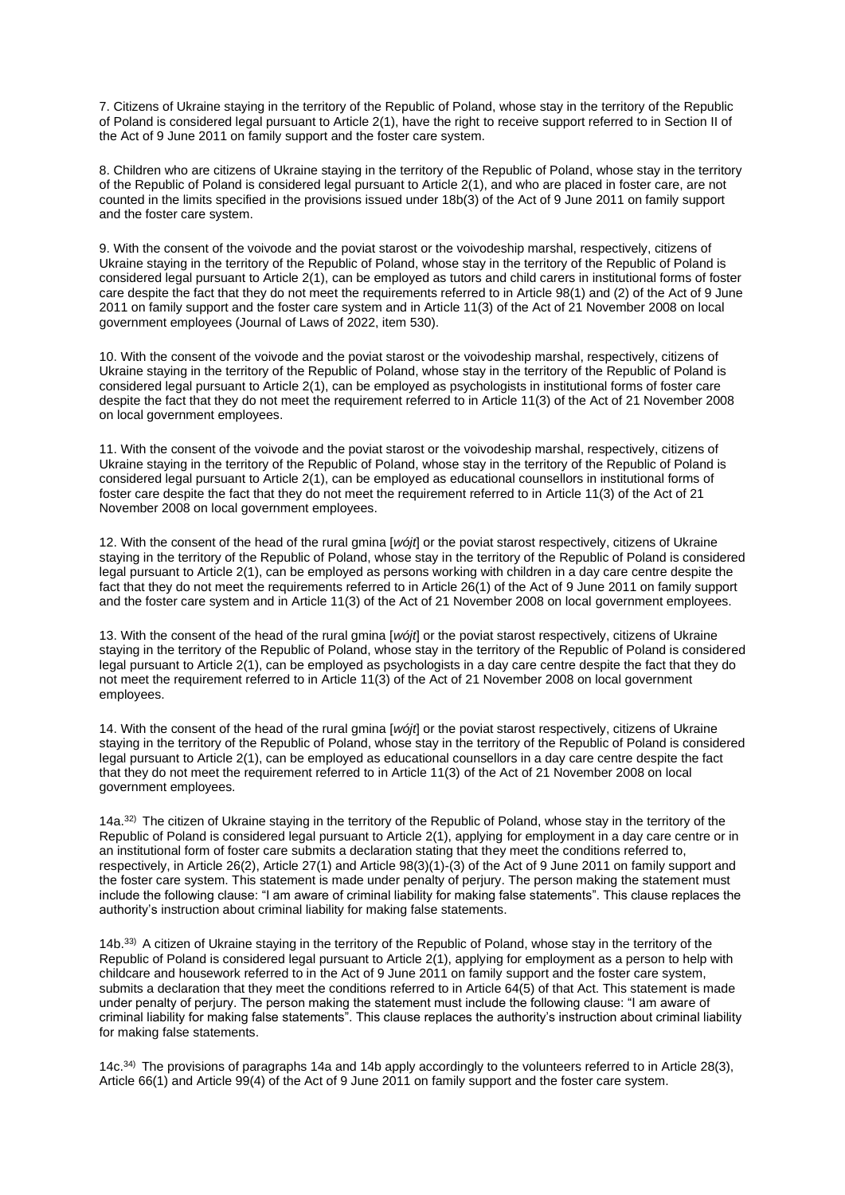7. Citizens of Ukraine staying in the territory of the Republic of Poland, whose stay in the territory of the Republic of Poland is considered legal pursuant to Article 2(1), have the right to receive support referred to in Section II of the Act of 9 June 2011 on family support and the foster care system.

8. Children who are citizens of Ukraine staying in the territory of the Republic of Poland, whose stay in the territory of the Republic of Poland is considered legal pursuant to Article 2(1), and who are placed in foster care, are not counted in the limits specified in the provisions issued under 18b(3) of the Act of 9 June 2011 on family support and the foster care system.

9. With the consent of the voivode and the poviat starost or the voivodeship marshal, respectively, citizens of Ukraine staying in the territory of the Republic of Poland, whose stay in the territory of the Republic of Poland is considered legal pursuant to Article 2(1), can be employed as tutors and child carers in institutional forms of foster care despite the fact that they do not meet the requirements referred to in Article 98(1) and (2) of the Act of 9 June 2011 on family support and the foster care system and in Article 11(3) of the Act of 21 November 2008 on local government employees (Journal of Laws of 2022, item 530).

10. With the consent of the voivode and the poviat starost or the voivodeship marshal, respectively, citizens of Ukraine staying in the territory of the Republic of Poland, whose stay in the territory of the Republic of Poland is considered legal pursuant to Article 2(1), can be employed as psychologists in institutional forms of foster care despite the fact that they do not meet the requirement referred to in Article 11(3) of the Act of 21 November 2008 on local government employees.

11. With the consent of the voivode and the poviat starost or the voivodeship marshal, respectively, citizens of Ukraine staying in the territory of the Republic of Poland, whose stay in the territory of the Republic of Poland is considered legal pursuant to Article 2(1), can be employed as educational counsellors in institutional forms of foster care despite the fact that they do not meet the requirement referred to in Article 11(3) of the Act of 21 November 2008 on local government employees.

12. With the consent of the head of the rural gmina [*wójt*] or the poviat starost respectively, citizens of Ukraine staying in the territory of the Republic of Poland, whose stay in the territory of the Republic of Poland is considered legal pursuant to Article 2(1), can be employed as persons working with children in a day care centre despite the fact that they do not meet the requirements referred to in Article 26(1) of the Act of 9 June 2011 on family support and the foster care system and in Article 11(3) of the Act of 21 November 2008 on local government employees.

13. With the consent of the head of the rural gmina [*wójt*] or the poviat starost respectively, citizens of Ukraine staying in the territory of the Republic of Poland, whose stay in the territory of the Republic of Poland is considered legal pursuant to Article 2(1), can be employed as psychologists in a day care centre despite the fact that they do not meet the requirement referred to in Article 11(3) of the Act of 21 November 2008 on local government employees.

14. With the consent of the head of the rural gmina [*wójt*] or the poviat starost respectively, citizens of Ukraine staying in the territory of the Republic of Poland, whose stay in the territory of the Republic of Poland is considered legal pursuant to Article 2(1), can be employed as educational counsellors in a day care centre despite the fact that they do not meet the requirement referred to in Article 11(3) of the Act of 21 November 2008 on local government employees.

14a.<sup>32)</sup> The citizen of Ukraine staying in the territory of the Republic of Poland, whose stay in the territory of the Republic of Poland is considered legal pursuant to Article 2(1), applying for employment in a day care centre or in an institutional form of foster care submits a declaration stating that they meet the conditions referred to, respectively, in Article 26(2), Article 27(1) and Article 98(3)(1)-(3) of the Act of 9 June 2011 on family support and the foster care system. This statement is made under penalty of perjury. The person making the statement must include the following clause: "I am aware of criminal liability for making false statements". This clause replaces the authority's instruction about criminal liability for making false statements.

14b.33) A citizen of Ukraine staying in the territory of the Republic of Poland, whose stay in the territory of the Republic of Poland is considered legal pursuant to Article 2(1), applying for employment as a person to help with childcare and housework referred to in the Act of 9 June 2011 on family support and the foster care system, submits a declaration that they meet the conditions referred to in Article 64(5) of that Act. This statement is made under penalty of perjury. The person making the statement must include the following clause: "I am aware of criminal liability for making false statements". This clause replaces the authority's instruction about criminal liability for making false statements.

14c.34) The provisions of paragraphs 14a and 14b apply accordingly to the volunteers referred to in Article 28(3), Article 66(1) and Article 99(4) of the Act of 9 June 2011 on family support and the foster care system.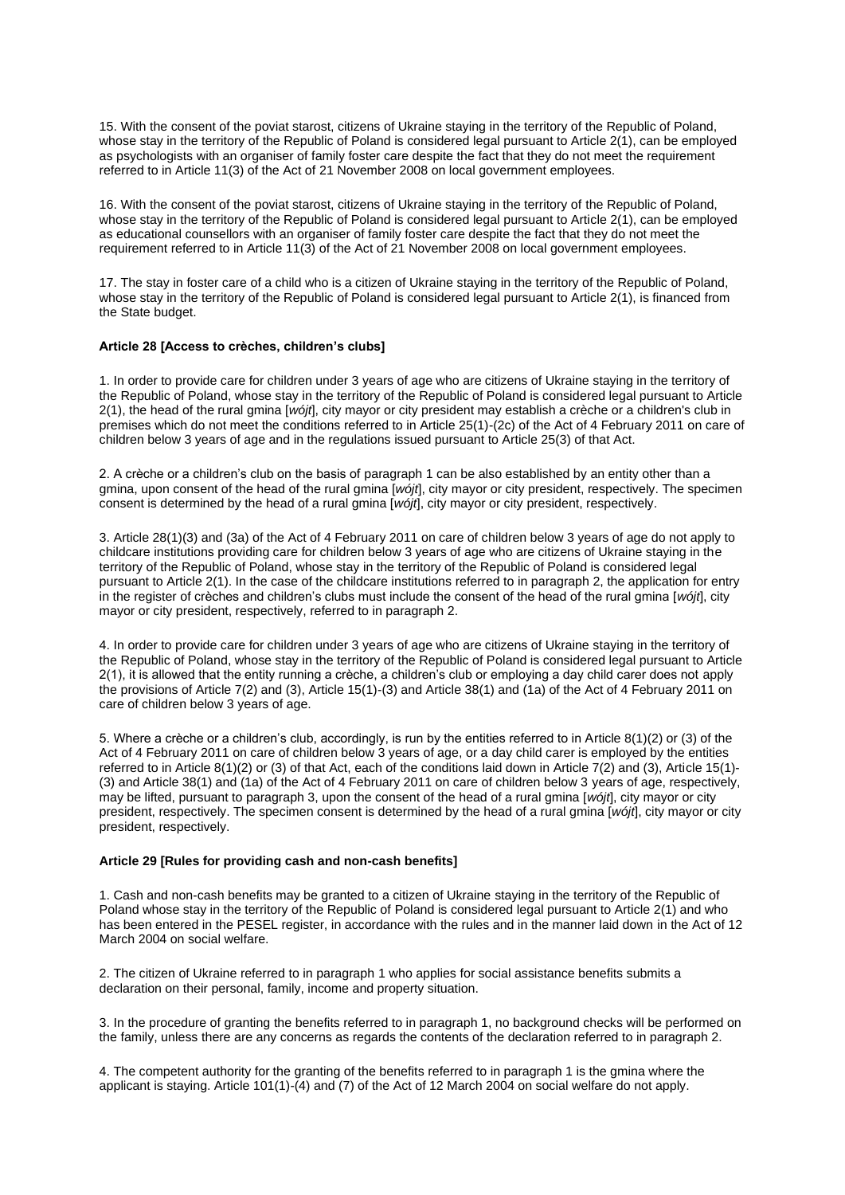15. With the consent of the poviat starost, citizens of Ukraine staying in the territory of the Republic of Poland, whose stay in the territory of the Republic of Poland is considered legal pursuant to Article 2(1), can be employed as psychologists with an organiser of family foster care despite the fact that they do not meet the requirement referred to in Article 11(3) of the Act of 21 November 2008 on local government employees.

16. With the consent of the poviat starost, citizens of Ukraine staying in the territory of the Republic of Poland, whose stay in the territory of the Republic of Poland is considered legal pursuant to Article 2(1), can be employed as educational counsellors with an organiser of family foster care despite the fact that they do not meet the requirement referred to in Article 11(3) of the Act of 21 November 2008 on local government employees.

17. The stay in foster care of a child who is a citizen of Ukraine staying in the territory of the Republic of Poland, whose stay in the territory of the Republic of Poland is considered legal pursuant to Article 2(1), is financed from the State budget.

## **Article 28 [Access to crèches, children's clubs]**

1. In order to provide care for children under 3 years of age who are citizens of Ukraine staying in the territory of the Republic of Poland, whose stay in the territory of the Republic of Poland is considered legal pursuant to Article 2(1), the head of the rural gmina [*wójt*], city mayor or city president may establish a crèche or a children's club in premises which do not meet the conditions referred to in Article 25(1)-(2c) of the Act of 4 February 2011 on care of children below 3 years of age and in the regulations issued pursuant to Article 25(3) of that Act.

2. A crèche or a children's club on the basis of paragraph 1 can be also established by an entity other than a gmina, upon consent of the head of the rural gmina [*wójt*], city mayor or city president, respectively. The specimen consent is determined by the head of a rural gmina [*wójt*], city mayor or city president, respectively.

3. Article 28(1)(3) and (3a) of the Act of 4 February 2011 on care of children below 3 years of age do not apply to childcare institutions providing care for children below 3 years of age who are citizens of Ukraine staying in the territory of the Republic of Poland, whose stay in the territory of the Republic of Poland is considered legal pursuant to Article 2(1). In the case of the childcare institutions referred to in paragraph 2, the application for entry in the register of crèches and children's clubs must include the consent of the head of the rural gmina [*wójt*], city mayor or city president, respectively, referred to in paragraph 2.

4. In order to provide care for children under 3 years of age who are citizens of Ukraine staying in the territory of the Republic of Poland, whose stay in the territory of the Republic of Poland is considered legal pursuant to Article 2(1), it is allowed that the entity running a crèche, a children's club or employing a day child carer does not apply the provisions of Article 7(2) and (3), Article 15(1)-(3) and Article 38(1) and (1a) of the Act of 4 February 2011 on care of children below 3 years of age.

5. Where a crèche or a children's club, accordingly, is run by the entities referred to in Article 8(1)(2) or (3) of the Act of 4 February 2011 on care of children below 3 years of age, or a day child carer is employed by the entities referred to in Article 8(1)(2) or (3) of that Act, each of the conditions laid down in Article 7(2) and (3), Article 15(1)- (3) and Article 38(1) and (1a) of the Act of 4 February 2011 on care of children below 3 years of age, respectively, may be lifted, pursuant to paragraph 3, upon the consent of the head of a rural gmina [*wójt*], city mayor or city president, respectively. The specimen consent is determined by the head of a rural gmina [*wójt*], city mayor or city president, respectively.

## **Article 29 [Rules for providing cash and non-cash benefits]**

1. Cash and non-cash benefits may be granted to a citizen of Ukraine staying in the territory of the Republic of Poland whose stay in the territory of the Republic of Poland is considered legal pursuant to Article 2(1) and who has been entered in the PESEL register, in accordance with the rules and in the manner laid down in the Act of 12 March 2004 on social welfare.

2. The citizen of Ukraine referred to in paragraph 1 who applies for social assistance benefits submits a declaration on their personal, family, income and property situation.

3. In the procedure of granting the benefits referred to in paragraph 1, no background checks will be performed on the family, unless there are any concerns as regards the contents of the declaration referred to in paragraph 2.

4. The competent authority for the granting of the benefits referred to in paragraph 1 is the gmina where the applicant is staying. Article 101(1)-(4) and (7) of the Act of 12 March 2004 on social welfare do not apply.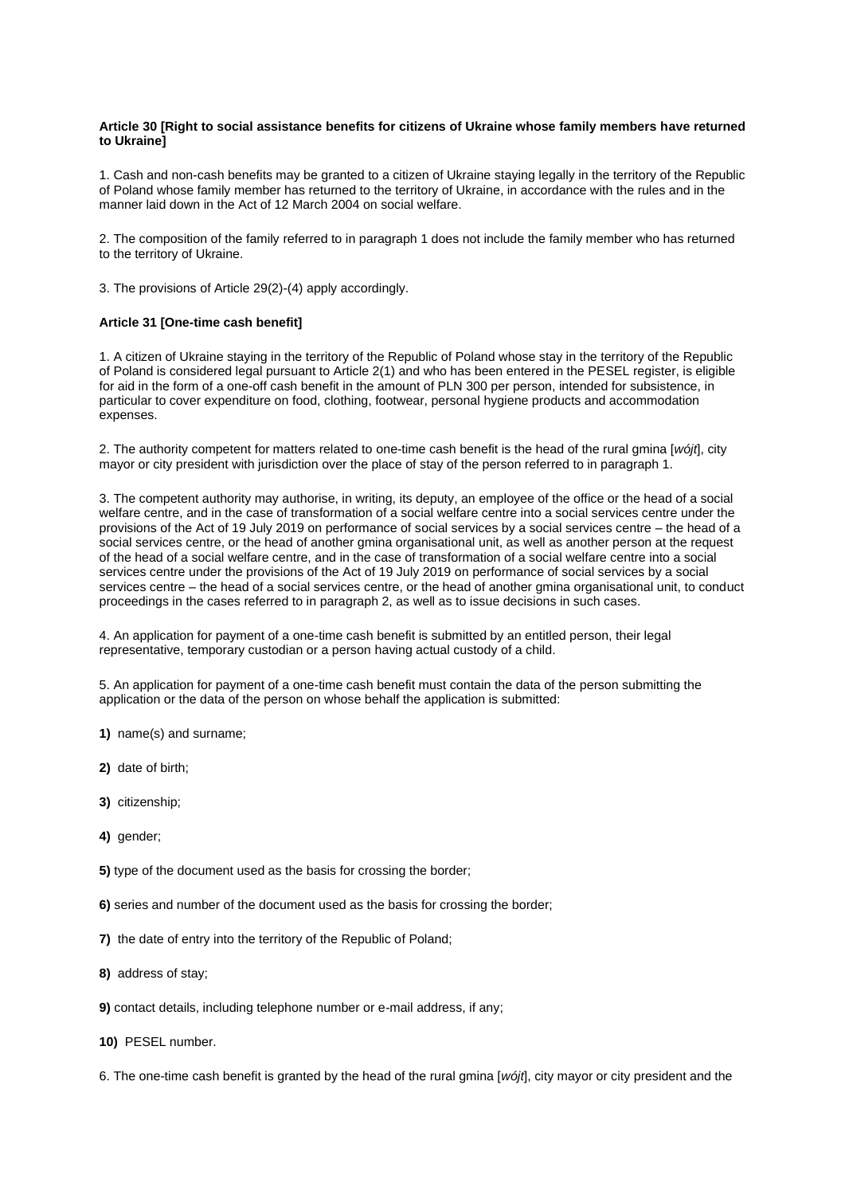## **Article 30 [Right to social assistance benefits for citizens of Ukraine whose family members have returned to Ukraine]**

1. Cash and non-cash benefits may be granted to a citizen of Ukraine staying legally in the territory of the Republic of Poland whose family member has returned to the territory of Ukraine, in accordance with the rules and in the manner laid down in the Act of 12 March 2004 on social welfare.

2. The composition of the family referred to in paragraph 1 does not include the family member who has returned to the territory of Ukraine.

3. The provisions of Article 29(2)-(4) apply accordingly.

## **Article 31 [One-time cash benefit]**

1. A citizen of Ukraine staying in the territory of the Republic of Poland whose stay in the territory of the Republic of Poland is considered legal pursuant to Article 2(1) and who has been entered in the PESEL register, is eligible for aid in the form of a one-off cash benefit in the amount of PLN 300 per person, intended for subsistence, in particular to cover expenditure on food, clothing, footwear, personal hygiene products and accommodation expenses.

2. The authority competent for matters related to one-time cash benefit is the head of the rural gmina [*wójt*], city mayor or city president with jurisdiction over the place of stay of the person referred to in paragraph 1.

3. The competent authority may authorise, in writing, its deputy, an employee of the office or the head of a social welfare centre, and in the case of transformation of a social welfare centre into a social services centre under the provisions of the Act of 19 July 2019 on performance of social services by a social services centre – the head of a social services centre, or the head of another gmina organisational unit, as well as another person at the request of the head of a social welfare centre, and in the case of transformation of a social welfare centre into a social services centre under the provisions of the Act of 19 July 2019 on performance of social services by a social services centre – the head of a social services centre, or the head of another gmina organisational unit, to conduct proceedings in the cases referred to in paragraph 2, as well as to issue decisions in such cases.

4. An application for payment of a one-time cash benefit is submitted by an entitled person, their legal representative, temporary custodian or a person having actual custody of a child.

5. An application for payment of a one-time cash benefit must contain the data of the person submitting the application or the data of the person on whose behalf the application is submitted:

- **1)** name(s) and surname;
- **2)** date of birth;
- **3)** citizenship;
- 4) **gender**:

**5)** type of the document used as the basis for crossing the border;

- **6)** series and number of the document used as the basis for crossing the border;
- **7)** the date of entry into the territory of the Republic of Poland;
- **8)** address of stay;
- **9)** contact details, including telephone number or e-mail address, if any;
- **10)** PESEL number.

6. The one-time cash benefit is granted by the head of the rural gmina [*wójt*], city mayor or city president and the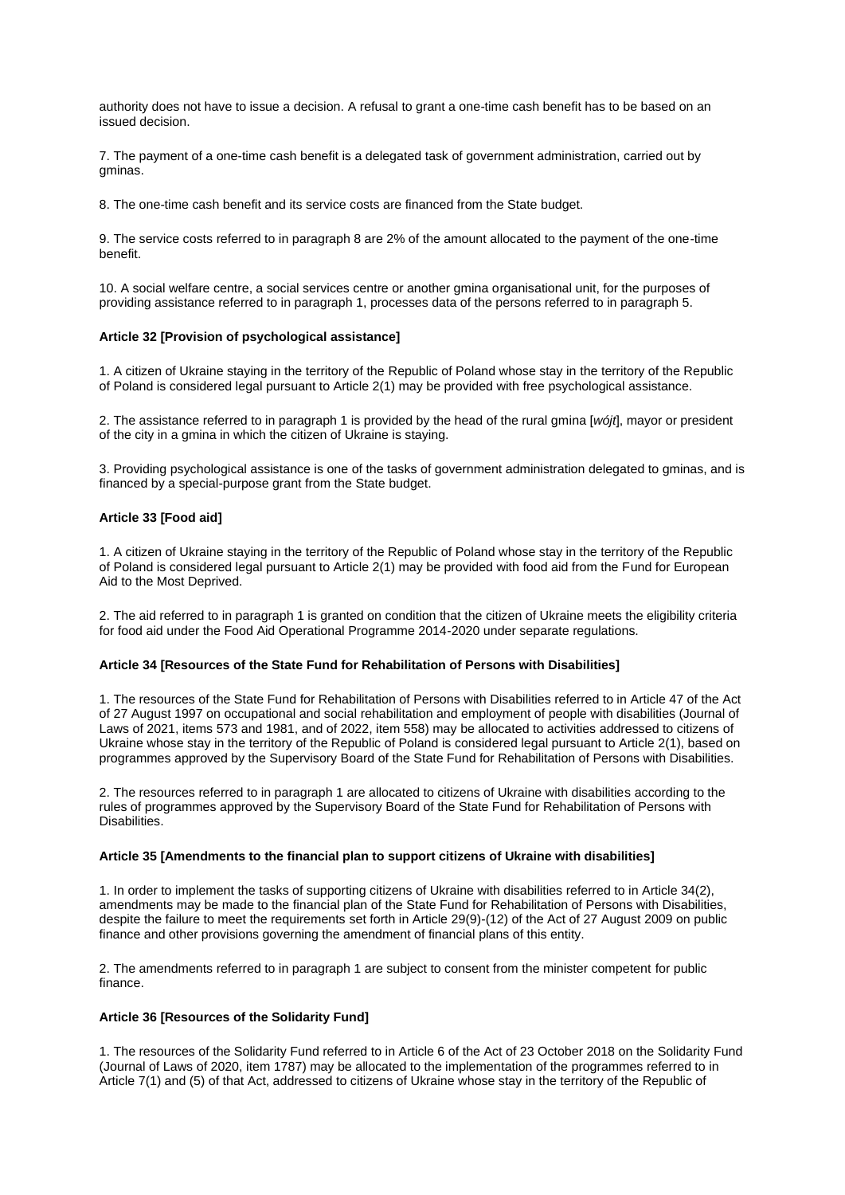authority does not have to issue a decision. A refusal to grant a one-time cash benefit has to be based on an issued decision.

7. The payment of a one-time cash benefit is a delegated task of government administration, carried out by gminas.

8. The one-time cash benefit and its service costs are financed from the State budget.

9. The service costs referred to in paragraph 8 are 2% of the amount allocated to the payment of the one-time benefit.

10. A social welfare centre, a social services centre or another gmina organisational unit, for the purposes of providing assistance referred to in paragraph 1, processes data of the persons referred to in paragraph 5.

## **Article 32 [Provision of psychological assistance]**

1. A citizen of Ukraine staying in the territory of the Republic of Poland whose stay in the territory of the Republic of Poland is considered legal pursuant to Article 2(1) may be provided with free psychological assistance.

2. The assistance referred to in paragraph 1 is provided by the head of the rural gmina [*wójt*], mayor or president of the city in a gmina in which the citizen of Ukraine is staying.

3. Providing psychological assistance is one of the tasks of government administration delegated to gminas, and is financed by a special-purpose grant from the State budget.

## **Article 33 [Food aid]**

1. A citizen of Ukraine staying in the territory of the Republic of Poland whose stay in the territory of the Republic of Poland is considered legal pursuant to Article 2(1) may be provided with food aid from the Fund for European Aid to the Most Deprived.

2. The aid referred to in paragraph 1 is granted on condition that the citizen of Ukraine meets the eligibility criteria for food aid under the Food Aid Operational Programme 2014-2020 under separate regulations.

#### **Article 34 [Resources of the State Fund for Rehabilitation of Persons with Disabilities]**

1. The resources of the State Fund for Rehabilitation of Persons with Disabilities referred to in Article 47 of the Act of 27 August 1997 on occupational and social rehabilitation and employment of people with disabilities (Journal of Laws of 2021, items 573 and 1981, and of 2022, item 558) may be allocated to activities addressed to citizens of Ukraine whose stay in the territory of the Republic of Poland is considered legal pursuant to Article 2(1), based on programmes approved by the Supervisory Board of the State Fund for Rehabilitation of Persons with Disabilities.

2. The resources referred to in paragraph 1 are allocated to citizens of Ukraine with disabilities according to the rules of programmes approved by the Supervisory Board of the State Fund for Rehabilitation of Persons with Disabilities.

#### **Article 35 [Amendments to the financial plan to support citizens of Ukraine with disabilities]**

1. In order to implement the tasks of supporting citizens of Ukraine with disabilities referred to in Article 34(2), amendments may be made to the financial plan of the State Fund for Rehabilitation of Persons with Disabilities, despite the failure to meet the requirements set forth in Article 29(9)-(12) of the Act of 27 August 2009 on public finance and other provisions governing the amendment of financial plans of this entity.

2. The amendments referred to in paragraph 1 are subject to consent from the minister competent for public finance.

# **Article 36 [Resources of the Solidarity Fund]**

1. The resources of the Solidarity Fund referred to in Article 6 of the Act of 23 October 2018 on the Solidarity Fund (Journal of Laws of 2020, item 1787) may be allocated to the implementation of the programmes referred to in Article 7(1) and (5) of that Act, addressed to citizens of Ukraine whose stay in the territory of the Republic of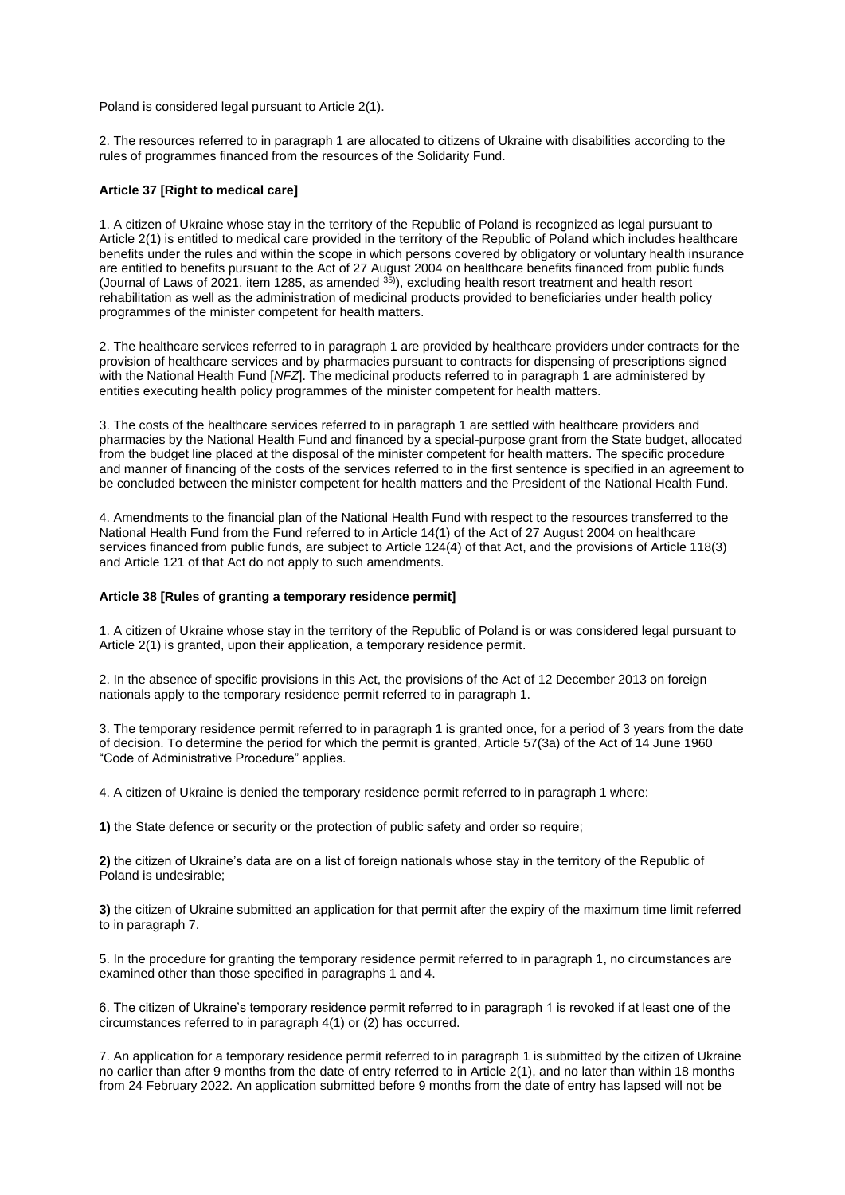Poland is considered legal pursuant to Article 2(1).

2. The resources referred to in paragraph 1 are allocated to citizens of Ukraine with disabilities according to the rules of programmes financed from the resources of the Solidarity Fund.

### **Article 37 [Right to medical care]**

1. A citizen of Ukraine whose stay in the territory of the Republic of Poland is recognized as legal pursuant to Article 2(1) is entitled to medical care provided in the territory of the Republic of Poland which includes healthcare benefits under the rules and within the scope in which persons covered by obligatory or voluntary health insurance are entitled to benefits pursuant to the Act of 27 August 2004 on healthcare benefits financed from public funds (Journal of Laws of 2021, item 1285, as amended  $35$ ), excluding health resort treatment and health resort rehabilitation as well as the administration of medicinal products provided to beneficiaries under health policy programmes of the minister competent for health matters.

2. The healthcare services referred to in paragraph 1 are provided by healthcare providers under contracts for the provision of healthcare services and by pharmacies pursuant to contracts for dispensing of prescriptions signed with the National Health Fund [*NFZ*]. The medicinal products referred to in paragraph 1 are administered by entities executing health policy programmes of the minister competent for health matters.

3. The costs of the healthcare services referred to in paragraph 1 are settled with healthcare providers and pharmacies by the National Health Fund and financed by a special-purpose grant from the State budget, allocated from the budget line placed at the disposal of the minister competent for health matters. The specific procedure and manner of financing of the costs of the services referred to in the first sentence is specified in an agreement to be concluded between the minister competent for health matters and the President of the National Health Fund.

4. Amendments to the financial plan of the National Health Fund with respect to the resources transferred to the National Health Fund from the Fund referred to in Article 14(1) of the Act of 27 August 2004 on healthcare services financed from public funds, are subject to Article 124(4) of that Act, and the provisions of Article 118(3) and Article 121 of that Act do not apply to such amendments.

#### **Article 38 [Rules of granting a temporary residence permit]**

1. A citizen of Ukraine whose stay in the territory of the Republic of Poland is or was considered legal pursuant to Article 2(1) is granted, upon their application, a temporary residence permit.

2. In the absence of specific provisions in this Act, the provisions of the Act of 12 December 2013 on foreign nationals apply to the temporary residence permit referred to in paragraph 1.

3. The temporary residence permit referred to in paragraph 1 is granted once, for a period of 3 years from the date of decision. To determine the period for which the permit is granted, Article 57(3a) of the Act of 14 June 1960 "Code of Administrative Procedure" applies.

4. A citizen of Ukraine is denied the temporary residence permit referred to in paragraph 1 where:

**1)** the State defence or security or the protection of public safety and order so require;

**2)** the citizen of Ukraine's data are on a list of foreign nationals whose stay in the territory of the Republic of Poland is undesirable;

**3)** the citizen of Ukraine submitted an application for that permit after the expiry of the maximum time limit referred to in paragraph 7.

5. In the procedure for granting the temporary residence permit referred to in paragraph 1, no circumstances are examined other than those specified in paragraphs 1 and 4.

6. The citizen of Ukraine's temporary residence permit referred to in paragraph 1 is revoked if at least one of the circumstances referred to in paragraph 4(1) or (2) has occurred.

7. An application for a temporary residence permit referred to in paragraph 1 is submitted by the citizen of Ukraine no earlier than after 9 months from the date of entry referred to in Article 2(1), and no later than within 18 months from 24 February 2022. An application submitted before 9 months from the date of entry has lapsed will not be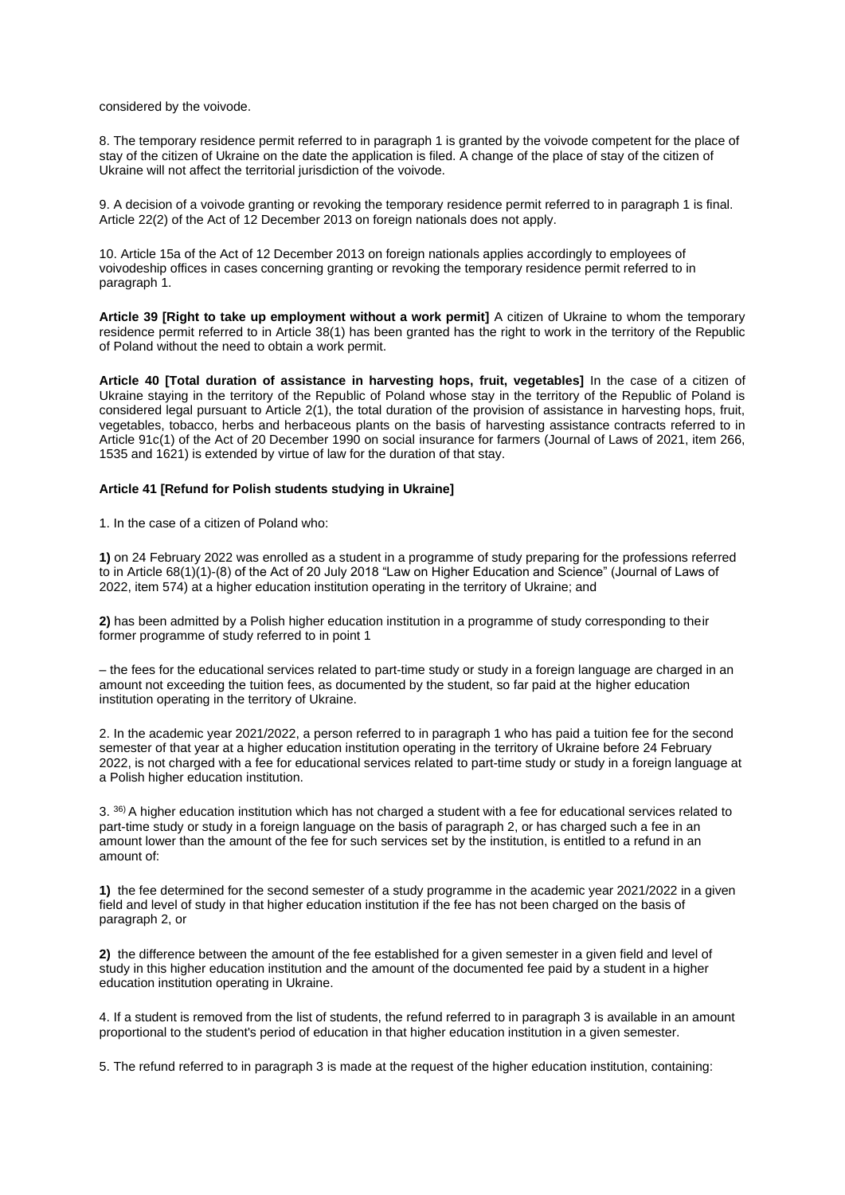considered by the voivode.

8. The temporary residence permit referred to in paragraph 1 is granted by the voivode competent for the place of stay of the citizen of Ukraine on the date the application is filed. A change of the place of stay of the citizen of Ukraine will not affect the territorial jurisdiction of the voivode.

9. A decision of a voivode granting or revoking the temporary residence permit referred to in paragraph 1 is final. Article 22(2) of the Act of 12 December 2013 on foreign nationals does not apply.

10. Article 15a of the Act of 12 December 2013 on foreign nationals applies accordingly to employees of voivodeship offices in cases concerning granting or revoking the temporary residence permit referred to in paragraph 1.

**Article 39 [Right to take up employment without a work permit]** A citizen of Ukraine to whom the temporary residence permit referred to in Article 38(1) has been granted has the right to work in the territory of the Republic of Poland without the need to obtain a work permit.

**Article 40 [Total duration of assistance in harvesting hops, fruit, vegetables]** In the case of a citizen of Ukraine staying in the territory of the Republic of Poland whose stay in the territory of the Republic of Poland is considered legal pursuant to Article 2(1), the total duration of the provision of assistance in harvesting hops, fruit, vegetables, tobacco, herbs and herbaceous plants on the basis of harvesting assistance contracts referred to in Article 91c(1) of the Act of 20 December 1990 on social insurance for farmers (Journal of Laws of 2021, item 266, 1535 and 1621) is extended by virtue of law for the duration of that stay.

## **Article 41 [Refund for Polish students studying in Ukraine]**

1. In the case of a citizen of Poland who:

**1)** on 24 February 2022 was enrolled as a student in a programme of study preparing for the professions referred to in Article 68(1)(1)-(8) of the Act of 20 July 2018 "Law on Higher Education and Science" (Journal of Laws of 2022, item 574) at a higher education institution operating in the territory of Ukraine; and

**2)** has been admitted by a Polish higher education institution in a programme of study corresponding to their former programme of study referred to in point 1

– the fees for the educational services related to part-time study or study in a foreign language are charged in an amount not exceeding the tuition fees, as documented by the student, so far paid at the higher education institution operating in the territory of Ukraine.

2. In the academic year 2021/2022, a person referred to in paragraph 1 who has paid a tuition fee for the second semester of that year at a higher education institution operating in the territory of Ukraine before 24 February 2022, is not charged with a fee for educational services related to part-time study or study in a foreign language at a Polish higher education institution.

3. 36) A higher education institution which has not charged a student with a fee for educational services related to part-time study or study in a foreign language on the basis of paragraph 2, or has charged such a fee in an amount lower than the amount of the fee for such services set by the institution, is entitled to a refund in an amount of:

**1)** the fee determined for the second semester of a study programme in the academic year 2021/2022 in a given field and level of study in that higher education institution if the fee has not been charged on the basis of paragraph 2, or

**2)** the difference between the amount of the fee established for a given semester in a given field and level of study in this higher education institution and the amount of the documented fee paid by a student in a higher education institution operating in Ukraine.

4. If a student is removed from the list of students, the refund referred to in paragraph 3 is available in an amount proportional to the student's period of education in that higher education institution in a given semester.

5. The refund referred to in paragraph 3 is made at the request of the higher education institution, containing: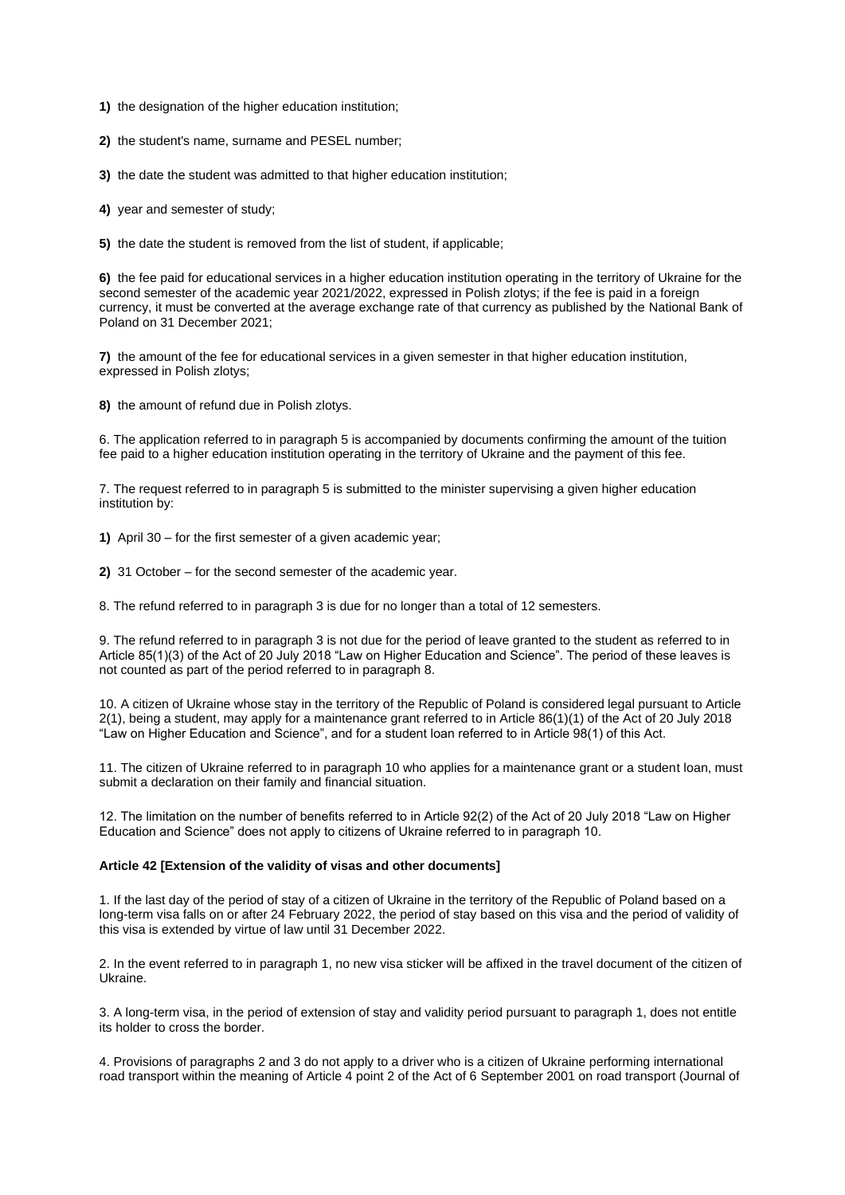- **1)** the designation of the higher education institution;
- **2)** the student's name, surname and PESEL number;
- **3)** the date the student was admitted to that higher education institution;
- **4)** year and semester of study;
- **5)** the date the student is removed from the list of student, if applicable;

**6)** the fee paid for educational services in a higher education institution operating in the territory of Ukraine for the second semester of the academic year 2021/2022, expressed in Polish zlotys; if the fee is paid in a foreign currency, it must be converted at the average exchange rate of that currency as published by the National Bank of Poland on 31 December 2021;

**7)** the amount of the fee for educational services in a given semester in that higher education institution, expressed in Polish zlotys;

**8)** the amount of refund due in Polish zlotys.

6. The application referred to in paragraph 5 is accompanied by documents confirming the amount of the tuition fee paid to a higher education institution operating in the territory of Ukraine and the payment of this fee.

7. The request referred to in paragraph 5 is submitted to the minister supervising a given higher education institution by:

**1)** April 30 – for the first semester of a given academic year;

**2)** 31 October – for the second semester of the academic year.

8. The refund referred to in paragraph 3 is due for no longer than a total of 12 semesters.

9. The refund referred to in paragraph 3 is not due for the period of leave granted to the student as referred to in Article 85(1)(3) of the Act of 20 July 2018 "Law on Higher Education and Science". The period of these leaves is not counted as part of the period referred to in paragraph 8.

10. A citizen of Ukraine whose stay in the territory of the Republic of Poland is considered legal pursuant to Article 2(1), being a student, may apply for a maintenance grant referred to in Article 86(1)(1) of the Act of 20 July 2018 "Law on Higher Education and Science", and for a student loan referred to in Article 98(1) of this Act.

11. The citizen of Ukraine referred to in paragraph 10 who applies for a maintenance grant or a student loan, must submit a declaration on their family and financial situation.

12. The limitation on the number of benefits referred to in Article 92(2) of the Act of 20 July 2018 "Law on Higher Education and Science" does not apply to citizens of Ukraine referred to in paragraph 10.

#### **Article 42 [Extension of the validity of visas and other documents]**

1. If the last day of the period of stay of a citizen of Ukraine in the territory of the Republic of Poland based on a long-term visa falls on or after 24 February 2022, the period of stay based on this visa and the period of validity of this visa is extended by virtue of law until 31 December 2022.

2. In the event referred to in paragraph 1, no new visa sticker will be affixed in the travel document of the citizen of Ukraine.

3. A long-term visa, in the period of extension of stay and validity period pursuant to paragraph 1, does not entitle its holder to cross the border.

4. Provisions of paragraphs 2 and 3 do not apply to a driver who is a citizen of Ukraine performing international road transport within the meaning of Article 4 point 2 of the Act of 6 September 2001 on road transport (Journal of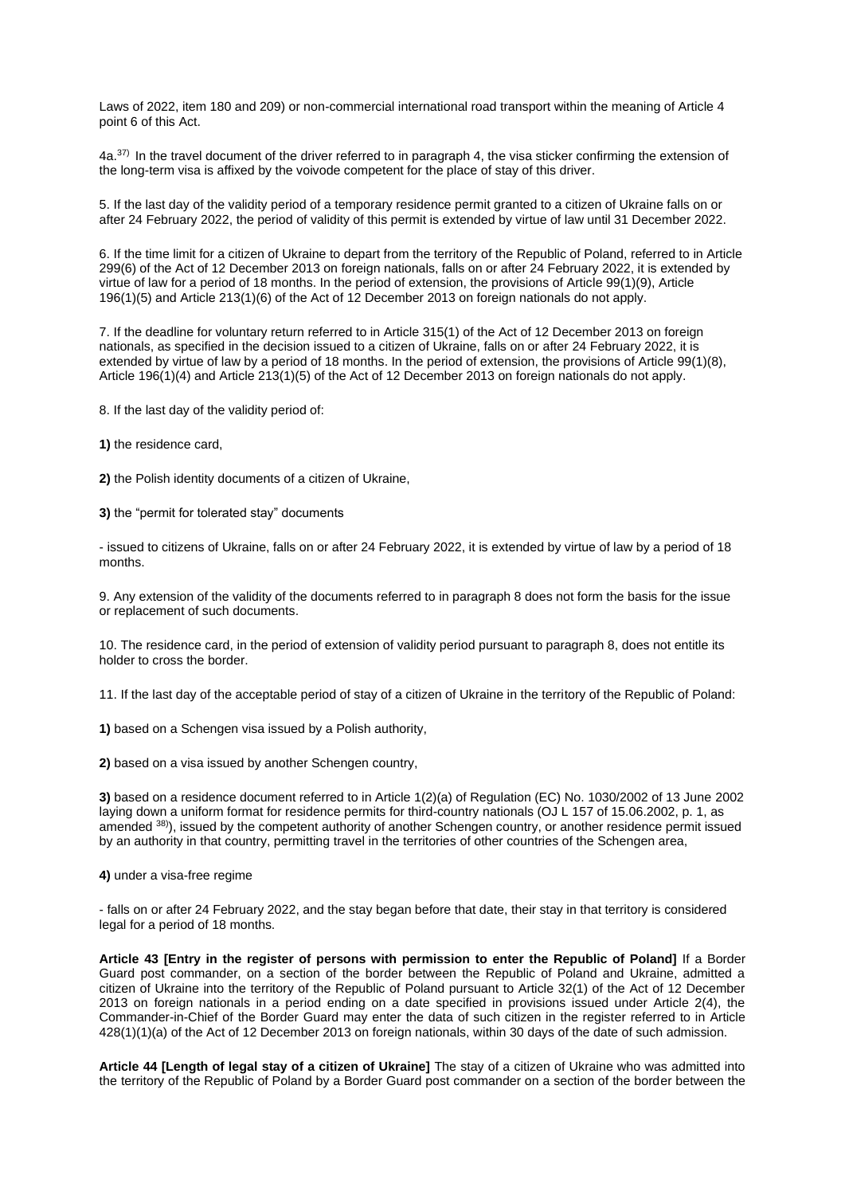Laws of 2022, item 180 and 209) or non-commercial international road transport within the meaning of Article 4 point 6 of this Act.

4a.37) In the travel document of the driver referred to in paragraph 4, the visa sticker confirming the extension of the long-term visa is affixed by the voivode competent for the place of stay of this driver.

5. If the last day of the validity period of a temporary residence permit granted to a citizen of Ukraine falls on or after 24 February 2022, the period of validity of this permit is extended by virtue of law until 31 December 2022.

6. If the time limit for a citizen of Ukraine to depart from the territory of the Republic of Poland, referred to in Article 299(6) of the Act of 12 December 2013 on foreign nationals, falls on or after 24 February 2022, it is extended by virtue of law for a period of 18 months. In the period of extension, the provisions of Article 99(1)(9), Article 196(1)(5) and Article 213(1)(6) of the Act of 12 December 2013 on foreign nationals do not apply.

7. If the deadline for voluntary return referred to in Article 315(1) of the Act of 12 December 2013 on foreign nationals, as specified in the decision issued to a citizen of Ukraine, falls on or after 24 February 2022, it is extended by virtue of law by a period of 18 months. In the period of extension, the provisions of Article 99(1)(8), Article 196(1)(4) and Article 213(1)(5) of the Act of 12 December 2013 on foreign nationals do not apply.

8. If the last day of the validity period of:

**1)** the residence card,

**2)** the Polish identity documents of a citizen of Ukraine,

**3)** the "permit for tolerated stay" documents

- issued to citizens of Ukraine, falls on or after 24 February 2022, it is extended by virtue of law by a period of 18 months.

9. Any extension of the validity of the documents referred to in paragraph 8 does not form the basis for the issue or replacement of such documents.

10. The residence card, in the period of extension of validity period pursuant to paragraph 8, does not entitle its holder to cross the border.

11. If the last day of the acceptable period of stay of a citizen of Ukraine in the territory of the Republic of Poland:

**1)** based on a Schengen visa issued by a Polish authority,

**2)** based on a visa issued by another Schengen country,

**3)** based on a residence document referred to in Article 1(2)(a) of Regulation (EC) No. 1030/2002 of 13 June 2002 laying down a uniform format for residence permits for third-country nationals (OJ L 157 of 15.06.2002, p. 1, as amended 38)), issued by the competent authority of another Schengen country, or another residence permit issued by an authority in that country, permitting travel in the territories of other countries of the Schengen area,

**4)** under a visa-free regime

- falls on or after 24 February 2022, and the stay began before that date, their stay in that territory is considered legal for a period of 18 months.

**Article 43 [Entry in the register of persons with permission to enter the Republic of Poland]** If a Border Guard post commander, on a section of the border between the Republic of Poland and Ukraine, admitted a citizen of Ukraine into the territory of the Republic of Poland pursuant to Article 32(1) of the Act of 12 December 2013 on foreign nationals in a period ending on a date specified in provisions issued under Article 2(4), the Commander-in-Chief of the Border Guard may enter the data of such citizen in the register referred to in Article 428(1)(1)(a) of the Act of 12 December 2013 on foreign nationals, within 30 days of the date of such admission.

**Article 44 [Length of legal stay of a citizen of Ukraine]** The stay of a citizen of Ukraine who was admitted into the territory of the Republic of Poland by a Border Guard post commander on a section of the border between the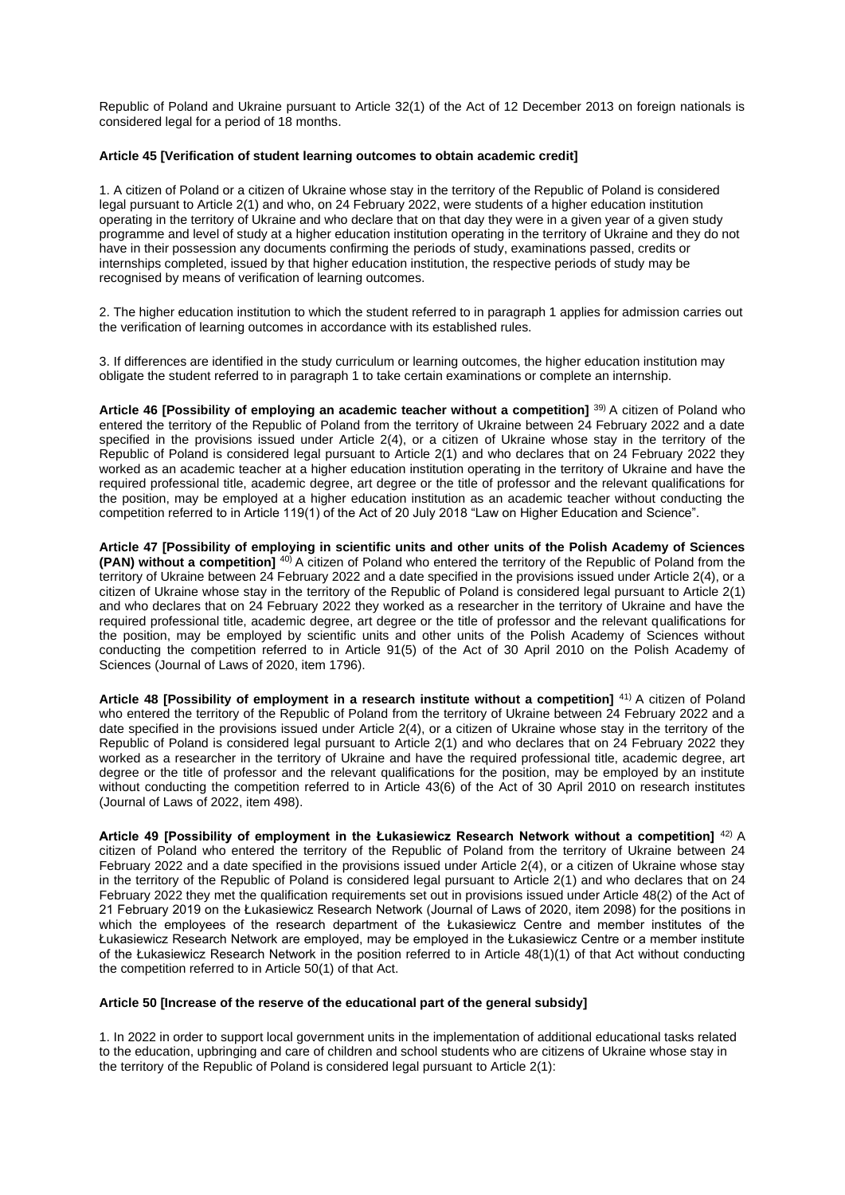Republic of Poland and Ukraine pursuant to Article 32(1) of the Act of 12 December 2013 on foreign nationals is considered legal for a period of 18 months.

## **Article 45 [Verification of student learning outcomes to obtain academic credit]**

1. A citizen of Poland or a citizen of Ukraine whose stay in the territory of the Republic of Poland is considered legal pursuant to Article 2(1) and who, on 24 February 2022, were students of a higher education institution operating in the territory of Ukraine and who declare that on that day they were in a given year of a given study programme and level of study at a higher education institution operating in the territory of Ukraine and they do not have in their possession any documents confirming the periods of study, examinations passed, credits or internships completed, issued by that higher education institution, the respective periods of study may be recognised by means of verification of learning outcomes.

2. The higher education institution to which the student referred to in paragraph 1 applies for admission carries out the verification of learning outcomes in accordance with its established rules.

3. If differences are identified in the study curriculum or learning outcomes, the higher education institution may obligate the student referred to in paragraph 1 to take certain examinations or complete an internship.

**Article 46 [Possibility of employing an academic teacher without a competition]** 39) A citizen of Poland who entered the territory of the Republic of Poland from the territory of Ukraine between 24 February 2022 and a date specified in the provisions issued under Article 2(4), or a citizen of Ukraine whose stay in the territory of the Republic of Poland is considered legal pursuant to Article 2(1) and who declares that on 24 February 2022 they worked as an academic teacher at a higher education institution operating in the territory of Ukraine and have the required professional title, academic degree, art degree or the title of professor and the relevant qualifications for the position, may be employed at a higher education institution as an academic teacher without conducting the competition referred to in Article 119(1) of the Act of 20 July 2018 "Law on Higher Education and Science".

**Article 47 [Possibility of employing in scientific units and other units of the Polish Academy of Sciences (PAN) without a competition]** 40) A citizen of Poland who entered the territory of the Republic of Poland from the territory of Ukraine between 24 February 2022 and a date specified in the provisions issued under Article 2(4), or a citizen of Ukraine whose stay in the territory of the Republic of Poland is considered legal pursuant to Article 2(1) and who declares that on 24 February 2022 they worked as a researcher in the territory of Ukraine and have the required professional title, academic degree, art degree or the title of professor and the relevant qualifications for the position, may be employed by scientific units and other units of the Polish Academy of Sciences without conducting the competition referred to in Article 91(5) of the Act of 30 April 2010 on the Polish Academy of Sciences (Journal of Laws of 2020, item 1796).

**Article 48 [Possibility of employment in a research institute without a competition]** 41) A citizen of Poland who entered the territory of the Republic of Poland from the territory of Ukraine between 24 February 2022 and a date specified in the provisions issued under Article 2(4), or a citizen of Ukraine whose stay in the territory of the Republic of Poland is considered legal pursuant to Article 2(1) and who declares that on 24 February 2022 they worked as a researcher in the territory of Ukraine and have the required professional title, academic degree, art degree or the title of professor and the relevant qualifications for the position, may be employed by an institute without conducting the competition referred to in Article 43(6) of the Act of 30 April 2010 on research institutes (Journal of Laws of 2022, item 498).

**Article 49 [Possibility of employment in the Łukasiewicz Research Network without a competition]** 42) A citizen of Poland who entered the territory of the Republic of Poland from the territory of Ukraine between 24 February 2022 and a date specified in the provisions issued under Article 2(4), or a citizen of Ukraine whose stay in the territory of the Republic of Poland is considered legal pursuant to Article 2(1) and who declares that on 24 February 2022 they met the qualification requirements set out in provisions issued under Article 48(2) of the Act of 21 February 2019 on the Łukasiewicz Research Network (Journal of Laws of 2020, item 2098) for the positions in which the employees of the research department of the Łukasiewicz Centre and member institutes of the Łukasiewicz Research Network are employed, may be employed in the Łukasiewicz Centre or a member institute of the Łukasiewicz Research Network in the position referred to in Article 48(1)(1) of that Act without conducting the competition referred to in Article 50(1) of that Act.

## **Article 50 [Increase of the reserve of the educational part of the general subsidy]**

1. In 2022 in order to support local government units in the implementation of additional educational tasks related to the education, upbringing and care of children and school students who are citizens of Ukraine whose stay in the territory of the Republic of Poland is considered legal pursuant to Article 2(1):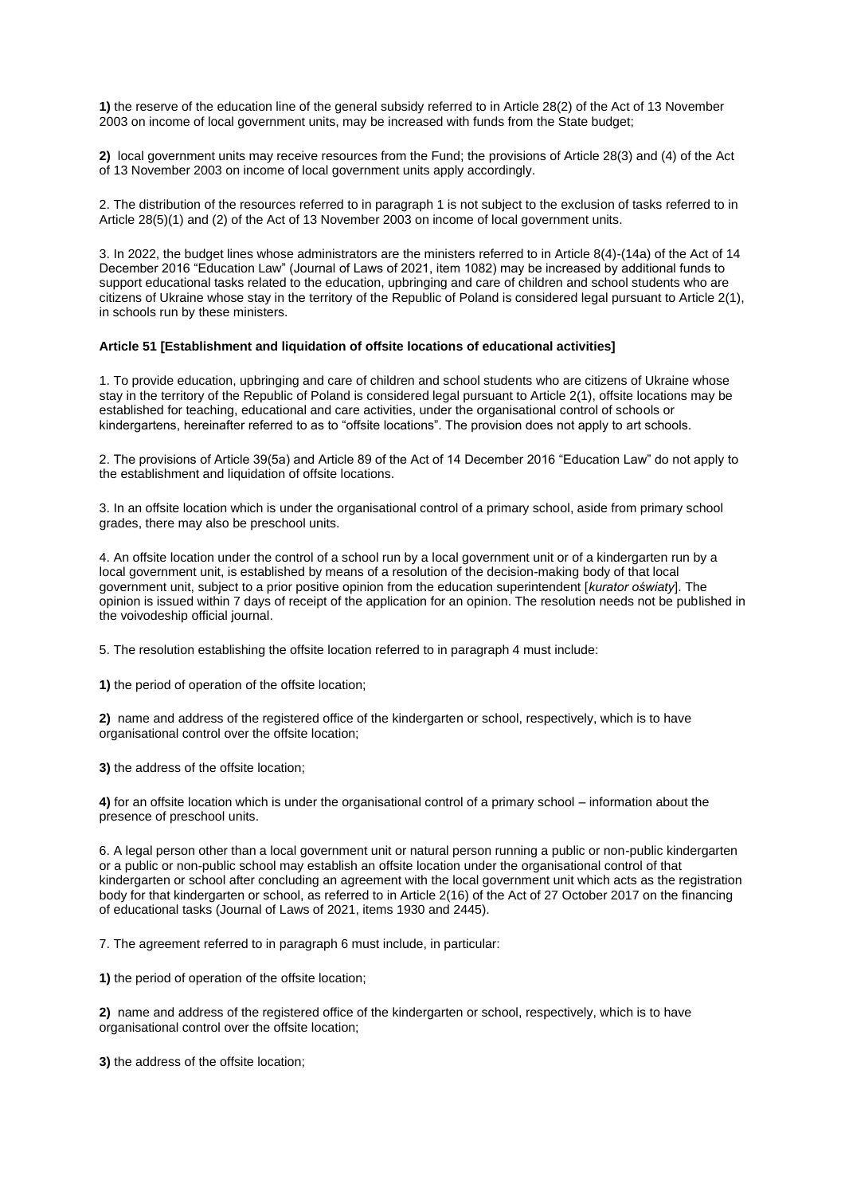**1)** the reserve of the education line of the general subsidy referred to in Article 28(2) of the Act of 13 November 2003 on income of local government units, may be increased with funds from the State budget;

**2)** local government units may receive resources from the Fund; the provisions of Article 28(3) and (4) of the Act of 13 November 2003 on income of local government units apply accordingly.

2. The distribution of the resources referred to in paragraph 1 is not subject to the exclusion of tasks referred to in Article 28(5)(1) and (2) of the Act of 13 November 2003 on income of local government units.

3. In 2022, the budget lines whose administrators are the ministers referred to in Article 8(4)-(14a) of the Act of 14 December 2016 "Education Law" (Journal of Laws of 2021, item 1082) may be increased by additional funds to support educational tasks related to the education, upbringing and care of children and school students who are citizens of Ukraine whose stay in the territory of the Republic of Poland is considered legal pursuant to Article 2(1), in schools run by these ministers.

## **Article 51 [Establishment and liquidation of offsite locations of educational activities]**

1. To provide education, upbringing and care of children and school students who are citizens of Ukraine whose stay in the territory of the Republic of Poland is considered legal pursuant to Article 2(1), offsite locations may be established for teaching, educational and care activities, under the organisational control of schools or kindergartens, hereinafter referred to as to "offsite locations". The provision does not apply to art schools.

2. The provisions of Article 39(5a) and Article 89 of the Act of 14 December 2016 "Education Law" do not apply to the establishment and liquidation of offsite locations.

3. In an offsite location which is under the organisational control of a primary school, aside from primary school grades, there may also be preschool units.

4. An offsite location under the control of a school run by a local government unit or of a kindergarten run by a local government unit, is established by means of a resolution of the decision-making body of that local government unit, subject to a prior positive opinion from the education superintendent [*kurator oświaty*]. The opinion is issued within 7 days of receipt of the application for an opinion. The resolution needs not be published in the voivodeship official journal.

5. The resolution establishing the offsite location referred to in paragraph 4 must include:

**1)** the period of operation of the offsite location;

**2)** name and address of the registered office of the kindergarten or school, respectively, which is to have organisational control over the offsite location;

**3)** the address of the offsite location;

**4)** for an offsite location which is under the organisational control of a primary school – information about the presence of preschool units.

6. A legal person other than a local government unit or natural person running a public or non-public kindergarten or a public or non-public school may establish an offsite location under the organisational control of that kindergarten or school after concluding an agreement with the local government unit which acts as the registration body for that kindergarten or school, as referred to in Article 2(16) of the Act of 27 October 2017 on the financing of educational tasks (Journal of Laws of 2021, items 1930 and 2445).

7. The agreement referred to in paragraph 6 must include, in particular:

**1)** the period of operation of the offsite location;

**2)** name and address of the registered office of the kindergarten or school, respectively, which is to have organisational control over the offsite location;

**3)** the address of the offsite location;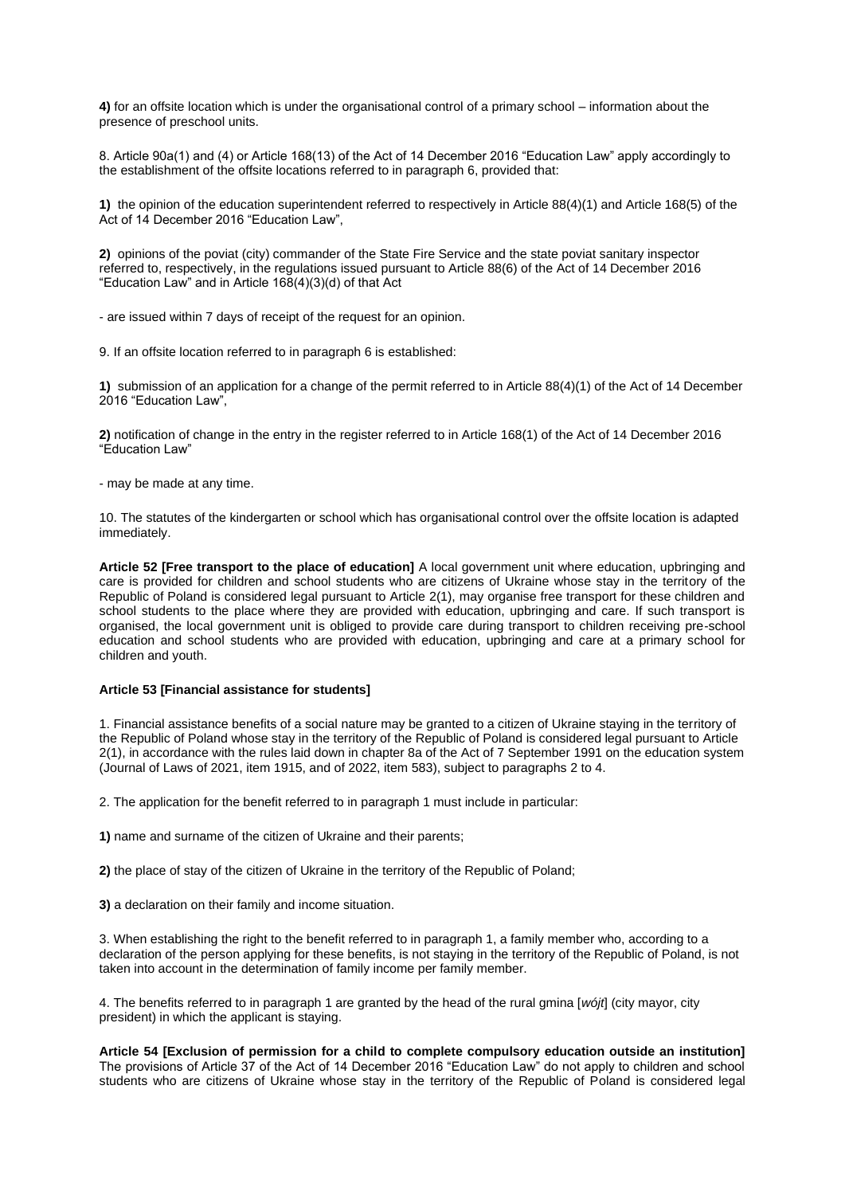**4)** for an offsite location which is under the organisational control of a primary school – information about the presence of preschool units.

8. Article 90a(1) and (4) or Article 168(13) of the Act of 14 December 2016 "Education Law" apply accordingly to the establishment of the offsite locations referred to in paragraph 6, provided that:

**1)** the opinion of the education superintendent referred to respectively in Article 88(4)(1) and Article 168(5) of the Act of 14 December 2016 "Education Law",

**2)** opinions of the poviat (city) commander of the State Fire Service and the state poviat sanitary inspector referred to, respectively, in the regulations issued pursuant to Article 88(6) of the Act of 14 December 2016 "Education Law" and in Article 168(4)(3)(d) of that Act

- are issued within 7 days of receipt of the request for an opinion.

9. If an offsite location referred to in paragraph 6 is established:

**1)** submission of an application for a change of the permit referred to in Article 88(4)(1) of the Act of 14 December 2016 "Education Law",

**2)** notification of change in the entry in the register referred to in Article 168(1) of the Act of 14 December 2016 "Education Law"

- may be made at any time.

10. The statutes of the kindergarten or school which has organisational control over the offsite location is adapted immediately.

**Article 52 [Free transport to the place of education]** A local government unit where education, upbringing and care is provided for children and school students who are citizens of Ukraine whose stay in the territory of the Republic of Poland is considered legal pursuant to Article 2(1), may organise free transport for these children and school students to the place where they are provided with education, upbringing and care. If such transport is organised, the local government unit is obliged to provide care during transport to children receiving pre-school education and school students who are provided with education, upbringing and care at a primary school for children and youth.

# **Article 53 [Financial assistance for students]**

1. Financial assistance benefits of a social nature may be granted to a citizen of Ukraine staying in the territory of the Republic of Poland whose stay in the territory of the Republic of Poland is considered legal pursuant to Article 2(1), in accordance with the rules laid down in chapter 8a of the Act of 7 September 1991 on the education system (Journal of Laws of 2021, item 1915, and of 2022, item 583), subject to paragraphs 2 to 4.

2. The application for the benefit referred to in paragraph 1 must include in particular:

**1)** name and surname of the citizen of Ukraine and their parents;

**2)** the place of stay of the citizen of Ukraine in the territory of the Republic of Poland;

**3)** a declaration on their family and income situation.

3. When establishing the right to the benefit referred to in paragraph 1, a family member who, according to a declaration of the person applying for these benefits, is not staying in the territory of the Republic of Poland, is not taken into account in the determination of family income per family member.

4. The benefits referred to in paragraph 1 are granted by the head of the rural gmina [*wójt*] (city mayor, city president) in which the applicant is staying.

**Article 54 [Exclusion of permission for a child to complete compulsory education outside an institution]**  The provisions of Article 37 of the Act of 14 December 2016 "Education Law" do not apply to children and school students who are citizens of Ukraine whose stay in the territory of the Republic of Poland is considered legal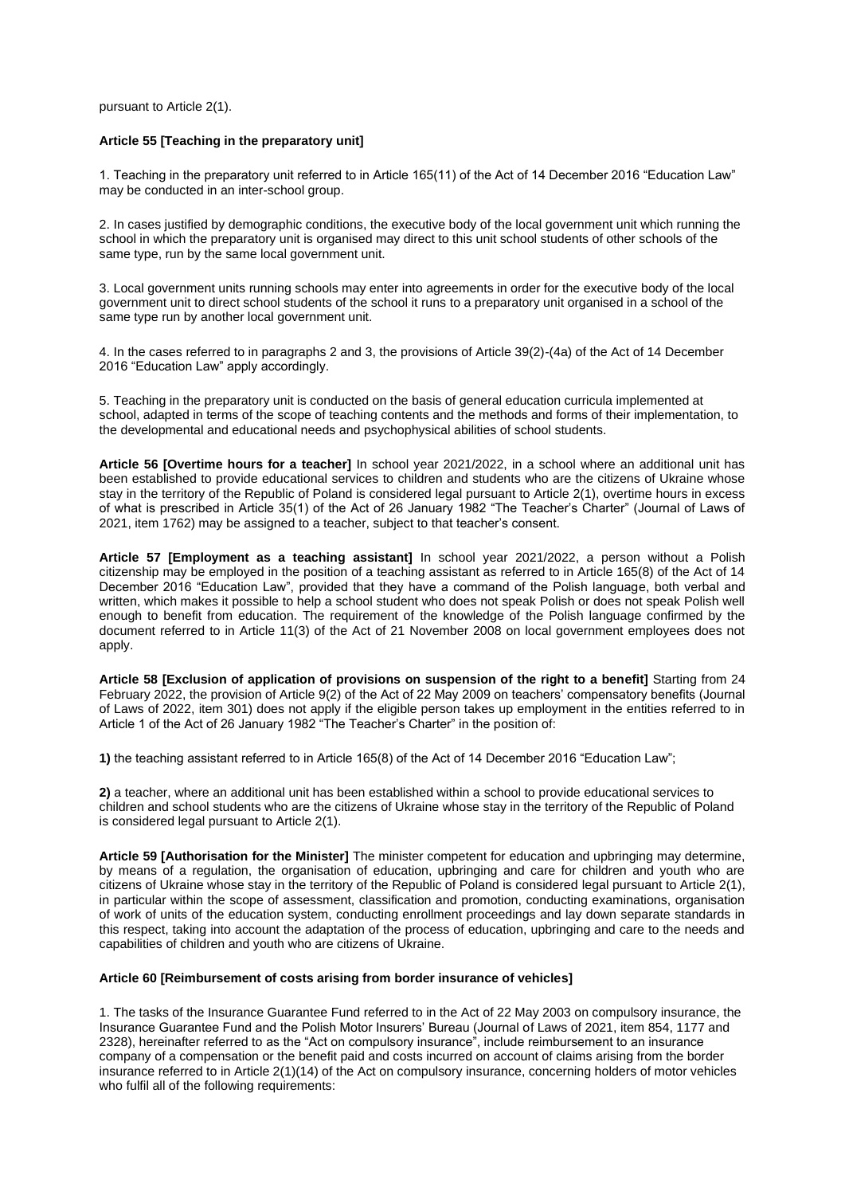pursuant to Article 2(1).

## **Article 55 [Teaching in the preparatory unit]**

1. Teaching in the preparatory unit referred to in Article 165(11) of the Act of 14 December 2016 "Education Law" may be conducted in an inter-school group.

2. In cases justified by demographic conditions, the executive body of the local government unit which running the school in which the preparatory unit is organised may direct to this unit school students of other schools of the same type, run by the same local government unit.

3. Local government units running schools may enter into agreements in order for the executive body of the local government unit to direct school students of the school it runs to a preparatory unit organised in a school of the same type run by another local government unit.

4. In the cases referred to in paragraphs 2 and 3, the provisions of Article 39(2)-(4a) of the Act of 14 December 2016 "Education Law" apply accordingly.

5. Teaching in the preparatory unit is conducted on the basis of general education curricula implemented at school, adapted in terms of the scope of teaching contents and the methods and forms of their implementation, to the developmental and educational needs and psychophysical abilities of school students.

**Article 56 [Overtime hours for a teacher]** In school year 2021/2022, in a school where an additional unit has been established to provide educational services to children and students who are the citizens of Ukraine whose stay in the territory of the Republic of Poland is considered legal pursuant to Article 2(1), overtime hours in excess of what is prescribed in Article 35(1) of the Act of 26 January 1982 "The Teacher's Charter" (Journal of Laws of 2021, item 1762) may be assigned to a teacher, subject to that teacher's consent.

**Article 57 [Employment as a teaching assistant]** In school year 2021/2022, a person without a Polish citizenship may be employed in the position of a teaching assistant as referred to in Article 165(8) of the Act of 14 December 2016 "Education Law", provided that they have a command of the Polish language, both verbal and written, which makes it possible to help a school student who does not speak Polish or does not speak Polish well enough to benefit from education. The requirement of the knowledge of the Polish language confirmed by the document referred to in Article 11(3) of the Act of 21 November 2008 on local government employees does not apply.

**Article 58 [Exclusion of application of provisions on suspension of the right to a benefit]** Starting from 24 February 2022, the provision of Article 9(2) of the Act of 22 May 2009 on teachers' compensatory benefits (Journal of Laws of 2022, item 301) does not apply if the eligible person takes up employment in the entities referred to in Article 1 of the Act of 26 January 1982 "The Teacher's Charter" in the position of:

**1)** the teaching assistant referred to in Article 165(8) of the Act of 14 December 2016 "Education Law";

**2)** a teacher, where an additional unit has been established within a school to provide educational services to children and school students who are the citizens of Ukraine whose stay in the territory of the Republic of Poland is considered legal pursuant to Article 2(1).

**Article 59 [Authorisation for the Minister]** The minister competent for education and upbringing may determine, by means of a regulation, the organisation of education, upbringing and care for children and youth who are citizens of Ukraine whose stay in the territory of the Republic of Poland is considered legal pursuant to Article 2(1), in particular within the scope of assessment, classification and promotion, conducting examinations, organisation of work of units of the education system, conducting enrollment proceedings and lay down separate standards in this respect, taking into account the adaptation of the process of education, upbringing and care to the needs and capabilities of children and youth who are citizens of Ukraine.

# **Article 60 [Reimbursement of costs arising from border insurance of vehicles]**

1. The tasks of the Insurance Guarantee Fund referred to in the Act of 22 May 2003 on compulsory insurance, the Insurance Guarantee Fund and the Polish Motor Insurers' Bureau (Journal of Laws of 2021, item 854, 1177 and 2328), hereinafter referred to as the "Act on compulsory insurance", include reimbursement to an insurance company of a compensation or the benefit paid and costs incurred on account of claims arising from the border insurance referred to in Article 2(1)(14) of the Act on compulsory insurance, concerning holders of motor vehicles who fulfil all of the following requirements: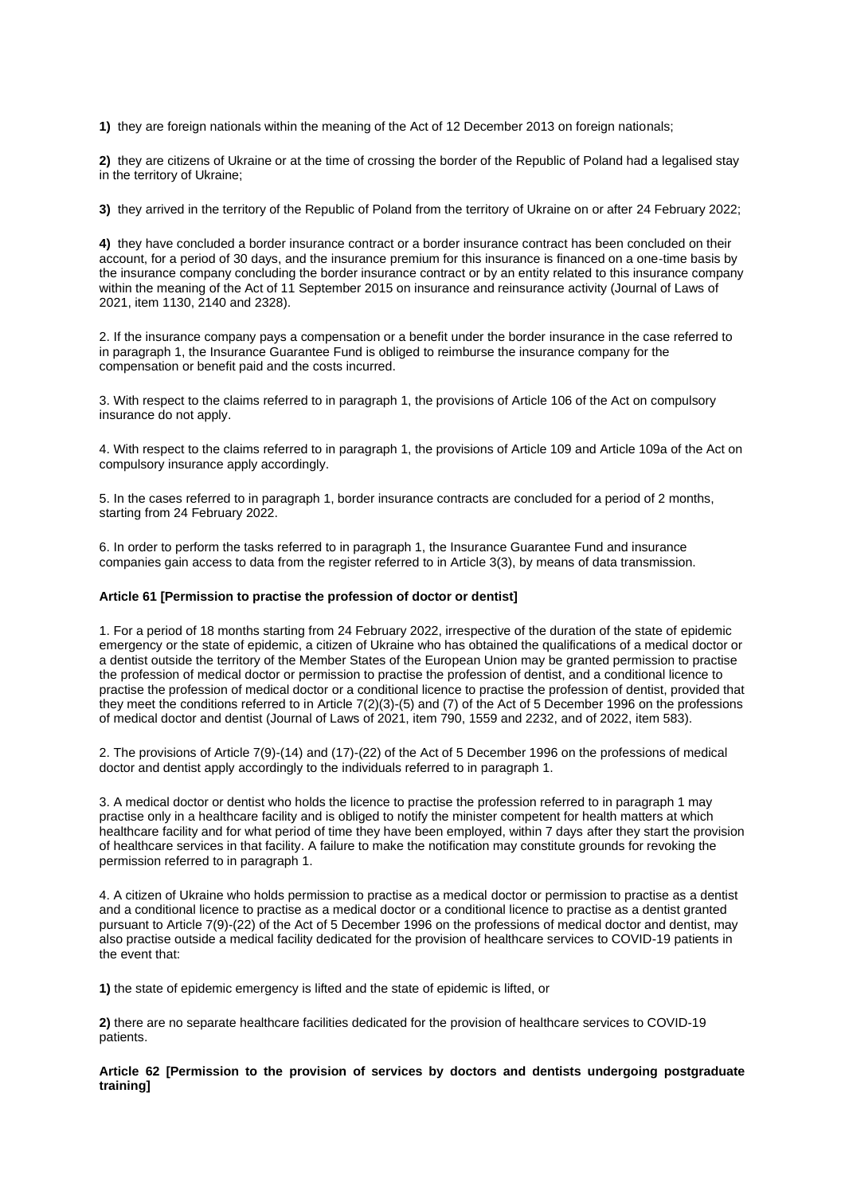**1)** they are foreign nationals within the meaning of the Act of 12 December 2013 on foreign nationals;

**2)** they are citizens of Ukraine or at the time of crossing the border of the Republic of Poland had a legalised stay in the territory of Ukraine;

**3)** they arrived in the territory of the Republic of Poland from the territory of Ukraine on or after 24 February 2022;

**4)** they have concluded a border insurance contract or a border insurance contract has been concluded on their account, for a period of 30 days, and the insurance premium for this insurance is financed on a one-time basis by the insurance company concluding the border insurance contract or by an entity related to this insurance company within the meaning of the Act of 11 September 2015 on insurance and reinsurance activity (Journal of Laws of 2021, item 1130, 2140 and 2328).

2. If the insurance company pays a compensation or a benefit under the border insurance in the case referred to in paragraph 1, the Insurance Guarantee Fund is obliged to reimburse the insurance company for the compensation or benefit paid and the costs incurred.

3. With respect to the claims referred to in paragraph 1, the provisions of Article 106 of the Act on compulsory insurance do not apply.

4. With respect to the claims referred to in paragraph 1, the provisions of Article 109 and Article 109a of the Act on compulsory insurance apply accordingly.

5. In the cases referred to in paragraph 1, border insurance contracts are concluded for a period of 2 months, starting from 24 February 2022.

6. In order to perform the tasks referred to in paragraph 1, the Insurance Guarantee Fund and insurance companies gain access to data from the register referred to in Article 3(3), by means of data transmission.

#### **Article 61 [Permission to practise the profession of doctor or dentist]**

1. For a period of 18 months starting from 24 February 2022, irrespective of the duration of the state of epidemic emergency or the state of epidemic, a citizen of Ukraine who has obtained the qualifications of a medical doctor or a dentist outside the territory of the Member States of the European Union may be granted permission to practise the profession of medical doctor or permission to practise the profession of dentist, and a conditional licence to practise the profession of medical doctor or a conditional licence to practise the profession of dentist, provided that they meet the conditions referred to in Article 7(2)(3)-(5) and (7) of the Act of 5 December 1996 on the professions of medical doctor and dentist (Journal of Laws of 2021, item 790, 1559 and 2232, and of 2022, item 583).

2. The provisions of Article 7(9)-(14) and (17)-(22) of the Act of 5 December 1996 on the professions of medical doctor and dentist apply accordingly to the individuals referred to in paragraph 1.

3. A medical doctor or dentist who holds the licence to practise the profession referred to in paragraph 1 may practise only in a healthcare facility and is obliged to notify the minister competent for health matters at which healthcare facility and for what period of time they have been employed, within 7 days after they start the provision of healthcare services in that facility. A failure to make the notification may constitute grounds for revoking the permission referred to in paragraph 1.

4. A citizen of Ukraine who holds permission to practise as a medical doctor or permission to practise as a dentist and a conditional licence to practise as a medical doctor or a conditional licence to practise as a dentist granted pursuant to Article 7(9)-(22) of the Act of 5 December 1996 on the professions of medical doctor and dentist, may also practise outside a medical facility dedicated for the provision of healthcare services to COVID-19 patients in the event that:

**1)** the state of epidemic emergency is lifted and the state of epidemic is lifted, or

**2)** there are no separate healthcare facilities dedicated for the provision of healthcare services to COVID-19 patients.

**Article 62 [Permission to the provision of services by doctors and dentists undergoing postgraduate training]**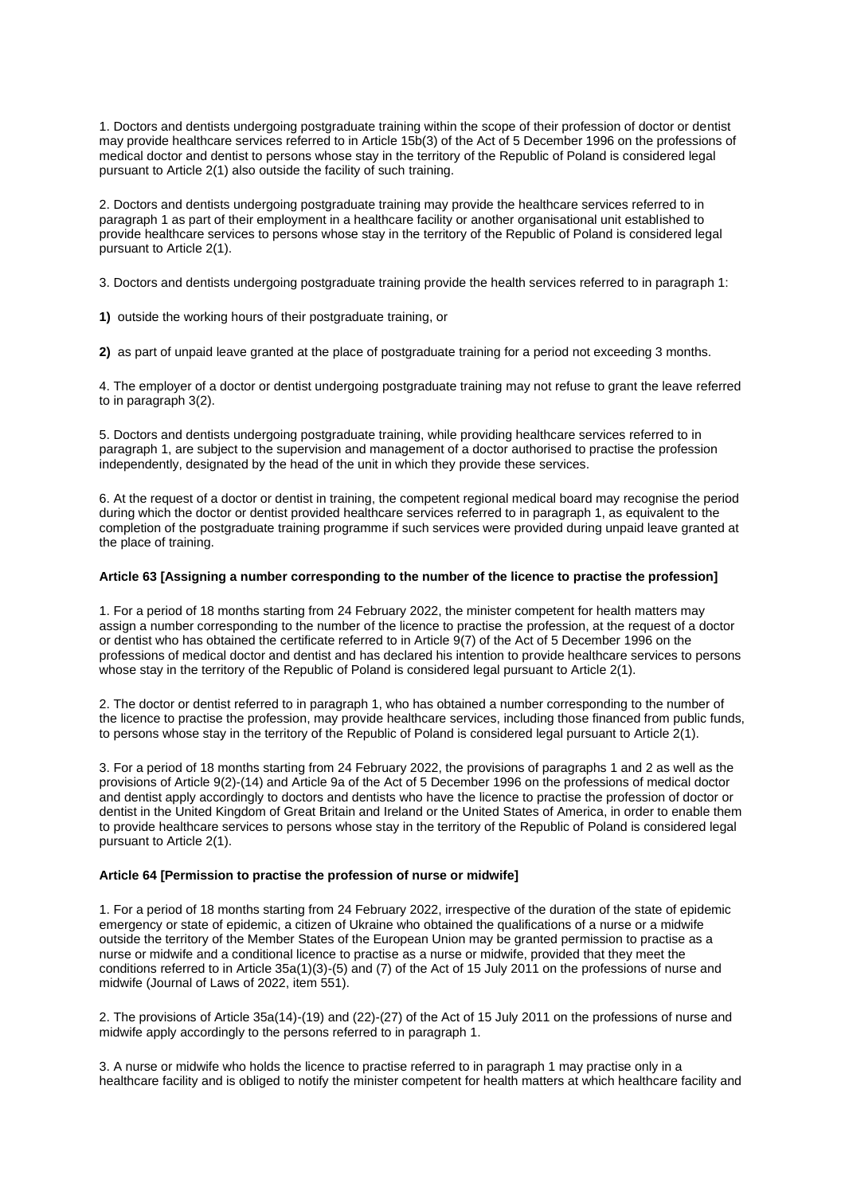1. Doctors and dentists undergoing postgraduate training within the scope of their profession of doctor or dentist may provide healthcare services referred to in Article 15b(3) of the Act of 5 December 1996 on the professions of medical doctor and dentist to persons whose stay in the territory of the Republic of Poland is considered legal pursuant to Article 2(1) also outside the facility of such training.

2. Doctors and dentists undergoing postgraduate training may provide the healthcare services referred to in paragraph 1 as part of their employment in a healthcare facility or another organisational unit established to provide healthcare services to persons whose stay in the territory of the Republic of Poland is considered legal pursuant to Article 2(1).

3. Doctors and dentists undergoing postgraduate training provide the health services referred to in paragraph 1:

**1)** outside the working hours of their postgraduate training, or

**2)** as part of unpaid leave granted at the place of postgraduate training for a period not exceeding 3 months.

4. The employer of a doctor or dentist undergoing postgraduate training may not refuse to grant the leave referred to in paragraph 3(2).

5. Doctors and dentists undergoing postgraduate training, while providing healthcare services referred to in paragraph 1, are subject to the supervision and management of a doctor authorised to practise the profession independently, designated by the head of the unit in which they provide these services.

6. At the request of a doctor or dentist in training, the competent regional medical board may recognise the period during which the doctor or dentist provided healthcare services referred to in paragraph 1, as equivalent to the completion of the postgraduate training programme if such services were provided during unpaid leave granted at the place of training.

#### **Article 63 [Assigning a number corresponding to the number of the licence to practise the profession]**

1. For a period of 18 months starting from 24 February 2022, the minister competent for health matters may assign a number corresponding to the number of the licence to practise the profession, at the request of a doctor or dentist who has obtained the certificate referred to in Article 9(7) of the Act of 5 December 1996 on the professions of medical doctor and dentist and has declared his intention to provide healthcare services to persons whose stay in the territory of the Republic of Poland is considered legal pursuant to Article 2(1).

2. The doctor or dentist referred to in paragraph 1, who has obtained a number corresponding to the number of the licence to practise the profession, may provide healthcare services, including those financed from public funds, to persons whose stay in the territory of the Republic of Poland is considered legal pursuant to Article 2(1).

3. For a period of 18 months starting from 24 February 2022, the provisions of paragraphs 1 and 2 as well as the provisions of Article 9(2)-(14) and Article 9a of the Act of 5 December 1996 on the professions of medical doctor and dentist apply accordingly to doctors and dentists who have the licence to practise the profession of doctor or dentist in the United Kingdom of Great Britain and Ireland or the United States of America, in order to enable them to provide healthcare services to persons whose stay in the territory of the Republic of Poland is considered legal pursuant to Article 2(1).

## **Article 64 [Permission to practise the profession of nurse or midwife]**

1. For a period of 18 months starting from 24 February 2022, irrespective of the duration of the state of epidemic emergency or state of epidemic, a citizen of Ukraine who obtained the qualifications of a nurse or a midwife outside the territory of the Member States of the European Union may be granted permission to practise as a nurse or midwife and a conditional licence to practise as a nurse or midwife, provided that they meet the conditions referred to in Article 35a(1)(3)-(5) and (7) of the Act of 15 July 2011 on the professions of nurse and midwife (Journal of Laws of 2022, item 551).

2. The provisions of Article 35a(14)-(19) and (22)-(27) of the Act of 15 July 2011 on the professions of nurse and midwife apply accordingly to the persons referred to in paragraph 1.

3. A nurse or midwife who holds the licence to practise referred to in paragraph 1 may practise only in a healthcare facility and is obliged to notify the minister competent for health matters at which healthcare facility and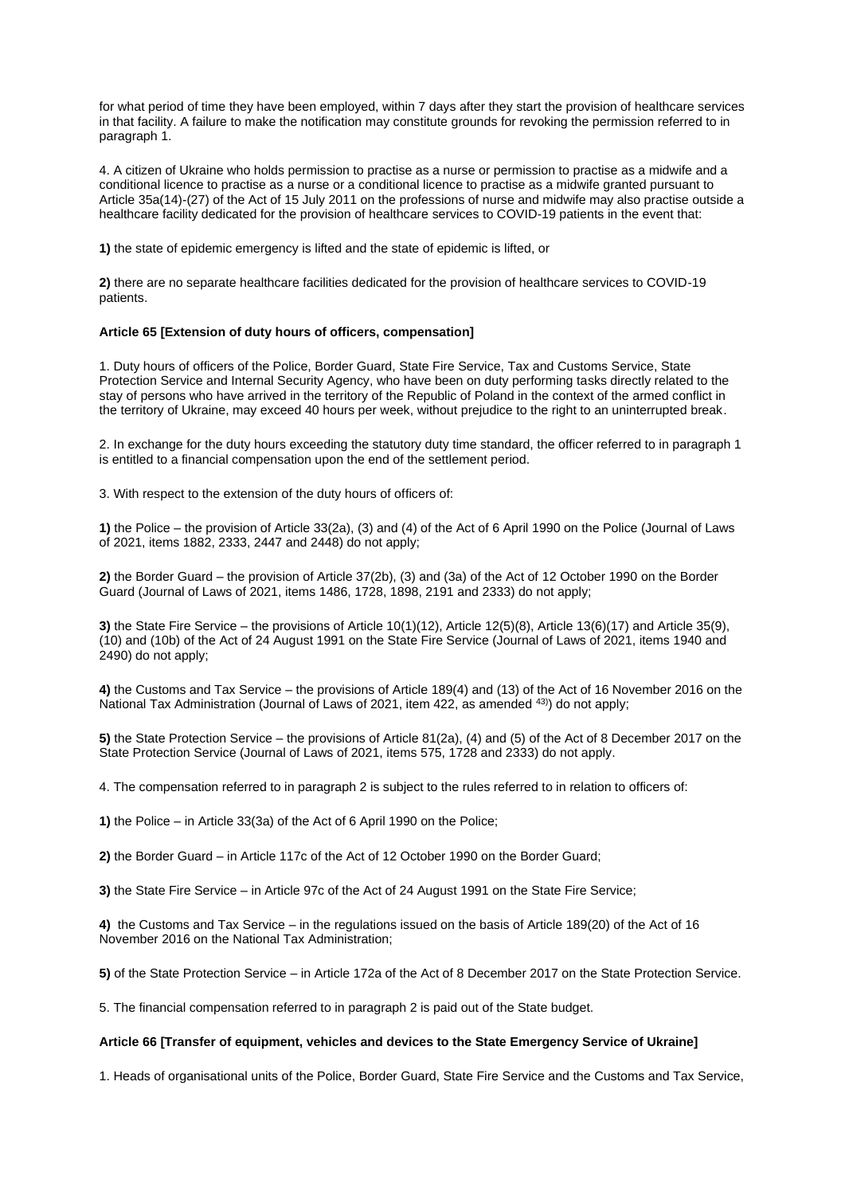for what period of time they have been employed, within 7 days after they start the provision of healthcare services in that facility. A failure to make the notification may constitute grounds for revoking the permission referred to in paragraph 1.

4. A citizen of Ukraine who holds permission to practise as a nurse or permission to practise as a midwife and a conditional licence to practise as a nurse or a conditional licence to practise as a midwife granted pursuant to Article 35a(14)-(27) of the Act of 15 July 2011 on the professions of nurse and midwife may also practise outside a healthcare facility dedicated for the provision of healthcare services to COVID-19 patients in the event that:

**1)** the state of epidemic emergency is lifted and the state of epidemic is lifted, or

**2)** there are no separate healthcare facilities dedicated for the provision of healthcare services to COVID-19 patients.

#### **Article 65 [Extension of duty hours of officers, compensation]**

1. Duty hours of officers of the Police, Border Guard, State Fire Service, Tax and Customs Service, State Protection Service and Internal Security Agency, who have been on duty performing tasks directly related to the stay of persons who have arrived in the territory of the Republic of Poland in the context of the armed conflict in the territory of Ukraine, may exceed 40 hours per week, without prejudice to the right to an uninterrupted break.

2. In exchange for the duty hours exceeding the statutory duty time standard, the officer referred to in paragraph 1 is entitled to a financial compensation upon the end of the settlement period.

3. With respect to the extension of the duty hours of officers of:

**1)** the Police – the provision of Article 33(2a), (3) and (4) of the Act of 6 April 1990 on the Police (Journal of Laws of 2021, items 1882, 2333, 2447 and 2448) do not apply;

**2)** the Border Guard – the provision of Article 37(2b), (3) and (3a) of the Act of 12 October 1990 on the Border Guard (Journal of Laws of 2021, items 1486, 1728, 1898, 2191 and 2333) do not apply;

**3)** the State Fire Service – the provisions of Article 10(1)(12), Article 12(5)(8), Article 13(6)(17) and Article 35(9), (10) and (10b) of the Act of 24 August 1991 on the State Fire Service (Journal of Laws of 2021, items 1940 and 2490) do not apply;

**4)** the Customs and Tax Service – the provisions of Article 189(4) and (13) of the Act of 16 November 2016 on the National Tax Administration (Journal of Laws of 2021, item 422, as amended 43) do not apply;

**5)** the State Protection Service – the provisions of Article 81(2a), (4) and (5) of the Act of 8 December 2017 on the State Protection Service (Journal of Laws of 2021, items 575, 1728 and 2333) do not apply.

4. The compensation referred to in paragraph 2 is subject to the rules referred to in relation to officers of:

**1)** the Police – in Article 33(3a) of the Act of 6 April 1990 on the Police;

**2)** the Border Guard – in Article 117c of the Act of 12 October 1990 on the Border Guard;

**3)** the State Fire Service – in Article 97c of the Act of 24 August 1991 on the State Fire Service;

**4)** the Customs and Tax Service – in the regulations issued on the basis of Article 189(20) of the Act of 16 November 2016 on the National Tax Administration;

**5)** of the State Protection Service – in Article 172a of the Act of 8 December 2017 on the State Protection Service.

5. The financial compensation referred to in paragraph 2 is paid out of the State budget.

#### **Article 66 [Transfer of equipment, vehicles and devices to the State Emergency Service of Ukraine]**

1. Heads of organisational units of the Police, Border Guard, State Fire Service and the Customs and Tax Service,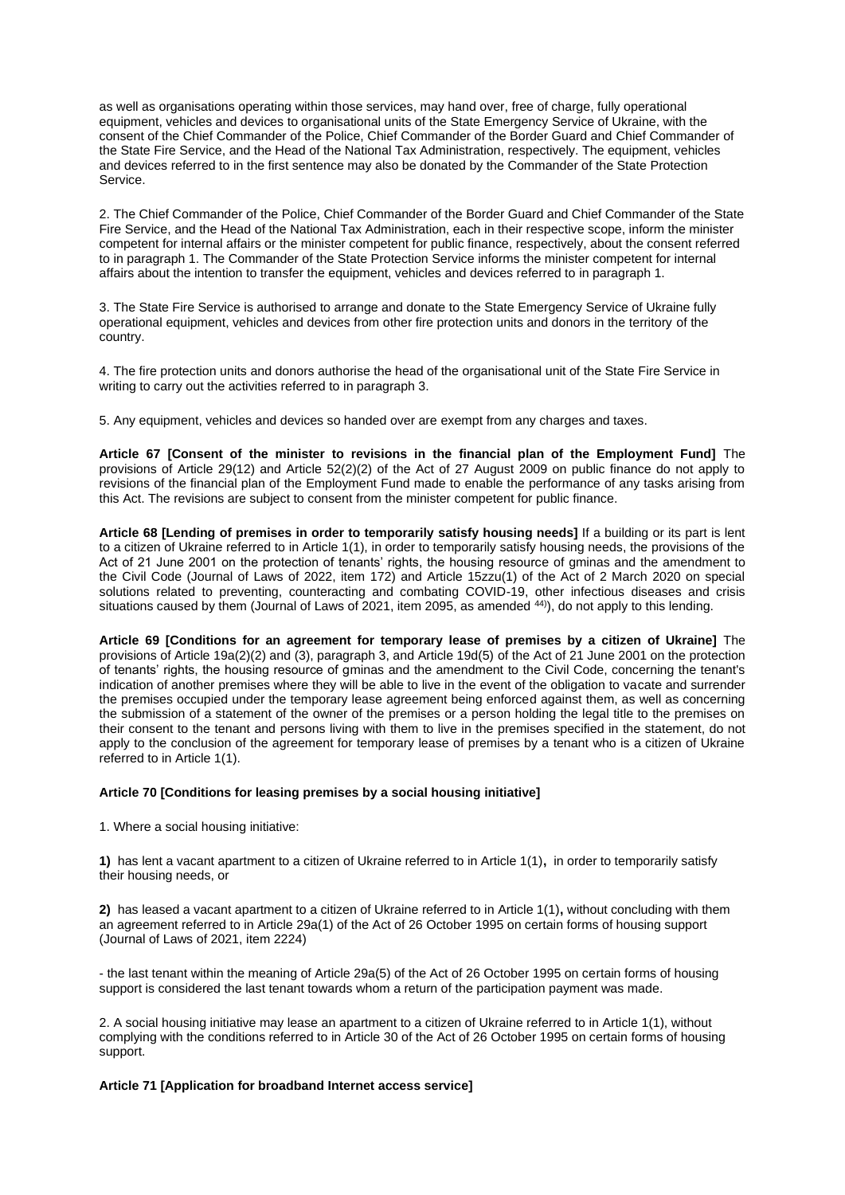as well as organisations operating within those services, may hand over, free of charge, fully operational equipment, vehicles and devices to organisational units of the State Emergency Service of Ukraine, with the consent of the Chief Commander of the Police, Chief Commander of the Border Guard and Chief Commander of the State Fire Service, and the Head of the National Tax Administration, respectively. The equipment, vehicles and devices referred to in the first sentence may also be donated by the Commander of the State Protection Service.

2. The Chief Commander of the Police, Chief Commander of the Border Guard and Chief Commander of the State Fire Service, and the Head of the National Tax Administration, each in their respective scope, inform the minister competent for internal affairs or the minister competent for public finance, respectively, about the consent referred to in paragraph 1. The Commander of the State Protection Service informs the minister competent for internal affairs about the intention to transfer the equipment, vehicles and devices referred to in paragraph 1.

3. The State Fire Service is authorised to arrange and donate to the State Emergency Service of Ukraine fully operational equipment, vehicles and devices from other fire protection units and donors in the territory of the country.

4. The fire protection units and donors authorise the head of the organisational unit of the State Fire Service in writing to carry out the activities referred to in paragraph 3.

5. Any equipment, vehicles and devices so handed over are exempt from any charges and taxes.

**Article 67 [Consent of the minister to revisions in the financial plan of the Employment Fund]** The provisions of Article 29(12) and Article 52(2)(2) of the Act of 27 August 2009 on public finance do not apply to revisions of the financial plan of the Employment Fund made to enable the performance of any tasks arising from this Act. The revisions are subject to consent from the minister competent for public finance.

**Article 68 [Lending of premises in order to temporarily satisfy housing needs]** If a building or its part is lent to a citizen of Ukraine referred to in Article 1(1), in order to temporarily satisfy housing needs, the provisions of the Act of 21 June 2001 on the protection of tenants' rights, the housing resource of gminas and the amendment to the Civil Code (Journal of Laws of 2022, item 172) and Article 15zzu(1) of the Act of 2 March 2020 on special solutions related to preventing, counteracting and combating COVID-19, other infectious diseases and crisis situations caused by them (Journal of Laws of 2021, item 2095, as amended <sup>44)</sup>), do not apply to this lending.

**Article 69 [Conditions for an agreement for temporary lease of premises by a citizen of Ukraine]** The provisions of Article 19a(2)(2) and (3), paragraph 3, and Article 19d(5) of the Act of 21 June 2001 on the protection of tenants' rights, the housing resource of gminas and the amendment to the Civil Code, concerning the tenant's indication of another premises where they will be able to live in the event of the obligation to vacate and surrender the premises occupied under the temporary lease agreement being enforced against them, as well as concerning the submission of a statement of the owner of the premises or a person holding the legal title to the premises on their consent to the tenant and persons living with them to live in the premises specified in the statement, do not apply to the conclusion of the agreement for temporary lease of premises by a tenant who is a citizen of Ukraine referred to in Article 1(1).

## **Article 70 [Conditions for leasing premises by a social housing initiative]**

1. Where a social housing initiative:

**1)** has lent a vacant apartment to a citizen of Ukraine referred to in Article 1(1)**,** in order to temporarily satisfy their housing needs, or

**2)** has leased a vacant apartment to a citizen of Ukraine referred to in Article 1(1)**,** without concluding with them an agreement referred to in Article 29a(1) of the Act of 26 October 1995 on certain forms of housing support (Journal of Laws of 2021, item 2224)

- the last tenant within the meaning of Article 29a(5) of the Act of 26 October 1995 on certain forms of housing support is considered the last tenant towards whom a return of the participation payment was made.

2. A social housing initiative may lease an apartment to a citizen of Ukraine referred to in Article 1(1), without complying with the conditions referred to in Article 30 of the Act of 26 October 1995 on certain forms of housing support.

## **Article 71 [Application for broadband Internet access service]**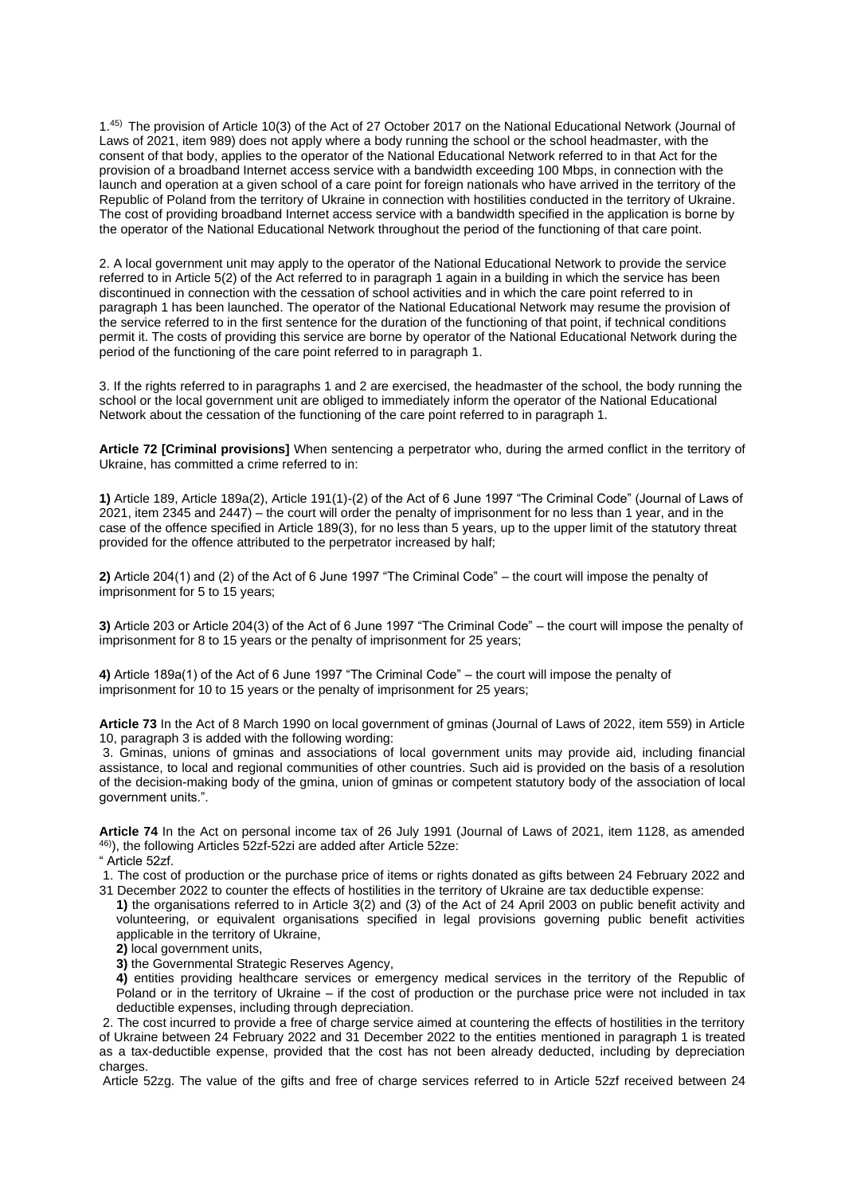1.45) The provision of Article 10(3) of the Act of 27 October 2017 on the National Educational Network (Journal of Laws of 2021, item 989) does not apply where a body running the school or the school headmaster, with the consent of that body, applies to the operator of the National Educational Network referred to in that Act for the provision of a broadband Internet access service with a bandwidth exceeding 100 Mbps, in connection with the launch and operation at a given school of a care point for foreign nationals who have arrived in the territory of the Republic of Poland from the territory of Ukraine in connection with hostilities conducted in the territory of Ukraine. The cost of providing broadband Internet access service with a bandwidth specified in the application is borne by the operator of the National Educational Network throughout the period of the functioning of that care point.

2. A local government unit may apply to the operator of the National Educational Network to provide the service referred to in Article 5(2) of the Act referred to in paragraph 1 again in a building in which the service has been discontinued in connection with the cessation of school activities and in which the care point referred to in paragraph 1 has been launched. The operator of the National Educational Network may resume the provision of the service referred to in the first sentence for the duration of the functioning of that point, if technical conditions permit it. The costs of providing this service are borne by operator of the National Educational Network during the period of the functioning of the care point referred to in paragraph 1.

3. If the rights referred to in paragraphs 1 and 2 are exercised, the headmaster of the school, the body running the school or the local government unit are obliged to immediately inform the operator of the National Educational Network about the cessation of the functioning of the care point referred to in paragraph 1.

**Article 72 [Criminal provisions]** When sentencing a perpetrator who, during the armed conflict in the territory of Ukraine, has committed a crime referred to in:

**1)** Article 189, Article 189a(2), Article 191(1)-(2) of the Act of 6 June 1997 "The Criminal Code" (Journal of Laws of 2021, item 2345 and 2447) – the court will order the penalty of imprisonment for no less than 1 year, and in the case of the offence specified in Article 189(3), for no less than 5 years, up to the upper limit of the statutory threat provided for the offence attributed to the perpetrator increased by half;

**2)** Article 204(1) and (2) of the Act of 6 June 1997 "The Criminal Code" – the court will impose the penalty of imprisonment for 5 to 15 years;

**3)** Article 203 or Article 204(3) of the Act of 6 June 1997 "The Criminal Code" – the court will impose the penalty of imprisonment for 8 to 15 years or the penalty of imprisonment for 25 years;

**4)** Article 189a(1) of the Act of 6 June 1997 "The Criminal Code" – the court will impose the penalty of imprisonment for 10 to 15 years or the penalty of imprisonment for 25 years;

**Article 73** In the Act of 8 March 1990 on local government of gminas (Journal of Laws of 2022, item 559) in Article 10, paragraph 3 is added with the following wording:

3. Gminas, unions of gminas and associations of local government units may provide aid, including financial assistance, to local and regional communities of other countries. Such aid is provided on the basis of a resolution of the decision-making body of the gmina, union of gminas or competent statutory body of the association of local government units.".

**Article 74** In the Act on personal income tax of 26 July 1991 (Journal of Laws of 2021, item 1128, as amended 46)), the following Articles 52zf-52zi are added after Article 52ze:

" Article 52zf.

1. The cost of production or the purchase price of items or rights donated as gifts between 24 February 2022 and 31 December 2022 to counter the effects of hostilities in the territory of Ukraine are tax deductible expense:

- **1)** the organisations referred to in Article 3(2) and (3) of the Act of 24 April 2003 on public benefit activity and volunteering, or equivalent organisations specified in legal provisions governing public benefit activities applicable in the territory of Ukraine,
	- 2) local government units.
	- **3)** the Governmental Strategic Reserves Agency,
	- **4)** entities providing healthcare services or emergency medical services in the territory of the Republic of Poland or in the territory of Ukraine – if the cost of production or the purchase price were not included in tax deductible expenses, including through depreciation.

2. The cost incurred to provide a free of charge service aimed at countering the effects of hostilities in the territory of Ukraine between 24 February 2022 and 31 December 2022 to the entities mentioned in paragraph 1 is treated as a tax-deductible expense, provided that the cost has not been already deducted, including by depreciation charges.

Article 52zg. The value of the gifts and free of charge services referred to in Article 52zf received between 24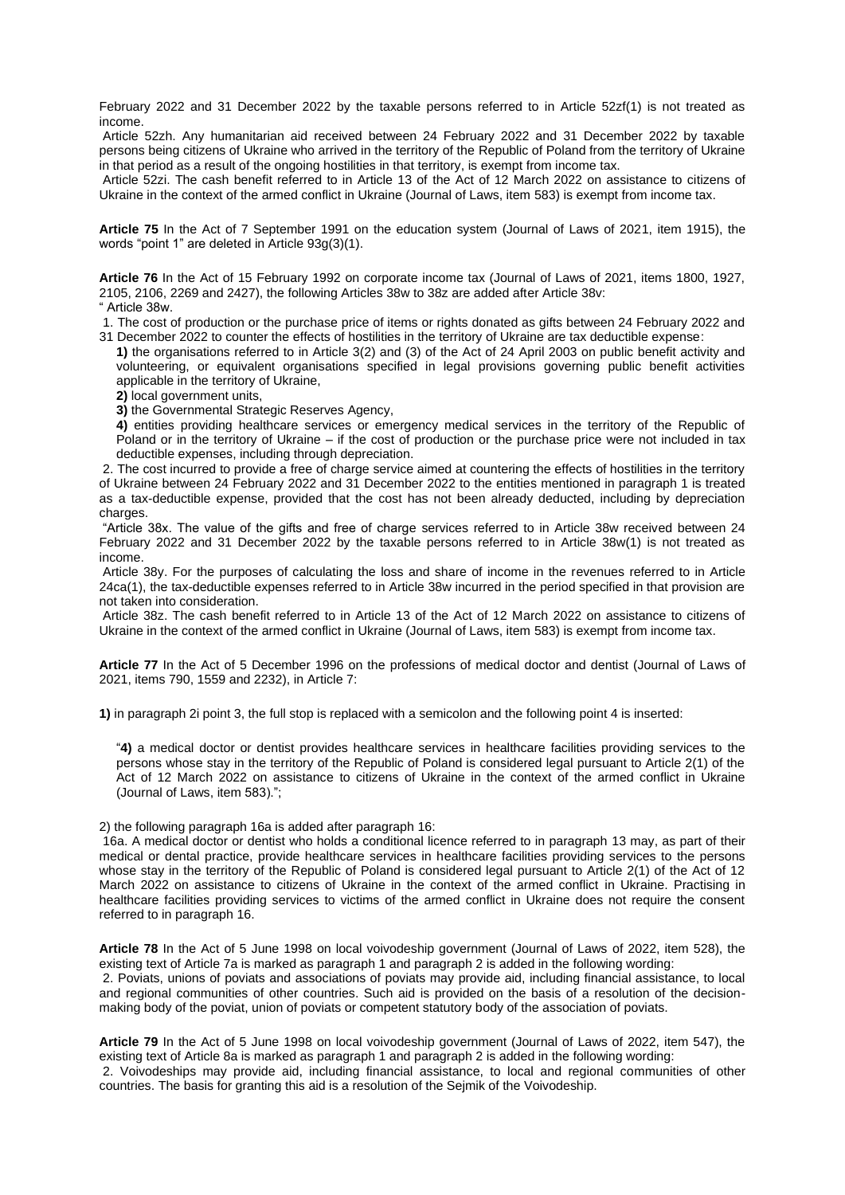February 2022 and 31 December 2022 by the taxable persons referred to in Article 52zf(1) is not treated as income.

Article 52zh. Any humanitarian aid received between 24 February 2022 and 31 December 2022 by taxable persons being citizens of Ukraine who arrived in the territory of the Republic of Poland from the territory of Ukraine in that period as a result of the ongoing hostilities in that territory, is exempt from income tax.

Article 52zi. The cash benefit referred to in Article 13 of the Act of 12 March 2022 on assistance to citizens of Ukraine in the context of the armed conflict in Ukraine (Journal of Laws, item 583) is exempt from income tax.

**Article 75** In the Act of 7 September 1991 on the education system (Journal of Laws of 2021, item 1915), the words "point 1" are deleted in Article 93g(3)(1).

**Article 76** In the Act of 15 February 1992 on corporate income tax (Journal of Laws of 2021, items 1800, 1927, 2105, 2106, 2269 and 2427), the following Articles 38w to 38z are added after Article 38v:

" Article 38w.

1. The cost of production or the purchase price of items or rights donated as gifts between 24 February 2022 and 31 December 2022 to counter the effects of hostilities in the territory of Ukraine are tax deductible expense:

**1)** the organisations referred to in Article 3(2) and (3) of the Act of 24 April 2003 on public benefit activity and volunteering, or equivalent organisations specified in legal provisions governing public benefit activities applicable in the territory of Ukraine,

**2)** local government units,

**3)** the Governmental Strategic Reserves Agency,

**4)** entities providing healthcare services or emergency medical services in the territory of the Republic of Poland or in the territory of Ukraine – if the cost of production or the purchase price were not included in tax deductible expenses, including through depreciation.

2. The cost incurred to provide a free of charge service aimed at countering the effects of hostilities in the territory of Ukraine between 24 February 2022 and 31 December 2022 to the entities mentioned in paragraph 1 is treated as a tax-deductible expense, provided that the cost has not been already deducted, including by depreciation charges.

"Article 38x. The value of the gifts and free of charge services referred to in Article 38w received between 24 February 2022 and 31 December 2022 by the taxable persons referred to in Article 38w(1) is not treated as income.

Article 38y. For the purposes of calculating the loss and share of income in the revenues referred to in Article 24ca(1), the tax-deductible expenses referred to in Article 38w incurred in the period specified in that provision are not taken into consideration.

Article 38z. The cash benefit referred to in Article 13 of the Act of 12 March 2022 on assistance to citizens of Ukraine in the context of the armed conflict in Ukraine (Journal of Laws, item 583) is exempt from income tax.

**Article 77** In the Act of 5 December 1996 on the professions of medical doctor and dentist (Journal of Laws of 2021, items 790, 1559 and 2232), in Article 7:

**1)** in paragraph 2i point 3, the full stop is replaced with a semicolon and the following point 4 is inserted:

"**4)** a medical doctor or dentist provides healthcare services in healthcare facilities providing services to the persons whose stay in the territory of the Republic of Poland is considered legal pursuant to Article 2(1) of the Act of 12 March 2022 on assistance to citizens of Ukraine in the context of the armed conflict in Ukraine (Journal of Laws, item 583).";

2) the following paragraph 16a is added after paragraph 16:

16a. A medical doctor or dentist who holds a conditional licence referred to in paragraph 13 may, as part of their medical or dental practice, provide healthcare services in healthcare facilities providing services to the persons whose stay in the territory of the Republic of Poland is considered legal pursuant to Article 2(1) of the Act of 12 March 2022 on assistance to citizens of Ukraine in the context of the armed conflict in Ukraine. Practising in healthcare facilities providing services to victims of the armed conflict in Ukraine does not require the consent referred to in paragraph 16.

**Article 78** In the Act of 5 June 1998 on local voivodeship government (Journal of Laws of 2022, item 528), the existing text of Article 7a is marked as paragraph 1 and paragraph 2 is added in the following wording:

2. Poviats, unions of poviats and associations of poviats may provide aid, including financial assistance, to local and regional communities of other countries. Such aid is provided on the basis of a resolution of the decisionmaking body of the poviat, union of poviats or competent statutory body of the association of poviats.

**Article 79** In the Act of 5 June 1998 on local voivodeship government (Journal of Laws of 2022, item 547), the existing text of Article 8a is marked as paragraph 1 and paragraph 2 is added in the following wording: 2. Voivodeships may provide aid, including financial assistance, to local and regional communities of other countries. The basis for granting this aid is a resolution of the Sejmik of the Voivodeship.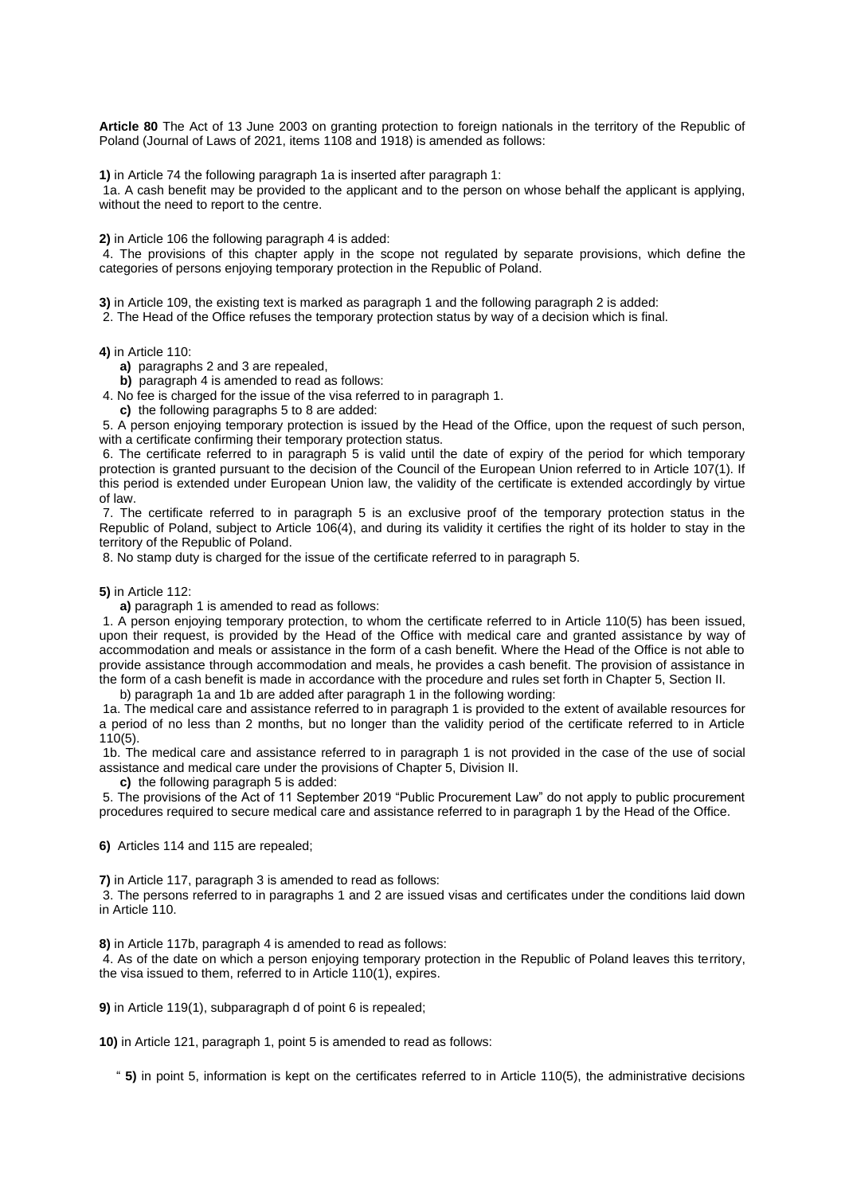**Article 80** The Act of 13 June 2003 on granting protection to foreign nationals in the territory of the Republic of Poland (Journal of Laws of 2021, items 1108 and 1918) is amended as follows:

**1)** in Article 74 the following paragraph 1a is inserted after paragraph 1:

1a. A cash benefit may be provided to the applicant and to the person on whose behalf the applicant is applying, without the need to report to the centre.

**2)** in Article 106 the following paragraph 4 is added:

4. The provisions of this chapter apply in the scope not regulated by separate provisions, which define the categories of persons enjoying temporary protection in the Republic of Poland.

**3)** in Article 109, the existing text is marked as paragraph 1 and the following paragraph 2 is added:

2. The Head of the Office refuses the temporary protection status by way of a decision which is final.

**4)** in Article 110:

**a)** paragraphs 2 and 3 are repealed,

**b)** paragraph 4 is amended to read as follows:

4. No fee is charged for the issue of the visa referred to in paragraph 1.

**c)** the following paragraphs 5 to 8 are added:

5. A person enjoying temporary protection is issued by the Head of the Office, upon the request of such person, with a certificate confirming their temporary protection status.

6. The certificate referred to in paragraph 5 is valid until the date of expiry of the period for which temporary protection is granted pursuant to the decision of the Council of the European Union referred to in Article 107(1). If this period is extended under European Union law, the validity of the certificate is extended accordingly by virtue of law.

7. The certificate referred to in paragraph 5 is an exclusive proof of the temporary protection status in the Republic of Poland, subject to Article 106(4), and during its validity it certifies the right of its holder to stay in the territory of the Republic of Poland.

8. No stamp duty is charged for the issue of the certificate referred to in paragraph 5.

**5)** in Article 112:

**a)** paragraph 1 is amended to read as follows:

1. A person enjoying temporary protection, to whom the certificate referred to in Article 110(5) has been issued, upon their request, is provided by the Head of the Office with medical care and granted assistance by way of accommodation and meals or assistance in the form of a cash benefit. Where the Head of the Office is not able to provide assistance through accommodation and meals, he provides a cash benefit. The provision of assistance in the form of a cash benefit is made in accordance with the procedure and rules set forth in Chapter 5, Section II.

b) paragraph 1a and 1b are added after paragraph 1 in the following wording:

1a. The medical care and assistance referred to in paragraph 1 is provided to the extent of available resources for a period of no less than 2 months, but no longer than the validity period of the certificate referred to in Article 110(5).

1b. The medical care and assistance referred to in paragraph 1 is not provided in the case of the use of social assistance and medical care under the provisions of Chapter 5, Division II.

**c)** the following paragraph 5 is added:

5. The provisions of the Act of 11 September 2019 "Public Procurement Law" do not apply to public procurement procedures required to secure medical care and assistance referred to in paragraph 1 by the Head of the Office.

**6)** Articles 114 and 115 are repealed;

**7)** in Article 117, paragraph 3 is amended to read as follows:

3. The persons referred to in paragraphs 1 and 2 are issued visas and certificates under the conditions laid down in Article 110.

**8)** in Article 117b, paragraph 4 is amended to read as follows:

4. As of the date on which a person enjoying temporary protection in the Republic of Poland leaves this territory, the visa issued to them, referred to in Article 110(1), expires.

**9)** in Article 119(1), subparagraph d of point 6 is repealed;

**10)** in Article 121, paragraph 1, point 5 is amended to read as follows:

" **5)** in point 5, information is kept on the certificates referred to in Article 110(5), the administrative decisions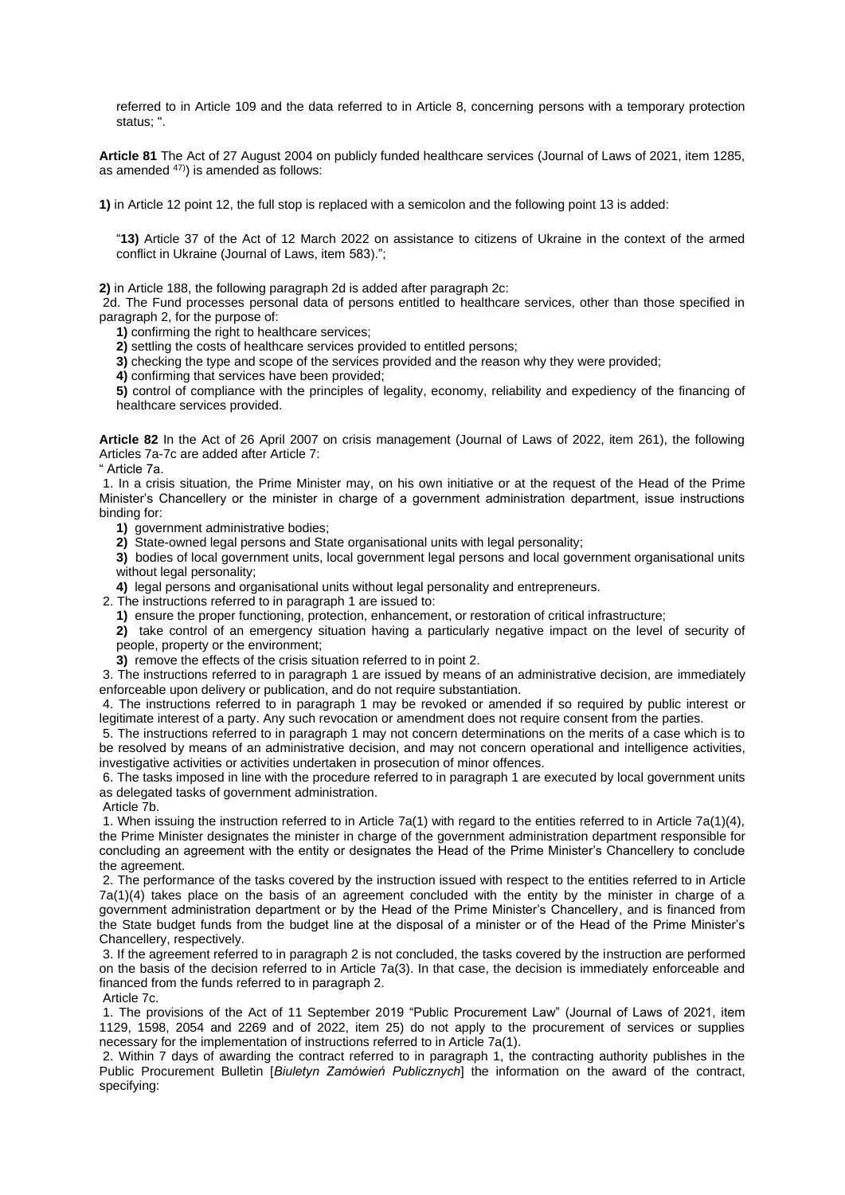referred to in Article 109 and the data referred to in Article 8, concerning persons with a temporary protection status; ".

**Article 81** The Act of 27 August 2004 on publicly funded healthcare services (Journal of Laws of 2021, item 1285, as amended  $47$ ) is amended as follows:

**1)** in Article 12 point 12, the full stop is replaced with a semicolon and the following point 13 is added:

"**13)** Article 37 of the Act of 12 March 2022 on assistance to citizens of Ukraine in the context of the armed conflict in Ukraine (Journal of Laws, item 583).";

**2)** in Article 188, the following paragraph 2d is added after paragraph 2c:

2d. The Fund processes personal data of persons entitled to healthcare services, other than those specified in paragraph 2, for the purpose of:

**1)** confirming the right to healthcare services;

**2)** settling the costs of healthcare services provided to entitled persons;

**3)** checking the type and scope of the services provided and the reason why they were provided;

**4)** confirming that services have been provided;

**5)** control of compliance with the principles of legality, economy, reliability and expediency of the financing of healthcare services provided.

**Article 82** In the Act of 26 April 2007 on crisis management (Journal of Laws of 2022, item 261), the following Articles 7a-7c are added after Article 7:

" Article 7a.

1. In a crisis situation, the Prime Minister may, on his own initiative or at the request of the Head of the Prime Minister's Chancellery or the minister in charge of a government administration department, issue instructions binding for:

**1)** government administrative bodies;

**2)** State-owned legal persons and State organisational units with legal personality;

**3)** bodies of local government units, local government legal persons and local government organisational units without legal personality;

**4)** legal persons and organisational units without legal personality and entrepreneurs.

2. The instructions referred to in paragraph 1 are issued to:

**1)** ensure the proper functioning, protection, enhancement, or restoration of critical infrastructure;

**2)** take control of an emergency situation having a particularly negative impact on the level of security of people, property or the environment;

**3)** remove the effects of the crisis situation referred to in point 2.

3. The instructions referred to in paragraph 1 are issued by means of an administrative decision, are immediately enforceable upon delivery or publication, and do not require substantiation.

4. The instructions referred to in paragraph 1 may be revoked or amended if so required by public interest or legitimate interest of a party. Any such revocation or amendment does not require consent from the parties.

5. The instructions referred to in paragraph 1 may not concern determinations on the merits of a case which is to be resolved by means of an administrative decision, and may not concern operational and intelligence activities, investigative activities or activities undertaken in prosecution of minor offences.

6. The tasks imposed in line with the procedure referred to in paragraph 1 are executed by local government units as delegated tasks of government administration.

Article 7b.

1. When issuing the instruction referred to in Article 7a(1) with regard to the entities referred to in Article 7a(1)(4), the Prime Minister designates the minister in charge of the government administration department responsible for concluding an agreement with the entity or designates the Head of the Prime Minister's Chancellery to conclude the agreement.

2. The performance of the tasks covered by the instruction issued with respect to the entities referred to in Article 7a(1)(4) takes place on the basis of an agreement concluded with the entity by the minister in charge of a government administration department or by the Head of the Prime Minister's Chancellery, and is financed from the State budget funds from the budget line at the disposal of a minister or of the Head of the Prime Minister's Chancellery, respectively.

3. If the agreement referred to in paragraph 2 is not concluded, the tasks covered by the instruction are performed on the basis of the decision referred to in Article 7a(3). In that case, the decision is immediately enforceable and financed from the funds referred to in paragraph 2.

Article 7c.

1. The provisions of the Act of 11 September 2019 "Public Procurement Law" (Journal of Laws of 2021, item 1129, 1598, 2054 and 2269 and of 2022, item 25) do not apply to the procurement of services or supplies necessary for the implementation of instructions referred to in Article 7a(1).

2. Within 7 days of awarding the contract referred to in paragraph 1, the contracting authority publishes in the Public Procurement Bulletin [*Biuletyn Zamówień Publicznych*] the information on the award of the contract, specifying: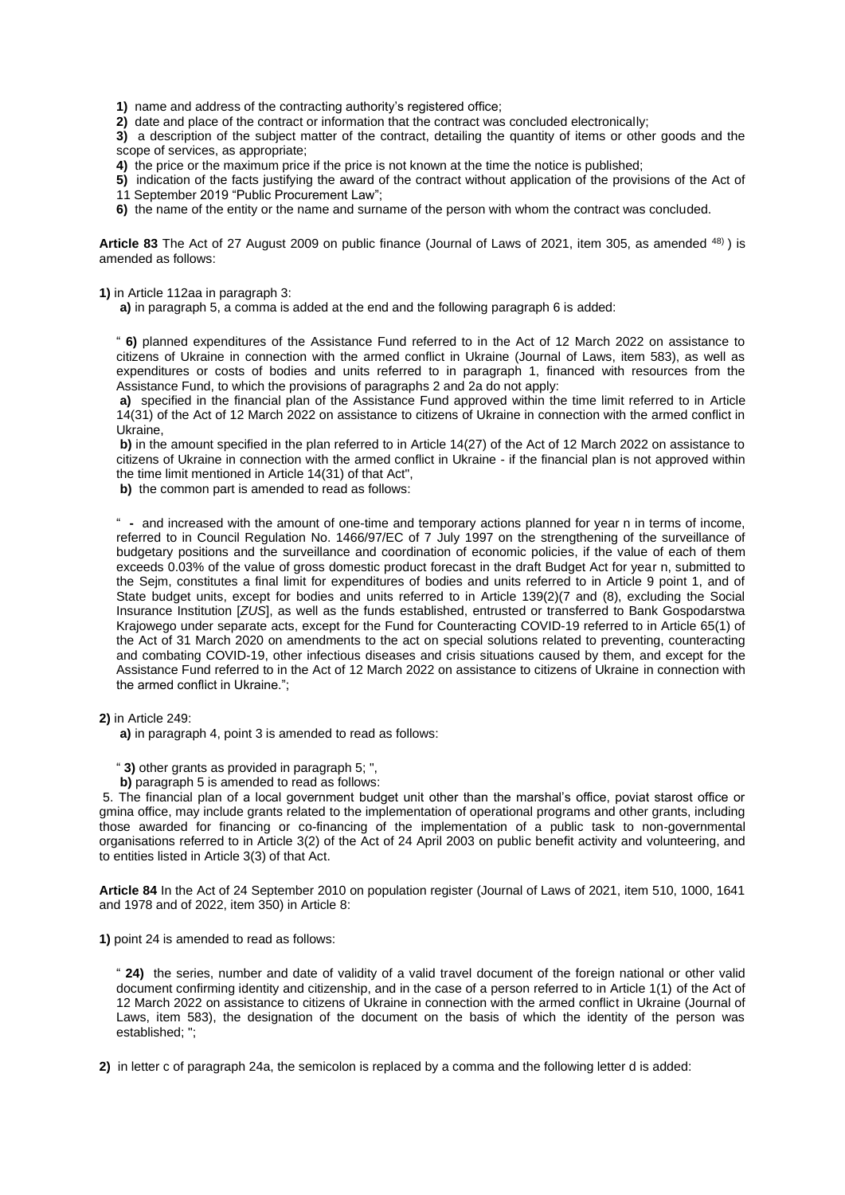**1)** name and address of the contracting authority's registered office;

**2)** date and place of the contract or information that the contract was concluded electronically;

**3)** a description of the subject matter of the contract, detailing the quantity of items or other goods and the scope of services, as appropriate;

**4)** the price or the maximum price if the price is not known at the time the notice is published;

**5)** indication of the facts justifying the award of the contract without application of the provisions of the Act of 11 September 2019 "Public Procurement Law";

**6)** the name of the entity or the name and surname of the person with whom the contract was concluded.

**Article 83** The Act of 27 August 2009 on public finance (Journal of Laws of 2021, item 305, as amended 48) ) is amended as follows:

**1)** in Article 112aa in paragraph 3:

**a)** in paragraph 5, a comma is added at the end and the following paragraph 6 is added:

" **6)** planned expenditures of the Assistance Fund referred to in the Act of 12 March 2022 on assistance to citizens of Ukraine in connection with the armed conflict in Ukraine (Journal of Laws, item 583), as well as expenditures or costs of bodies and units referred to in paragraph 1, financed with resources from the Assistance Fund, to which the provisions of paragraphs 2 and 2a do not apply:

**a)** specified in the financial plan of the Assistance Fund approved within the time limit referred to in Article 14(31) of the Act of 12 March 2022 on assistance to citizens of Ukraine in connection with the armed conflict in Ukraine,

**b)** in the amount specified in the plan referred to in Article 14(27) of the Act of 12 March 2022 on assistance to citizens of Ukraine in connection with the armed conflict in Ukraine - if the financial plan is not approved within the time limit mentioned in Article 14(31) of that Act",

**b)** the common part is amended to read as follows:

" **-** and increased with the amount of one-time and temporary actions planned for year n in terms of income, referred to in Council Regulation No. 1466/97/EC of 7 July 1997 on the strengthening of the surveillance of budgetary positions and the surveillance and coordination of economic policies, if the value of each of them exceeds 0.03% of the value of gross domestic product forecast in the draft Budget Act for year n, submitted to the Sejm, constitutes a final limit for expenditures of bodies and units referred to in Article 9 point 1, and of State budget units, except for bodies and units referred to in Article 139(2)(7 and (8), excluding the Social Insurance Institution [*ZUS*], as well as the funds established, entrusted or transferred to Bank Gospodarstwa Krajowego under separate acts, except for the Fund for Counteracting COVID-19 referred to in Article 65(1) of the Act of 31 March 2020 on amendments to the act on special solutions related to preventing, counteracting and combating COVID-19, other infectious diseases and crisis situations caused by them, and except for the Assistance Fund referred to in the Act of 12 March 2022 on assistance to citizens of Ukraine in connection with the armed conflict in Ukraine.";

**2)** in Article 249:

**a)** in paragraph 4, point 3 is amended to read as follows:

" **3)** other grants as provided in paragraph 5; ",

**b)** paragraph 5 is amended to read as follows:

5. The financial plan of a local government budget unit other than the marshal's office, poviat starost office or gmina office, may include grants related to the implementation of operational programs and other grants, including those awarded for financing or co-financing of the implementation of a public task to non-governmental organisations referred to in Article 3(2) of the Act of 24 April 2003 on public benefit activity and volunteering, and to entities listed in Article 3(3) of that Act.

**Article 84** In the Act of 24 September 2010 on population register (Journal of Laws of 2021, item 510, 1000, 1641 and 1978 and of 2022, item 350) in Article 8:

**1)** point 24 is amended to read as follows:

" **24)** the series, number and date of validity of a valid travel document of the foreign national or other valid document confirming identity and citizenship, and in the case of a person referred to in Article 1(1) of the Act of 12 March 2022 on assistance to citizens of Ukraine in connection with the armed conflict in Ukraine (Journal of Laws, item 583), the designation of the document on the basis of which the identity of the person was established; ";

**2)** in letter c of paragraph 24a, the semicolon is replaced by a comma and the following letter d is added: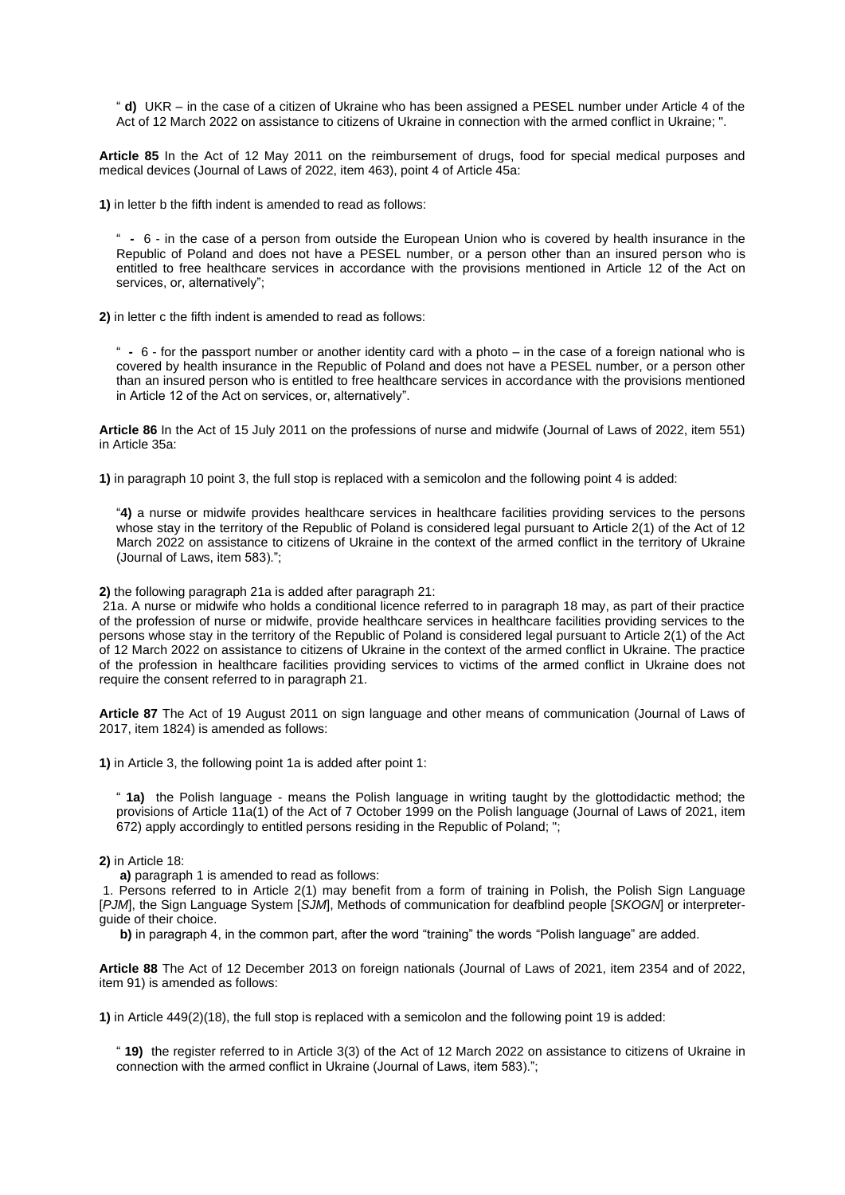" **d)** UKR – in the case of a citizen of Ukraine who has been assigned a PESEL number under Article 4 of the Act of 12 March 2022 on assistance to citizens of Ukraine in connection with the armed conflict in Ukraine; ".

**Article 85** In the Act of 12 May 2011 on the reimbursement of drugs, food for special medical purposes and medical devices (Journal of Laws of 2022, item 463), point 4 of Article 45a:

**1)** in letter b the fifth indent is amended to read as follows:

" **-** 6 - in the case of a person from outside the European Union who is covered by health insurance in the Republic of Poland and does not have a PESEL number, or a person other than an insured person who is entitled to free healthcare services in accordance with the provisions mentioned in Article 12 of the Act on services, or, alternatively";

**2)** in letter c the fifth indent is amended to read as follows:

" **-** 6 - for the passport number or another identity card with a photo – in the case of a foreign national who is covered by health insurance in the Republic of Poland and does not have a PESEL number, or a person other than an insured person who is entitled to free healthcare services in accordance with the provisions mentioned in Article 12 of the Act on services, or, alternatively".

**Article 86** In the Act of 15 July 2011 on the professions of nurse and midwife (Journal of Laws of 2022, item 551) in Article 35a:

**1)** in paragraph 10 point 3, the full stop is replaced with a semicolon and the following point 4 is added:

"**4)** a nurse or midwife provides healthcare services in healthcare facilities providing services to the persons whose stay in the territory of the Republic of Poland is considered legal pursuant to Article 2(1) of the Act of 12 March 2022 on assistance to citizens of Ukraine in the context of the armed conflict in the territory of Ukraine (Journal of Laws, item 583).";

**2)** the following paragraph 21a is added after paragraph 21:

21a. A nurse or midwife who holds a conditional licence referred to in paragraph 18 may, as part of their practice of the profession of nurse or midwife, provide healthcare services in healthcare facilities providing services to the persons whose stay in the territory of the Republic of Poland is considered legal pursuant to Article 2(1) of the Act of 12 March 2022 on assistance to citizens of Ukraine in the context of the armed conflict in Ukraine. The practice of the profession in healthcare facilities providing services to victims of the armed conflict in Ukraine does not require the consent referred to in paragraph 21.

**Article 87** The Act of 19 August 2011 on sign language and other means of communication (Journal of Laws of 2017, item 1824) is amended as follows:

**1)** in Article 3, the following point 1a is added after point 1:

" **1a)** the Polish language - means the Polish language in writing taught by the glottodidactic method; the provisions of Article 11a(1) of the Act of 7 October 1999 on the Polish language (Journal of Laws of 2021, item 672) apply accordingly to entitled persons residing in the Republic of Poland; ";

#### **2)** in Article 18:

**a)** paragraph 1 is amended to read as follows:

1. Persons referred to in Article 2(1) may benefit from a form of training in Polish, the Polish Sign Language [*PJM*], the Sign Language System [*SJM*], Methods of communication for deafblind people [*SKOGN*] or interpreterguide of their choice.

**b)** in paragraph 4, in the common part, after the word "training" the words "Polish language" are added.

**Article 88** The Act of 12 December 2013 on foreign nationals (Journal of Laws of 2021, item 2354 and of 2022, item 91) is amended as follows:

**1)** in Article 449(2)(18), the full stop is replaced with a semicolon and the following point 19 is added:

" **19)** the register referred to in Article 3(3) of the Act of 12 March 2022 on assistance to citizens of Ukraine in connection with the armed conflict in Ukraine (Journal of Laws, item 583).";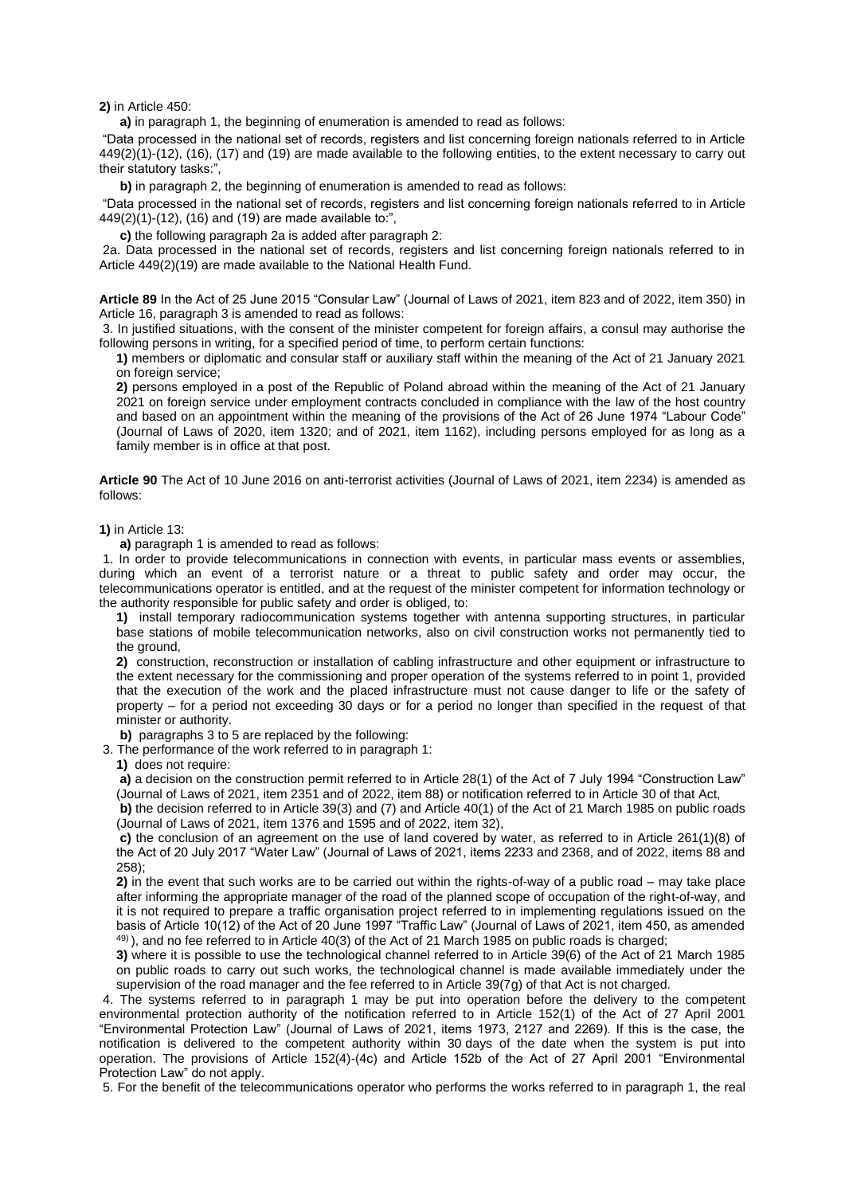**2)** in Article 450:

**a)** in paragraph 1, the beginning of enumeration is amended to read as follows:

"Data processed in the national set of records, registers and list concerning foreign nationals referred to in Article 449(2)(1)-(12), (16), (17) and (19) are made available to the following entities, to the extent necessary to carry out their statutory tasks:",

**b)** in paragraph 2, the beginning of enumeration is amended to read as follows:

"Data processed in the national set of records, registers and list concerning foreign nationals referred to in Article 449(2)(1)-(12), (16) and (19) are made available to:",

**c)** the following paragraph 2a is added after paragraph 2:

2a. Data processed in the national set of records, registers and list concerning foreign nationals referred to in Article 449(2)(19) are made available to the National Health Fund.

**Article 89** In the Act of 25 June 2015 "Consular Law" (Journal of Laws of 2021, item 823 and of 2022, item 350) in Article 16, paragraph 3 is amended to read as follows:

3. In justified situations, with the consent of the minister competent for foreign affairs, a consul may authorise the following persons in writing, for a specified period of time, to perform certain functions:

**1)** members or diplomatic and consular staff or auxiliary staff within the meaning of the Act of 21 January 2021 on foreign service;

**2)** persons employed in a post of the Republic of Poland abroad within the meaning of the Act of 21 January 2021 on foreign service under employment contracts concluded in compliance with the law of the host country and based on an appointment within the meaning of the provisions of the Act of 26 June 1974 "Labour Code" (Journal of Laws of 2020, item 1320; and of 2021, item 1162), including persons employed for as long as a family member is in office at that post.

**Article 90** The Act of 10 June 2016 on anti-terrorist activities (Journal of Laws of 2021, item 2234) is amended as follows:

#### **1)** in Article 13:

**a)** paragraph 1 is amended to read as follows:

1. In order to provide telecommunications in connection with events, in particular mass events or assemblies, during which an event of a terrorist nature or a threat to public safety and order may occur, the telecommunications operator is entitled, and at the request of the minister competent for information technology or the authority responsible for public safety and order is obliged, to:

**1)** install temporary radiocommunication systems together with antenna supporting structures, in particular base stations of mobile telecommunication networks, also on civil construction works not permanently tied to the ground.

**2)** construction, reconstruction or installation of cabling infrastructure and other equipment or infrastructure to the extent necessary for the commissioning and proper operation of the systems referred to in point 1, provided that the execution of the work and the placed infrastructure must not cause danger to life or the safety of property – for a period not exceeding 30 days or for a period no longer than specified in the request of that minister or authority.

**b)** paragraphs 3 to 5 are replaced by the following:

3. The performance of the work referred to in paragraph 1:

**1)** does not require:

**a)** a decision on the construction permit referred to in Article 28(1) of the Act of 7 July 1994 "Construction Law" (Journal of Laws of 2021, item 2351 and of 2022, item 88) or notification referred to in Article 30 of that Act,

**b)** the decision referred to in Article 39(3) and (7) and Article 40(1) of the Act of 21 March 1985 on public roads (Journal of Laws of 2021, item 1376 and 1595 and of 2022, item 32),

**c)** the conclusion of an agreement on the use of land covered by water, as referred to in Article 261(1)(8) of the Act of 20 July 2017 "Water Law" (Journal of Laws of 2021, items 2233 and 2368, and of 2022, items 88 and 258);

**2)** in the event that such works are to be carried out within the rights-of-way of a public road – may take place after informing the appropriate manager of the road of the planned scope of occupation of the right-of-way, and it is not required to prepare a traffic organisation project referred to in implementing regulations issued on the basis of Article 10(12) of the Act of 20 June 1997 "Traffic Law" (Journal of Laws of 2021, item 450, as amended 49) ), and no fee referred to in Article 40(3) of the Act of 21 March 1985 on public roads is charged;

**3)** where it is possible to use the technological channel referred to in Article 39(6) of the Act of 21 March 1985 on public roads to carry out such works, the technological channel is made available immediately under the supervision of the road manager and the fee referred to in Article 39(7g) of that Act is not charged.

4. The systems referred to in paragraph 1 may be put into operation before the delivery to the competent environmental protection authority of the notification referred to in Article 152(1) of the Act of 27 April 2001 "Environmental Protection Law" (Journal of Laws of 2021, items 1973, 2127 and 2269). If this is the case, the notification is delivered to the competent authority within 30 days of the date when the system is put into operation. The provisions of Article 152(4)-(4c) and Article 152b of the Act of 27 April 2001 "Environmental Protection Law" do not apply.

5. For the benefit of the telecommunications operator who performs the works referred to in paragraph 1, the real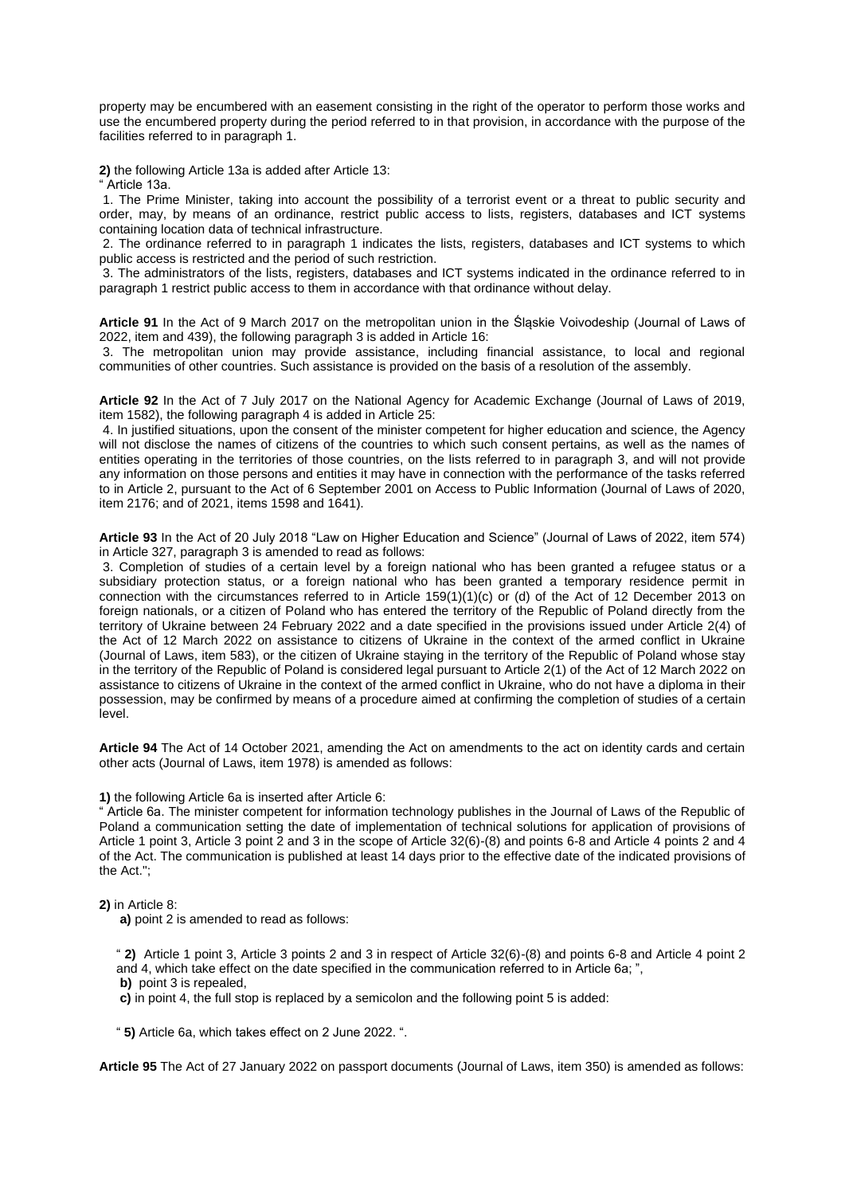property may be encumbered with an easement consisting in the right of the operator to perform those works and use the encumbered property during the period referred to in that provision, in accordance with the purpose of the facilities referred to in paragraph 1.

**2)** the following Article 13a is added after Article 13:

" Article 13a.

1. The Prime Minister, taking into account the possibility of a terrorist event or a threat to public security and order, may, by means of an ordinance, restrict public access to lists, registers, databases and ICT systems containing location data of technical infrastructure.

2. The ordinance referred to in paragraph 1 indicates the lists, registers, databases and ICT systems to which public access is restricted and the period of such restriction.

3. The administrators of the lists, registers, databases and ICT systems indicated in the ordinance referred to in paragraph 1 restrict public access to them in accordance with that ordinance without delay.

**Article 91** In the Act of 9 March 2017 on the metropolitan union in the Śląskie Voivodeship (Journal of Laws of 2022, item and 439), the following paragraph 3 is added in Article 16:

3. The metropolitan union may provide assistance, including financial assistance, to local and regional communities of other countries. Such assistance is provided on the basis of a resolution of the assembly.

**Article 92** In the Act of 7 July 2017 on the National Agency for Academic Exchange (Journal of Laws of 2019, item 1582), the following paragraph 4 is added in Article 25:

4. In justified situations, upon the consent of the minister competent for higher education and science, the Agency will not disclose the names of citizens of the countries to which such consent pertains, as well as the names of entities operating in the territories of those countries, on the lists referred to in paragraph 3, and will not provide any information on those persons and entities it may have in connection with the performance of the tasks referred to in Article 2, pursuant to the Act of 6 September 2001 on Access to Public Information (Journal of Laws of 2020, item 2176; and of 2021, items 1598 and 1641).

**Article 93** In the Act of 20 July 2018 "Law on Higher Education and Science" (Journal of Laws of 2022, item 574) in Article 327, paragraph 3 is amended to read as follows:

3. Completion of studies of a certain level by a foreign national who has been granted a refugee status or a subsidiary protection status, or a foreign national who has been granted a temporary residence permit in connection with the circumstances referred to in Article 159(1)(1)(c) or (d) of the Act of 12 December 2013 on foreign nationals, or a citizen of Poland who has entered the territory of the Republic of Poland directly from the territory of Ukraine between 24 February 2022 and a date specified in the provisions issued under Article 2(4) of the Act of 12 March 2022 on assistance to citizens of Ukraine in the context of the armed conflict in Ukraine (Journal of Laws, item 583), or the citizen of Ukraine staying in the territory of the Republic of Poland whose stay in the territory of the Republic of Poland is considered legal pursuant to Article 2(1) of the Act of 12 March 2022 on assistance to citizens of Ukraine in the context of the armed conflict in Ukraine, who do not have a diploma in their possession, may be confirmed by means of a procedure aimed at confirming the completion of studies of a certain level.

**Article 94** The Act of 14 October 2021, amending the Act on amendments to the act on identity cards and certain other acts (Journal of Laws, item 1978) is amended as follows:

**1)** the following Article 6a is inserted after Article 6:

" Article 6a. The minister competent for information technology publishes in the Journal of Laws of the Republic of Poland a communication setting the date of implementation of technical solutions for application of provisions of Article 1 point 3, Article 3 point 2 and 3 in the scope of Article 32(6)-(8) and points 6-8 and Article 4 points 2 and 4 of the Act. The communication is published at least 14 days prior to the effective date of the indicated provisions of the Act.";

**2)** in Article 8:

**a)** point 2 is amended to read as follows:

" **2)** Article 1 point 3, Article 3 points 2 and 3 in respect of Article 32(6)-(8) and points 6-8 and Article 4 point 2 and 4, which take effect on the date specified in the communication referred to in Article 6a; ",

**b)** point 3 is repealed,

**c)** in point 4, the full stop is replaced by a semicolon and the following point 5 is added:

" **5)** Article 6a, which takes effect on 2 June 2022. ".

**Article 95** The Act of 27 January 2022 on passport documents (Journal of Laws, item 350) is amended as follows: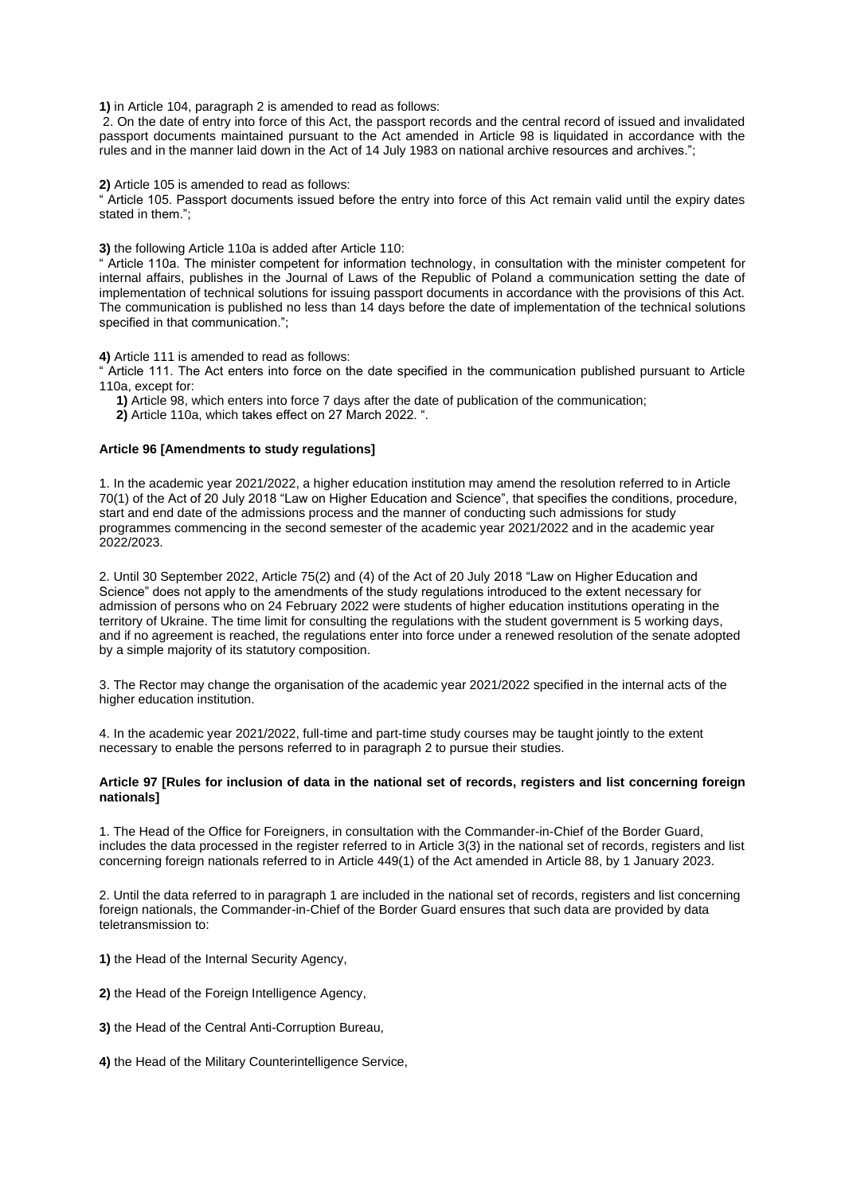**1)** in Article 104, paragraph 2 is amended to read as follows:

2. On the date of entry into force of this Act, the passport records and the central record of issued and invalidated passport documents maintained pursuant to the Act amended in Article 98 is liquidated in accordance with the rules and in the manner laid down in the Act of 14 July 1983 on national archive resources and archives.";

**2)** Article 105 is amended to read as follows:

" Article 105. Passport documents issued before the entry into force of this Act remain valid until the expiry dates stated in them.";

**3)** the following Article 110a is added after Article 110:

" Article 110a. The minister competent for information technology, in consultation with the minister competent for internal affairs, publishes in the Journal of Laws of the Republic of Poland a communication setting the date of implementation of technical solutions for issuing passport documents in accordance with the provisions of this Act. The communication is published no less than 14 days before the date of implementation of the technical solutions specified in that communication.";

**4)** Article 111 is amended to read as follows:

" Article 111. The Act enters into force on the date specified in the communication published pursuant to Article 110a, except for:

**1)** Article 98, which enters into force 7 days after the date of publication of the communication;

**2)** Article 110a, which takes effect on 27 March 2022. ".

#### **Article 96 [Amendments to study regulations]**

1. In the academic year 2021/2022, a higher education institution may amend the resolution referred to in Article 70(1) of the Act of 20 July 2018 "Law on Higher Education and Science", that specifies the conditions, procedure, start and end date of the admissions process and the manner of conducting such admissions for study programmes commencing in the second semester of the academic year 2021/2022 and in the academic year 2022/2023.

2. Until 30 September 2022, Article 75(2) and (4) of the Act of 20 July 2018 "Law on Higher Education and Science" does not apply to the amendments of the study regulations introduced to the extent necessary for admission of persons who on 24 February 2022 were students of higher education institutions operating in the territory of Ukraine. The time limit for consulting the regulations with the student government is 5 working days, and if no agreement is reached, the regulations enter into force under a renewed resolution of the senate adopted by a simple majority of its statutory composition.

3. The Rector may change the organisation of the academic year 2021/2022 specified in the internal acts of the higher education institution.

4. In the academic year 2021/2022, full-time and part-time study courses may be taught jointly to the extent necessary to enable the persons referred to in paragraph 2 to pursue their studies.

#### **Article 97 [Rules for inclusion of data in the national set of records, registers and list concerning foreign nationals]**

1. The Head of the Office for Foreigners, in consultation with the Commander-in-Chief of the Border Guard, includes the data processed in the register referred to in Article 3(3) in the national set of records, registers and list concerning foreign nationals referred to in Article 449(1) of the Act amended in Article 88, by 1 January 2023.

2. Until the data referred to in paragraph 1 are included in the national set of records, registers and list concerning foreign nationals, the Commander-in-Chief of the Border Guard ensures that such data are provided by data teletransmission to:

**1)** the Head of the Internal Security Agency,

- **2)** the Head of the Foreign Intelligence Agency,
- **3)** the Head of the Central Anti-Corruption Bureau,
- **4)** the Head of the Military Counterintelligence Service,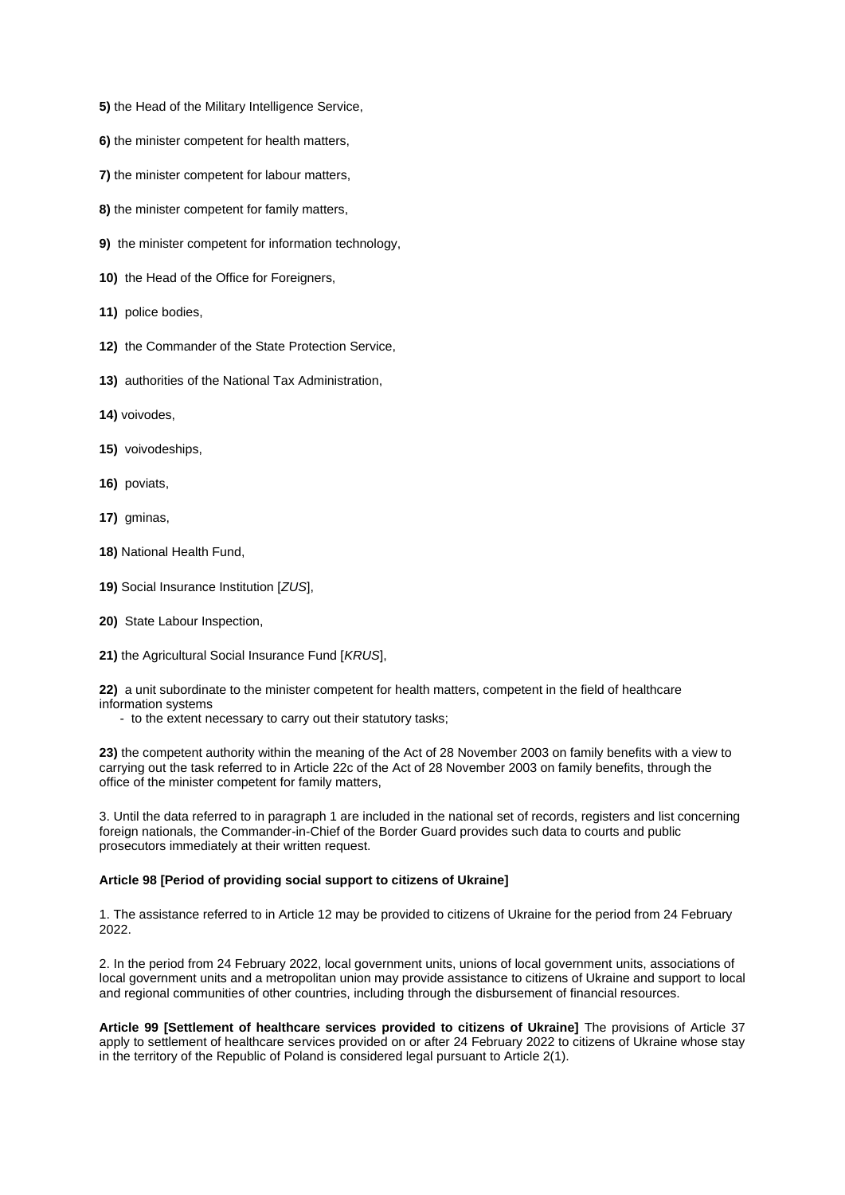- **5)** the Head of the Military Intelligence Service,
- **6)** the minister competent for health matters,
- **7)** the minister competent for labour matters,
- **8)** the minister competent for family matters,
- **9)** the minister competent for information technology,
- **10)** the Head of the Office for Foreigners,
- **11)** police bodies,
- **12)** the Commander of the State Protection Service,
- **13)** authorities of the National Tax Administration,
- **14)** voivodes,
- **15)** voivodeships,
- **16)** poviats,
- **17)** gminas,
- **18)** National Health Fund,
- **19)** Social Insurance Institution [*ZUS*],
- **20)** State Labour Inspection,
- **21)** the Agricultural Social Insurance Fund [*KRUS*],

**22)** a unit subordinate to the minister competent for health matters, competent in the field of healthcare information systems

- to the extent necessary to carry out their statutory tasks;

**23)** the competent authority within the meaning of the Act of 28 November 2003 on family benefits with a view to carrying out the task referred to in Article 22c of the Act of 28 November 2003 on family benefits, through the office of the minister competent for family matters,

3. Until the data referred to in paragraph 1 are included in the national set of records, registers and list concerning foreign nationals, the Commander-in-Chief of the Border Guard provides such data to courts and public prosecutors immediately at their written request.

## **Article 98 [Period of providing social support to citizens of Ukraine]**

1. The assistance referred to in Article 12 may be provided to citizens of Ukraine for the period from 24 February 2022.

2. In the period from 24 February 2022, local government units, unions of local government units, associations of local government units and a metropolitan union may provide assistance to citizens of Ukraine and support to local and regional communities of other countries, including through the disbursement of financial resources.

**Article 99 [Settlement of healthcare services provided to citizens of Ukraine]** The provisions of Article 37 apply to settlement of healthcare services provided on or after 24 February 2022 to citizens of Ukraine whose stay in the territory of the Republic of Poland is considered legal pursuant to Article 2(1).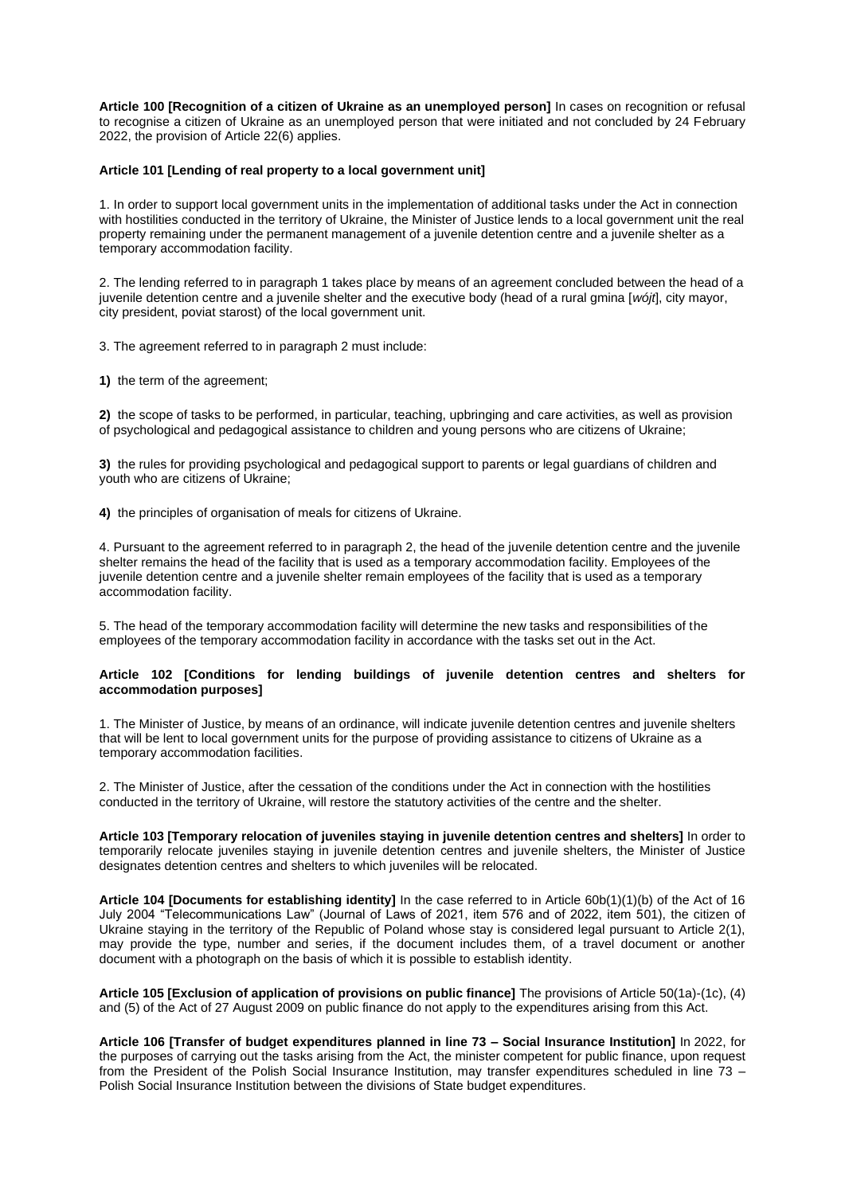**Article 100 [Recognition of a citizen of Ukraine as an unemployed person]** In cases on recognition or refusal to recognise a citizen of Ukraine as an unemployed person that were initiated and not concluded by 24 February 2022, the provision of Article 22(6) applies.

## **Article 101 [Lending of real property to a local government unit]**

1. In order to support local government units in the implementation of additional tasks under the Act in connection with hostilities conducted in the territory of Ukraine, the Minister of Justice lends to a local government unit the real property remaining under the permanent management of a juvenile detention centre and a juvenile shelter as a temporary accommodation facility.

2. The lending referred to in paragraph 1 takes place by means of an agreement concluded between the head of a juvenile detention centre and a juvenile shelter and the executive body (head of a rural gmina [*wójt*], city mayor, city president, poviat starost) of the local government unit.

3. The agreement referred to in paragraph 2 must include:

**1)** the term of the agreement;

**2)** the scope of tasks to be performed, in particular, teaching, upbringing and care activities, as well as provision of psychological and pedagogical assistance to children and young persons who are citizens of Ukraine;

**3)** the rules for providing psychological and pedagogical support to parents or legal guardians of children and youth who are citizens of Ukraine;

**4)** the principles of organisation of meals for citizens of Ukraine.

4. Pursuant to the agreement referred to in paragraph 2, the head of the juvenile detention centre and the juvenile shelter remains the head of the facility that is used as a temporary accommodation facility. Employees of the juvenile detention centre and a juvenile shelter remain employees of the facility that is used as a temporary accommodation facility.

5. The head of the temporary accommodation facility will determine the new tasks and responsibilities of the employees of the temporary accommodation facility in accordance with the tasks set out in the Act.

## **Article 102 [Conditions for lending buildings of juvenile detention centres and shelters for accommodation purposes]**

1. The Minister of Justice, by means of an ordinance, will indicate juvenile detention centres and juvenile shelters that will be lent to local government units for the purpose of providing assistance to citizens of Ukraine as a temporary accommodation facilities.

2. The Minister of Justice, after the cessation of the conditions under the Act in connection with the hostilities conducted in the territory of Ukraine, will restore the statutory activities of the centre and the shelter.

**Article 103 [Temporary relocation of juveniles staying in juvenile detention centres and shelters]** In order to temporarily relocate juveniles staying in juvenile detention centres and juvenile shelters, the Minister of Justice designates detention centres and shelters to which juveniles will be relocated.

**Article 104 [Documents for establishing identity]** In the case referred to in Article 60b(1)(1)(b) of the Act of 16 July 2004 "Telecommunications Law" (Journal of Laws of 2021, item 576 and of 2022, item 501), the citizen of Ukraine staying in the territory of the Republic of Poland whose stay is considered legal pursuant to Article 2(1), may provide the type, number and series, if the document includes them, of a travel document or another document with a photograph on the basis of which it is possible to establish identity.

**Article 105 [Exclusion of application of provisions on public finance]** The provisions of Article 50(1a)-(1c), (4) and (5) of the Act of 27 August 2009 on public finance do not apply to the expenditures arising from this Act.

**Article 106 [Transfer of budget expenditures planned in line 73 – Social Insurance Institution]** In 2022, for the purposes of carrying out the tasks arising from the Act, the minister competent for public finance, upon request from the President of the Polish Social Insurance Institution, may transfer expenditures scheduled in line 73 – Polish Social Insurance Institution between the divisions of State budget expenditures.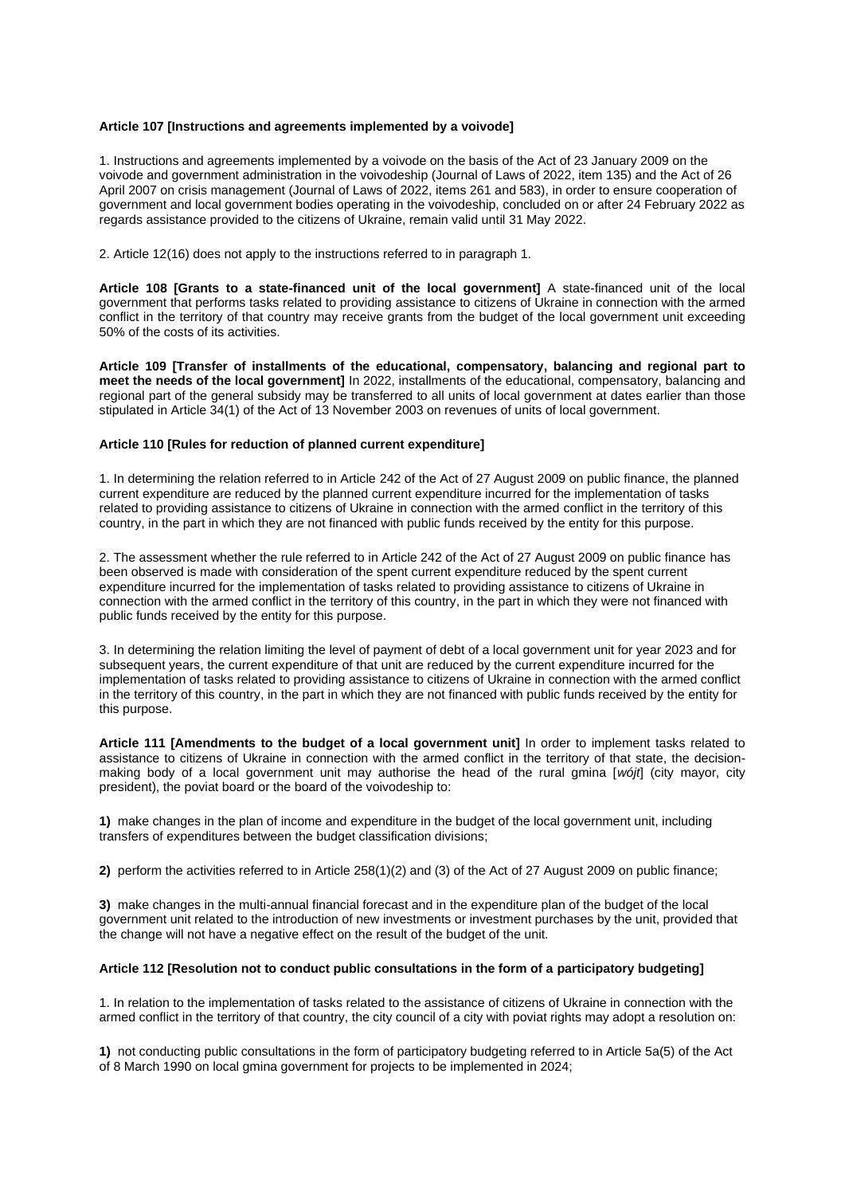# **Article 107 [Instructions and agreements implemented by a voivode]**

1. Instructions and agreements implemented by a voivode on the basis of the Act of 23 January 2009 on the voivode and government administration in the voivodeship (Journal of Laws of 2022, item 135) and the Act of 26 April 2007 on crisis management (Journal of Laws of 2022, items 261 and 583), in order to ensure cooperation of government and local government bodies operating in the voivodeship, concluded on or after 24 February 2022 as regards assistance provided to the citizens of Ukraine, remain valid until 31 May 2022.

2. Article 12(16) does not apply to the instructions referred to in paragraph 1.

**Article 108 [Grants to a state-financed unit of the local government]** A state-financed unit of the local government that performs tasks related to providing assistance to citizens of Ukraine in connection with the armed conflict in the territory of that country may receive grants from the budget of the local government unit exceeding 50% of the costs of its activities.

**Article 109 [Transfer of installments of the educational, compensatory, balancing and regional part to meet the needs of the local government]** In 2022, installments of the educational, compensatory, balancing and regional part of the general subsidy may be transferred to all units of local government at dates earlier than those stipulated in Article 34(1) of the Act of 13 November 2003 on revenues of units of local government.

## **Article 110 [Rules for reduction of planned current expenditure]**

1. In determining the relation referred to in Article 242 of the Act of 27 August 2009 on public finance, the planned current expenditure are reduced by the planned current expenditure incurred for the implementation of tasks related to providing assistance to citizens of Ukraine in connection with the armed conflict in the territory of this country, in the part in which they are not financed with public funds received by the entity for this purpose.

2. The assessment whether the rule referred to in Article 242 of the Act of 27 August 2009 on public finance has been observed is made with consideration of the spent current expenditure reduced by the spent current expenditure incurred for the implementation of tasks related to providing assistance to citizens of Ukraine in connection with the armed conflict in the territory of this country, in the part in which they were not financed with public funds received by the entity for this purpose.

3. In determining the relation limiting the level of payment of debt of a local government unit for year 2023 and for subsequent years, the current expenditure of that unit are reduced by the current expenditure incurred for the implementation of tasks related to providing assistance to citizens of Ukraine in connection with the armed conflict in the territory of this country, in the part in which they are not financed with public funds received by the entity for this purpose.

**Article 111 [Amendments to the budget of a local government unit]** In order to implement tasks related to assistance to citizens of Ukraine in connection with the armed conflict in the territory of that state, the decisionmaking body of a local government unit may authorise the head of the rural gmina [*wójt*] (city mayor, city president), the poviat board or the board of the voivodeship to:

**1)** make changes in the plan of income and expenditure in the budget of the local government unit, including transfers of expenditures between the budget classification divisions;

**2)** perform the activities referred to in Article 258(1)(2) and (3) of the Act of 27 August 2009 on public finance;

**3)** make changes in the multi-annual financial forecast and in the expenditure plan of the budget of the local government unit related to the introduction of new investments or investment purchases by the unit, provided that the change will not have a negative effect on the result of the budget of the unit.

## **Article 112 [Resolution not to conduct public consultations in the form of a participatory budgeting]**

1. In relation to the implementation of tasks related to the assistance of citizens of Ukraine in connection with the armed conflict in the territory of that country, the city council of a city with poviat rights may adopt a resolution on:

**1)** not conducting public consultations in the form of participatory budgeting referred to in Article 5a(5) of the Act of 8 March 1990 on local gmina government for projects to be implemented in 2024;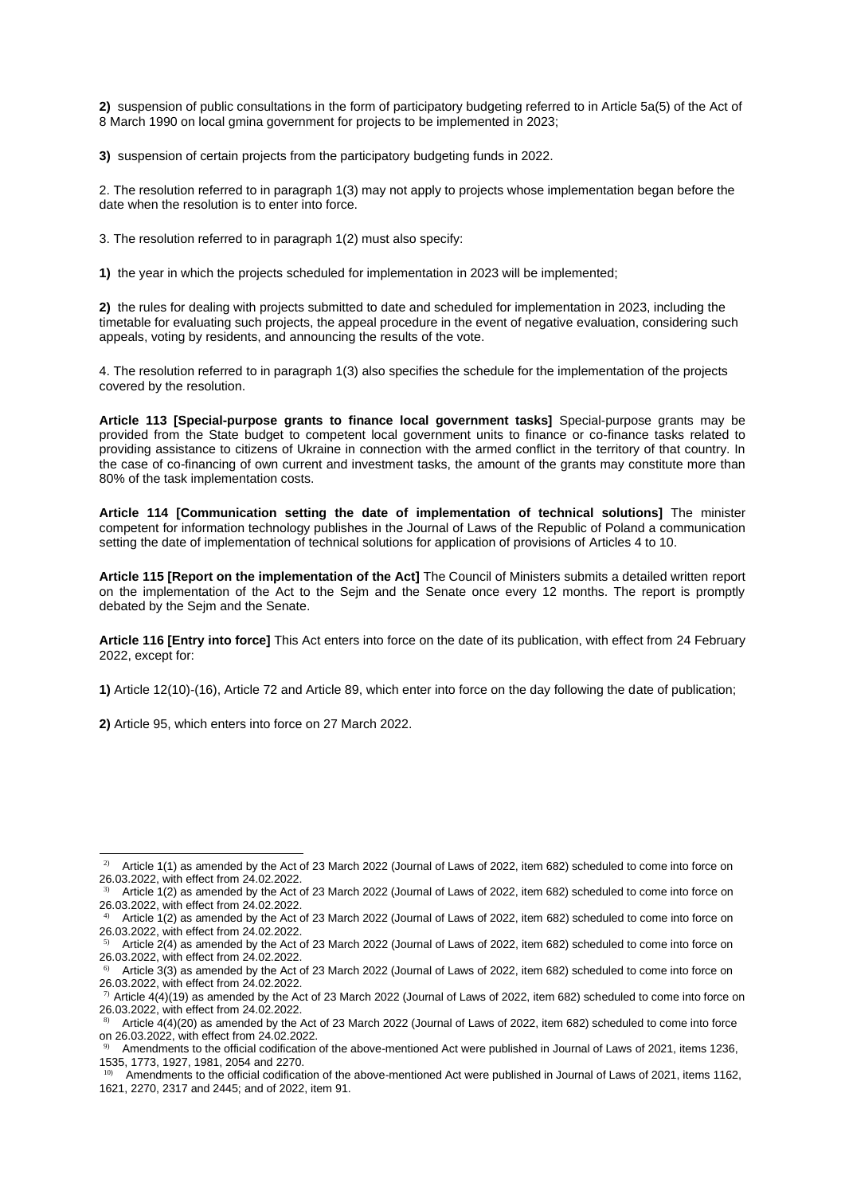**2)** suspension of public consultations in the form of participatory budgeting referred to in Article 5a(5) of the Act of 8 March 1990 on local gmina government for projects to be implemented in 2023;

**3)** suspension of certain projects from the participatory budgeting funds in 2022.

2. The resolution referred to in paragraph 1(3) may not apply to projects whose implementation began before the date when the resolution is to enter into force.

3. The resolution referred to in paragraph 1(2) must also specify:

**1)** the year in which the projects scheduled for implementation in 2023 will be implemented;

**2)** the rules for dealing with projects submitted to date and scheduled for implementation in 2023, including the timetable for evaluating such projects, the appeal procedure in the event of negative evaluation, considering such appeals, voting by residents, and announcing the results of the vote.

4. The resolution referred to in paragraph 1(3) also specifies the schedule for the implementation of the projects covered by the resolution.

**Article 113 [Special-purpose grants to finance local government tasks]** Special-purpose grants may be provided from the State budget to competent local government units to finance or co-finance tasks related to providing assistance to citizens of Ukraine in connection with the armed conflict in the territory of that country. In the case of co-financing of own current and investment tasks, the amount of the grants may constitute more than 80% of the task implementation costs.

**Article 114 [Communication setting the date of implementation of technical solutions]** The minister competent for information technology publishes in the Journal of Laws of the Republic of Poland a communication setting the date of implementation of technical solutions for application of provisions of Articles 4 to 10.

**Article 115 [Report on the implementation of the Act]** The Council of Ministers submits a detailed written report on the implementation of the Act to the Sejm and the Senate once every 12 months. The report is promptly debated by the Sejm and the Senate.

**Article 116 [Entry into force]** This Act enters into force on the date of its publication, with effect from 24 February 2022, except for:

**1)** Article 12(10)-(16), Article 72 and Article 89, which enter into force on the day following the date of publication;

**2)** Article 95, which enters into force on 27 March 2022.

<sup>&</sup>lt;sup>2)</sup> Article 1(1) as amended by the Act of 23 March 2022 (Journal of Laws of 2022, item 682) scheduled to come into force on 26.03.2022, with effect from 24.02.2022.

<sup>3)</sup> Article 1(2) as amended by the Act of 23 March 2022 (Journal of Laws of 2022, item 682) scheduled to come into force on 26.03.2022, with effect from 24.02.2022.

<sup>4)</sup> Article 1(2) as amended by the Act of 23 March 2022 (Journal of Laws of 2022, item 682) scheduled to come into force on 26.03.2022, with effect from 24.02.2022.

<sup>5)</sup> Article 2(4) as amended by the Act of 23 March 2022 (Journal of Laws of 2022, item 682) scheduled to come into force on 26.03.2022, with effect from 24.02.2022.

<sup>6)</sup> Article 3(3) as amended by the Act of 23 March 2022 (Journal of Laws of 2022, item 682) scheduled to come into force on 26.03.2022, with effect from 24.02.2022.

 $\eta$  Article 4(4)(19) as amended by the Act of 23 March 2022 (Journal of Laws of 2022, item 682) scheduled to come into force on 26.03.2022, with effect from 24.02.2022.

<sup>8)</sup> Article 4(4)(20) as amended by the Act of 23 March 2022 (Journal of Laws of 2022, item 682) scheduled to come into force on 26.03.2022, with effect from 24.02.2022.

<sup>9)</sup> Amendments to the official codification of the above-mentioned Act were published in Journal of Laws of 2021, items 1236, 1535, 1773, 1927, 1981, 2054 and 2270.

<sup>&</sup>lt;sup>10)</sup> Amendments to the official codification of the above-mentioned Act were published in Journal of Laws of 2021, items 1162, 1621, 2270, 2317 and 2445; and of 2022, item 91.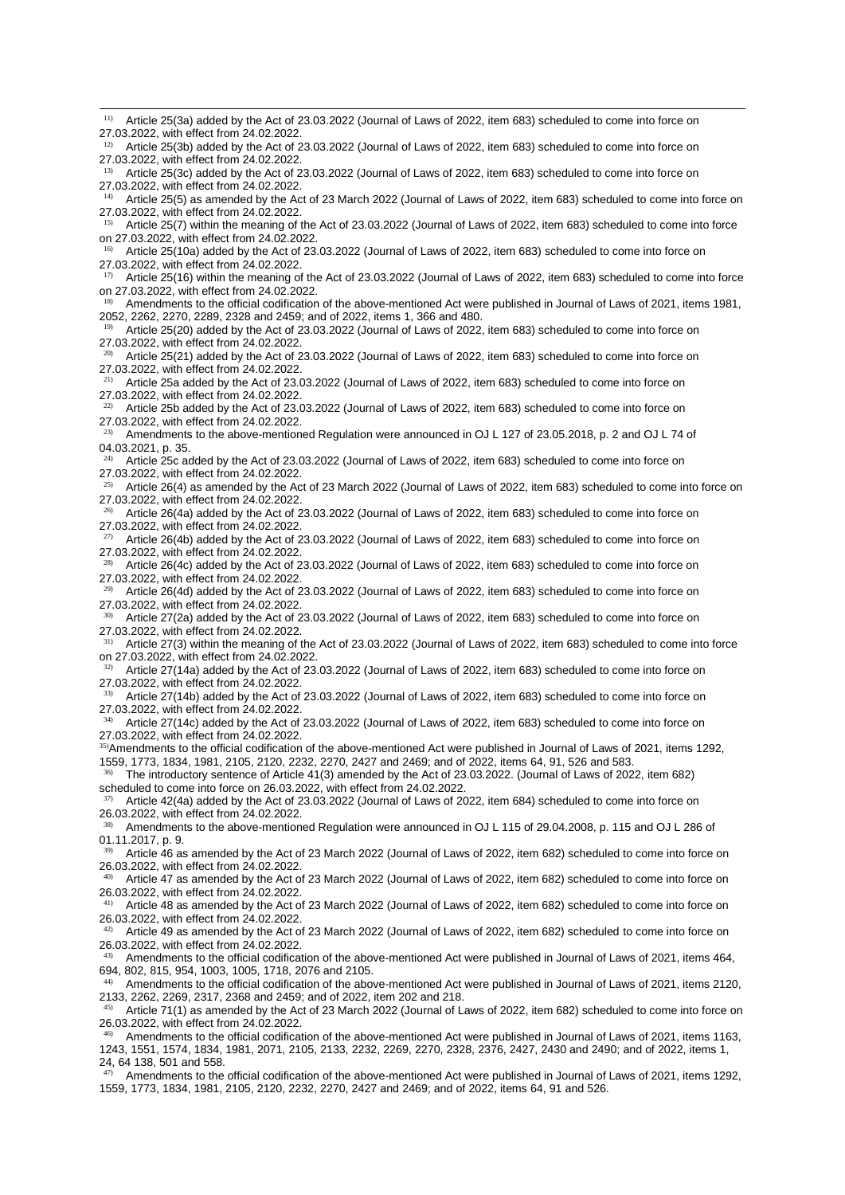$12)$  Article 25(3b) added by the Act of 23.03.2022 (Journal of Laws of 2022, item 683) scheduled to come into force on 27.03.2022, with effect from 24.02.2022. 13) Article 25(3c) added by the Act of 23.03.2022 (Journal of Laws of 2022, item 683) scheduled to come into force on 27.03.2022, with effect from 24.02.2022. <sup>14)</sup> Article 25(5) as amended by the Act of 23 March 2022 (Journal of Laws of 2022, item 683) scheduled to come into force on 27.03.2022, with effect from 24.02.2022. <sup>15)</sup> Article 25(7) within the meaning of the Act of 23.03.2022 (Journal of Laws of 2022, item 683) scheduled to come into force on 27.03.2022, with effect from 24.02.2022. 16) Article 25(10a) added by the Act of 23.03.2022 (Journal of Laws of 2022, item 683) scheduled to come into force on 27.03.2022, with effect from 24.02.2022.  $17)$  Article 25(16) within the meaning of the Act of 23.03.2022 (Journal of Laws of 2022, item 683) scheduled to come into force on 27.03.2022, with effect from 24.02.2022. 18) Amendments to the official codification of the above-mentioned Act were published in Journal of Laws of 2021, items 1981, 2052, 2262, 2270, 2289, 2328 and 2459; and of 2022, items 1, 366 and 480.  $19)$  Article 25(20) added by the Act of 23.03.2022 (Journal of Laws of 2022, item 683) scheduled to come into force on 27.03.2022, with effect from 24.02.2022.  $20)$  Article 25(21) added by the Act of 23.03.2022 (Journal of Laws of 2022, item 683) scheduled to come into force on 27.03.2022, with effect from 24.02.2022. <sup>21)</sup> Article 25a added by the Act of 23.03.2022 (Journal of Laws of 2022, item 683) scheduled to come into force on 27.03.2022, with effect from 24.02.2022.  $22)$  Article 25b added by the Act of 23.03.2022 (Journal of Laws of 2022, item 683) scheduled to come into force on 27.03.2022, with effect from 24.02.2022.  $^{23)}$  Amendments to the above-mentioned Regulation were announced in OJ L 127 of 23.05.2018, p. 2 and OJ L 74 of 04.03.2021, p. 35. 24) Article 25c added by the Act of 23.03.2022 (Journal of Laws of 2022, item 683) scheduled to come into force on 27.03.2022, with effect from 24.02.2022.  $25)$  Article 26(4) as amended by the Act of 23 March 2022 (Journal of Laws of 2022, item 683) scheduled to come into force on 27.03.2022, with effect from 24.02.2022. 26) Article 26(4a) added by the Act of 23.03.2022 (Journal of Laws of 2022, item 683) scheduled to come into force on 27.03.2022, with effect from 24.02.2022.

<sup>11)</sup> Article 25(3a) added by the Act of 23.03.2022 (Journal of Laws of 2022, item 683) scheduled to come into force on

27.03.2022, with effect from 24.02.2022.

27) Article 26(4b) added by the Act of 23.03.2022 (Journal of Laws of 2022, item 683) scheduled to come into force on 27.03.2022, with effect from 24.02.2022.

 $28)$  Article 26(4c) added by the Act of 23.03.2022 (Journal of Laws of 2022, item 683) scheduled to come into force on 27.03.2022, with effect from 24.02.2022.

29) Article 26(4d) added by the Act of 23.03.2022 (Journal of Laws of 2022, item 683) scheduled to come into force on 27.03.2022, with effect from 24.02.2022.

<sup>30)</sup> Article 27(2a) added by the Act of 23.03.2022 (Journal of Laws of 2022, item 683) scheduled to come into force on 27.03.2022, with effect from 24.02.2022.

<sup>31)</sup> Article 27(3) within the meaning of the Act of 23.03.2022 (Journal of Laws of 2022, item 683) scheduled to come into force on 27.03.2022, with effect from 24.02.2022.

32) Article 27(14a) added by the Act of 23.03.2022 (Journal of Laws of 2022, item 683) scheduled to come into force on 27.03.2022, with effect from 24.02.2022.

33) Article 27(14b) added by the Act of 23.03.2022 (Journal of Laws of 2022, item 683) scheduled to come into force on 27.03.2022, with effect from 24.02.2022.

34) Article 27(14c) added by the Act of 23.03.2022 (Journal of Laws of 2022, item 683) scheduled to come into force on 27.03.2022, with effect from 24.02.2022.

<sup>35)</sup>Amendments to the official codification of the above-mentioned Act were published in Journal of Laws of 2021, items 1292, 1559, 1773, 1834, 1981, 2105, 2120, 2232, 2270, 2427 and 2469; and of 2022, items 64, 91, 526 and 583.

36) The introductory sentence of Article 41(3) amended by the Act of 23.03.2022. (Journal of Laws of 2022, item 682) scheduled to come into force on 26.03.2022, with effect from 24.02.2022.

37) Article 42(4a) added by the Act of 23.03.2022 (Journal of Laws of 2022, item 684) scheduled to come into force on 26.03.2022, with effect from 24.02.2022.

38) Amendments to the above-mentioned Regulation were announced in OJ L 115 of 29.04.2008, p. 115 and OJ L 286 of 01.11.2017, p. 9.

39) Article 46 as amended by the Act of 23 March 2022 (Journal of Laws of 2022, item 682) scheduled to come into force on 26.03.2022, with effect from 24.02.2022.

40) Article 47 as amended by the Act of 23 March 2022 (Journal of Laws of 2022, item 682) scheduled to come into force on 26.03.2022, with effect from 24.02.2022.

41) Article 48 as amended by the Act of 23 March 2022 (Journal of Laws of 2022, item 682) scheduled to come into force on 26.03.2022, with effect from 24.02.2022.

42) Article 49 as amended by the Act of 23 March 2022 (Journal of Laws of 2022, item 682) scheduled to come into force on 26.03.2022, with effect from 24.02.2022.

43) Amendments to the official codification of the above-mentioned Act were published in Journal of Laws of 2021, items 464, 694, 802, 815, 954, 1003, 1005, 1718, 2076 and 2105.

44) Amendments to the official codification of the above-mentioned Act were published in Journal of Laws of 2021, items 2120, 2133, 2262, 2269, 2317, 2368 and 2459; and of 2022, item 202 and 218.

45) Article 71(1) as amended by the Act of 23 March 2022 (Journal of Laws of 2022, item 682) scheduled to come into force on 26.03.2022, with effect from 24.02.2022.

46) Amendments to the official codification of the above-mentioned Act were published in Journal of Laws of 2021, items 1163, 1243, 1551, 1574, 1834, 1981, 2071, 2105, 2133, 2232, 2269, 2270, 2328, 2376, 2427, 2430 and 2490; and of 2022, items 1, 24, 64 138, 501 and 558.

47) Amendments to the official codification of the above-mentioned Act were published in Journal of Laws of 2021, items 1292, 1559, 1773, 1834, 1981, 2105, 2120, 2232, 2270, 2427 and 2469; and of 2022, items 64, 91 and 526.